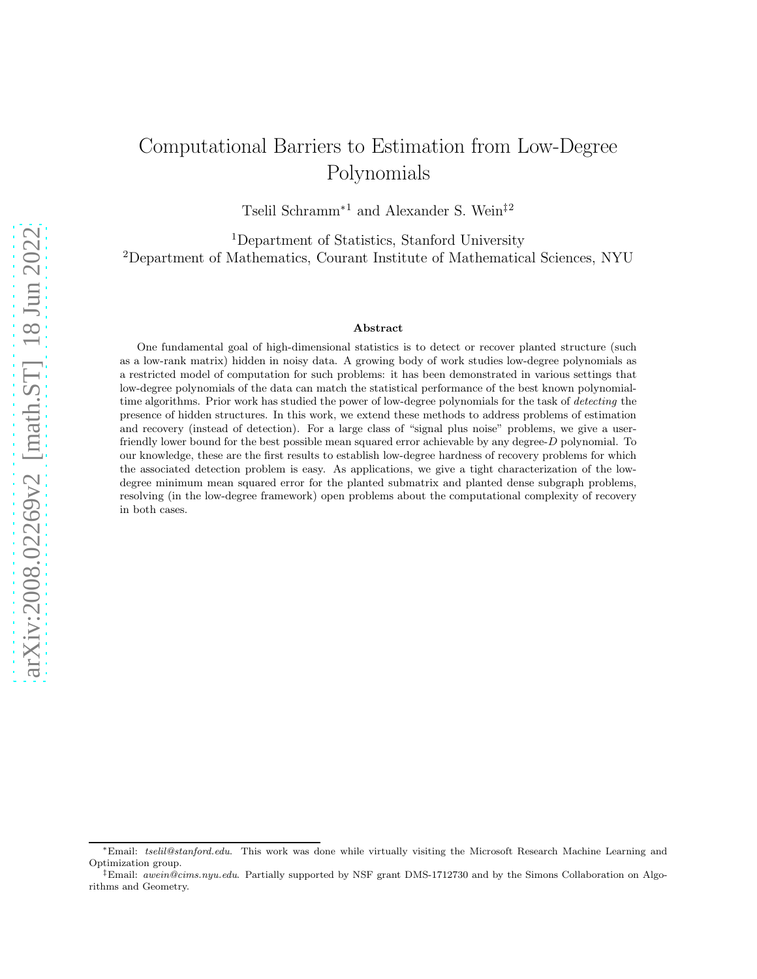# Computational Barriers to Estimation from Low-Degree Polynomials

Tselil Schramm<sup>∗</sup><sup>1</sup> and Alexander S. Wein‡<sup>2</sup>

<sup>1</sup>Department of Statistics, Stanford University <sup>2</sup>Department of Mathematics, Courant Institute of Mathematical Sciences, NYU

#### Abstract

One fundamental goal of high-dimensional statistics is to detect or recover planted structure (such as a low-rank matrix) hidden in noisy data. A growing body of work studies low-degree polynomials as a restricted model of computation for such problems: it has been demonstrated in various settings that low-degree polynomials of the data can match the statistical performance of the best known polynomialtime algorithms. Prior work has studied the power of low-degree polynomials for the task of detecting the presence of hidden structures. In this work, we extend these methods to address problems of estimation and recovery (instead of detection). For a large class of "signal plus noise" problems, we give a userfriendly lower bound for the best possible mean squared error achievable by any degree-D polynomial. To our knowledge, these are the first results to establish low-degree hardness of recovery problems for which the associated detection problem is easy. As applications, we give a tight characterization of the lowdegree minimum mean squared error for the planted submatrix and planted dense subgraph problems, resolving (in the low-degree framework) open problems about the computational complexity of recovery in both cases.

<sup>∗</sup>Email: tselil@stanford.edu. This work was done while virtually visiting the Microsoft Research Machine Learning and Optimization group.

<sup>&</sup>lt;sup>‡</sup>Email: *awein@cims.nyu.edu.* Partially supported by NSF grant DMS-1712730 and by the Simons Collaboration on Algorithms and Geometry.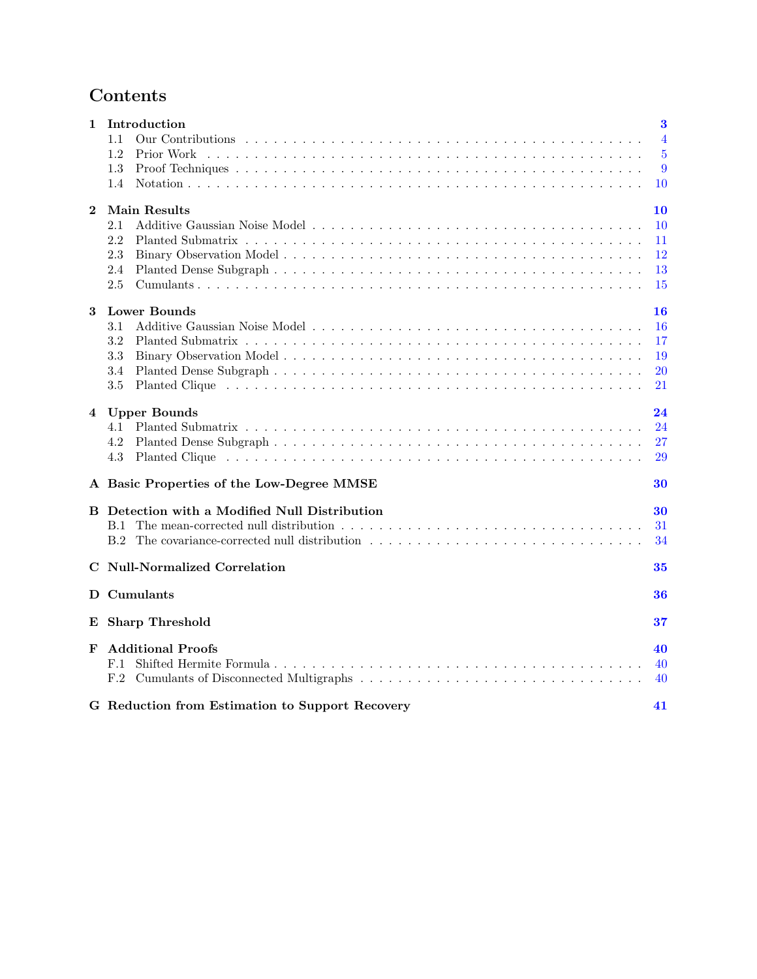# Contents

| $\mathbf{1}$ | Introduction                                         | $\bf{3}$       |
|--------------|------------------------------------------------------|----------------|
|              | 1.1                                                  | $\overline{4}$ |
|              | 1.2                                                  | $\overline{5}$ |
|              | 1.3                                                  | 9              |
|              | 1.4                                                  | 10             |
| $\mathbf 2$  | <b>Main Results</b>                                  | 10             |
|              | 2.1                                                  | 10             |
|              | 2.2                                                  | 11             |
|              | 2.3                                                  | 12             |
|              | 2.4                                                  | 13             |
|              | $2.5\,$                                              | 15             |
| 3            | <b>Lower Bounds</b>                                  | 16             |
|              | 3.1                                                  | 16             |
|              | 3.2                                                  | 17             |
|              | 3.3                                                  | 19             |
|              | 3.4                                                  | 20             |
|              | 3.5                                                  | 21             |
| 4            | <b>Upper Bounds</b>                                  | 24             |
|              | 4.1                                                  | 24             |
|              | 4.2                                                  | 27             |
|              | 4.3                                                  | 29             |
|              | A Basic Properties of the Low-Degree MMSE            | 30             |
|              | <b>B</b> Detection with a Modified Null Distribution | 30             |
|              | B.1                                                  | 31             |
|              |                                                      | 34             |
|              | <b>C</b> Null-Normalized Correlation                 | 35             |
|              | D Cumulants                                          | 36             |
| E            | <b>Sharp Threshold</b>                               | 37             |
| F            | <b>Additional Proofs</b>                             | 40             |
|              | F.1                                                  | 40             |
|              | F.2                                                  | 40             |
|              | G Reduction from Estimation to Support Recovery      | 41             |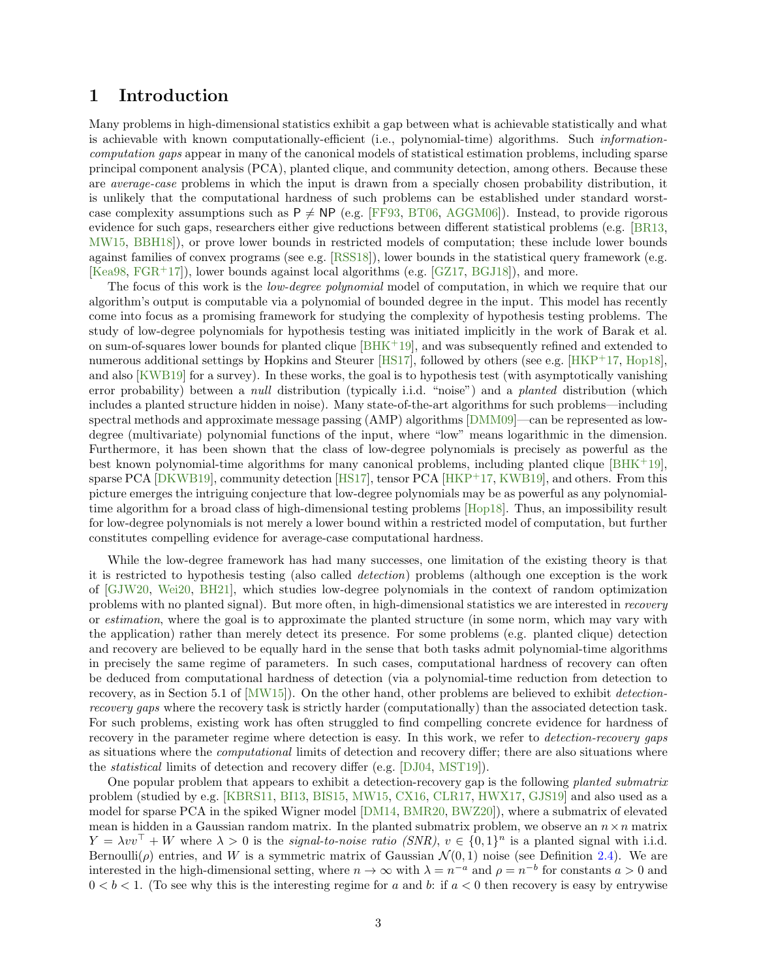# <span id="page-2-0"></span>1 Introduction

Many problems in high-dimensional statistics exhibit a gap between what is achievable statistically and what is achievable with known computationally-efficient (i.e., polynomial-time) algorithms. Such informationcomputation gaps appear in many of the canonical models of statistical estimation problems, including sparse principal component analysis (PCA), planted clique, and community detection, among others. Because these are *average-case* problems in which the input is drawn from a specially chosen probability distribution, it is unlikely that the computational hardness of such problems can be established under standard worstcase complexity assumptions such as  $P \neq NP$  (e.g. [\[FF93,](#page-43-0) [BT06,](#page-42-0) [AGGM06\]](#page-41-0)). Instead, to provide rigorous evidence for such gaps, researchers either give reductions between different statistical problems (e.g. [\[BR13,](#page-42-1) [MW15,](#page-45-0) [BBH18\]](#page-41-1)), or prove lower bounds in restricted models of computation; these include lower bounds against families of convex programs (see e.g. [\[RSS18\]](#page-46-0)), lower bounds in the statistical query framework (e.g. [\[Kea98,](#page-45-1) [FGR](#page-43-1)<sup>+</sup>17]), lower bounds against local algorithms (e.g. [\[GZ17,](#page-44-0) [BGJ18\]](#page-41-2)), and more.

The focus of this work is the *low-degree polynomial* model of computation, in which we require that our algorithm's output is computable via a polynomial of bounded degree in the input. This model has recently come into focus as a promising framework for studying the complexity of hypothesis testing problems. The study of low-degree polynomials for hypothesis testing was initiated implicitly in the work of Barak et al. on sum-of-squares lower bounds for planted clique [\[BHK](#page-42-2)<sup>+</sup>19], and was subsequently refined and extended to numerous additional settings by Hopkins and Steurer [\[HS17\]](#page-44-1), followed by others (see e.g. [\[HKP](#page-44-2)<sup>+</sup>17, [Hop18\]](#page-44-3), and also [\[KWB19\]](#page-45-2) for a survey). In these works, the goal is to hypothesis test (with asymptotically vanishing error probability) between a *null* distribution (typically i.i.d. "noise") and a *planted* distribution (which includes a planted structure hidden in noise). Many state-of-the-art algorithms for such problems—including spectral methods and approximate message passing (AMP) algorithms [\[DMM09\]](#page-43-2)—can be represented as lowdegree (multivariate) polynomial functions of the input, where "low" means logarithmic in the dimension. Furthermore, it has been shown that the class of low-degree polynomials is precisely as powerful as the best known polynomial-time algorithms for many canonical problems, including planted clique  $[BHK^+19]$ , sparse PCA [\[DKWB19\]](#page-43-3), community detection [\[HS17\]](#page-44-1), tensor PCA [\[HKP](#page-44-2)<sup>+</sup>17, [KWB19\]](#page-45-2), and others. From this picture emerges the intriguing conjecture that low-degree polynomials may be as powerful as any polynomialtime algorithm for a broad class of high-dimensional testing problems [\[Hop18\]](#page-44-3). Thus, an impossibility result for low-degree polynomials is not merely a lower bound within a restricted model of computation, but further constitutes compelling evidence for average-case computational hardness.

While the low-degree framework has had many successes, one limitation of the existing theory is that it is restricted to hypothesis testing (also called detection) problems (although one exception is the work of [\[GJW20,](#page-44-4) [Wei20,](#page-46-1) [BH21\]](#page-42-3), which studies low-degree polynomials in the context of random optimization problems with no planted signal). But more often, in high-dimensional statistics we are interested in recovery or estimation, where the goal is to approximate the planted structure (in some norm, which may vary with the application) rather than merely detect its presence. For some problems (e.g. planted clique) detection and recovery are believed to be equally hard in the sense that both tasks admit polynomial-time algorithms in precisely the same regime of parameters. In such cases, computational hardness of recovery can often be deduced from computational hardness of detection (via a polynomial-time reduction from detection to recovery, as in Section 5.1 of [\[MW15\]](#page-45-0)). On the other hand, other problems are believed to exhibit *detection*recovery gaps where the recovery task is strictly harder (computationally) than the associated detection task. For such problems, existing work has often struggled to find compelling concrete evidence for hardness of recovery in the parameter regime where detection is easy. In this work, we refer to *detection-recovery gaps* as situations where the computational limits of detection and recovery differ; there are also situations where the statistical limits of detection and recovery differ (e.g. [\[DJ04,](#page-43-4) [MST19\]](#page-45-3)).

One popular problem that appears to exhibit a detection-recovery gap is the following planted submatrix problem (studied by e.g. [\[KBRS11,](#page-45-4) [BI13,](#page-42-4) [BIS15,](#page-42-5) [MW15,](#page-45-0) [CX16,](#page-43-5) [CLR17,](#page-43-6) [HWX17,](#page-44-5) [GJS19\]](#page-44-6) and also used as a model for sparse PCA in the spiked Wigner model [\[DM14,](#page-43-7) [BMR20,](#page-42-6) [BWZ20\]](#page-42-7)), where a submatrix of elevated mean is hidden in a Gaussian random matrix. In the planted submatrix problem, we observe an  $n \times n$  matrix  $Y = \lambda vv^{\top} + W$  where  $\lambda > 0$  is the *signal-to-noise ratio (SNR)*,  $v \in \{0,1\}^n$  is a planted signal with i.i.d. Bernoulli( $\rho$ ) entries, and W is a symmetric matrix of Gaussian  $\mathcal{N}(0,1)$  noise (see Definition [2.4\)](#page-10-1). We are interested in the high-dimensional setting, where  $n \to \infty$  with  $\lambda = n^{-a}$  and  $\rho = n^{-b}$  for constants  $a > 0$  and  $0 < b < 1$ . (To see why this is the interesting regime for a and b: if  $a < 0$  then recovery is easy by entrywise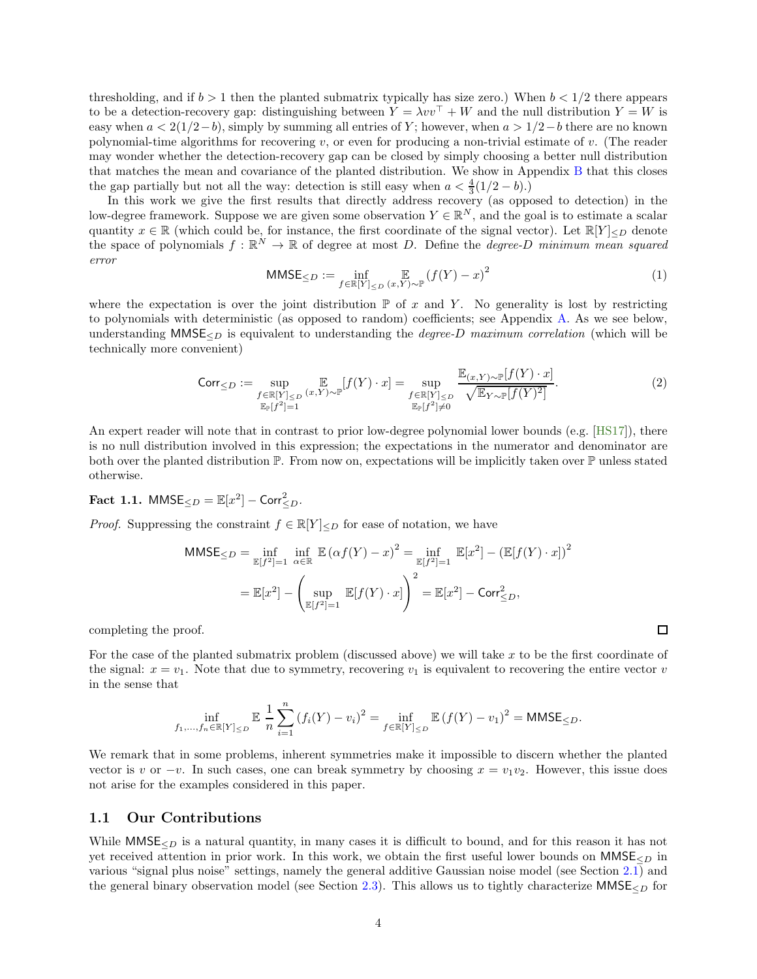thresholding, and if  $b > 1$  then the planted submatrix typically has size zero.) When  $b < 1/2$  there appears to be a detection-recovery gap: distinguishing between  $Y = \lambda vv^{\top} + W$  and the null distribution  $Y = W$  is easy when  $a < 2(1/2-b)$ , simply by summing all entries of Y; however, when  $a > 1/2-b$  there are no known polynomial-time algorithms for recovering  $v$ , or even for producing a non-trivial estimate of  $v$ . (The reader may wonder whether the detection-recovery gap can be closed by simply choosing a better null distribution that matches the mean and covariance of the planted distribution. We show in Appendix [B](#page-29-1) that this closes the gap partially but not all the way: detection is still easy when  $a < \frac{4}{3}(1/2 - b)$ .)

In this work we give the first results that directly address recovery (as opposed to detection) in the low-degree framework. Suppose we are given some observation  $Y \in \mathbb{R}^N$ , and the goal is to estimate a scalar quantity  $x \in \mathbb{R}$  (which could be, for instance, the first coordinate of the signal vector). Let  $\mathbb{R}[Y]_{\leq D}$  denote the space of polynomials  $f : \mathbb{R}^N \to \mathbb{R}$  of degree at most D. Define the *degree-D minimum mean squared* error

<span id="page-3-3"></span>
$$
\text{MMSE}_{\leq D} := \inf_{f \in \mathbb{R}[Y]_{\leq D}} \mathbb{E}_{(x, Y) \sim \mathbb{P}} (f(Y) - x)^2 \tag{1}
$$

where the expectation is over the joint distribution  $\mathbb P$  of x and Y. No generality is lost by restricting to polynomials with deterministic (as opposed to random) coefficients; see Appendix [A.](#page-29-0) As we see below, understanding MMSE $\leq_D$  is equivalent to understanding the *degree-D maximum correlation* (which will be technically more convenient)

<span id="page-3-1"></span>
$$
\text{Corr}_{\leq D} := \sup_{\substack{f \in \mathbb{R}[Y]_{\leq D} (x, Y) \sim \mathbb{P} \atop \mathbb{E}_{\mathbb{P}[f^2] = 1}} \mathbb{E}_{(Y) \sim \mathbb{P}}[f(Y) \cdot x] = \sup_{\substack{f \in \mathbb{R}[Y]_{\leq D} \quad \sqrt{\mathbb{E}_{Y \sim \mathbb{P}[f(Y)^2]}} \cdot \mathbb{E}_{Y \sim \mathbb{P}[f(Y)^2]}}} \mathbb{E}_{(2)}
$$

An expert reader will note that in contrast to prior low-degree polynomial lower bounds (e.g. [\[HS17\]](#page-44-1)), there is no null distribution involved in this expression; the expectations in the numerator and denominator are both over the planted distribution P. From now on, expectations will be implicitly taken over P unless stated otherwise.

<span id="page-3-2"></span>Fact 1.1.  $MMSE_{\leq D} = \mathbb{E}[x^2] - \text{Corr}_{\leq D}^2$ .

*Proof.* Suppressing the constraint  $f \in \mathbb{R}[Y]_{\leq D}$  for ease of notation, we have

$$
\begin{aligned} \textsf{MMSE}_{\leq D} &= \inf_{\mathbb{E}[f^2]=1} \inf_{\alpha \in \mathbb{R}} \mathbb{E}\left(\alpha f(Y) - x\right)^2 = \inf_{\mathbb{E}[f^2]=1} \mathbb{E}[x^2] - \left(\mathbb{E}[f(Y) \cdot x]\right)^2 \\ &= \mathbb{E}[x^2] - \left(\sup_{\mathbb{E}[f^2]=1} \mathbb{E}[f(Y) \cdot x]\right)^2 = \mathbb{E}[x^2] - \textsf{Corr}_{\leq D}^2, \end{aligned}
$$

completing the proof.

For the case of the planted submatrix problem (discussed above) we will take x to be the first coordinate of the signal:  $x = v_1$ . Note that due to symmetry, recovering  $v_1$  is equivalent to recovering the entire vector v in the sense that

$$
\inf_{f_1,...,f_n \in \mathbb{R}[Y]_{\leq D}} \mathbb{E} \frac{1}{n} \sum_{i=1}^n (f_i(Y) - v_i)^2 = \inf_{f \in \mathbb{R}[Y]_{\leq D}} \mathbb{E} (f(Y) - v_1)^2 = \mathsf{MMSE}_{\leq D}.
$$

We remark that in some problems, inherent symmetries make it impossible to discern whether the planted vector is v or  $-v$ . In such cases, one can break symmetry by choosing  $x = v_1v_2$ . However, this issue does not arise for the examples considered in this paper.

#### <span id="page-3-0"></span>1.1 Our Contributions

While  $MMSE<sub>CD</sub>$  is a natural quantity, in many cases it is difficult to bound, and for this reason it has not yet received attention in prior work. In this work, we obtain the first useful lower bounds on  $MMSE<sub>CD</sub>$  in various "signal plus noise" settings, namely the general additive Gaussian noise model (see Section [2.1\)](#page-9-2) and the general binary observation model (see Section [2.3\)](#page-11-0). This allows us to tightly characterize MMSE $_{\leq D}$  for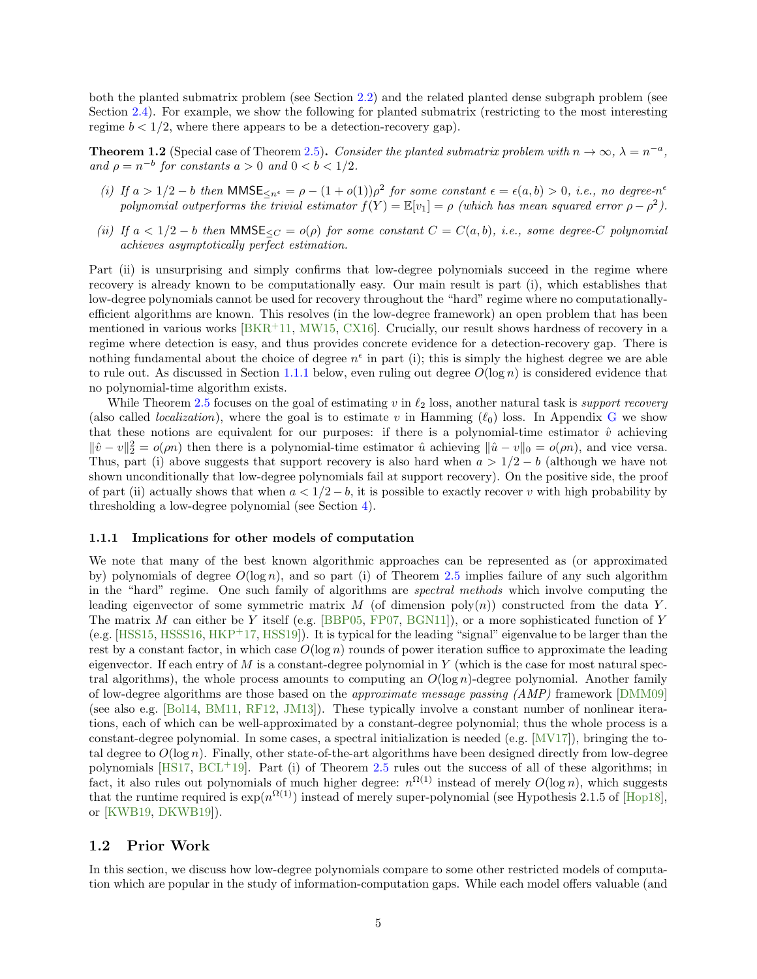both the planted submatrix problem (see Section [2.2\)](#page-10-0) and the related planted dense subgraph problem (see Section [2.4\)](#page-12-0). For example, we show the following for planted submatrix (restricting to the most interesting regime  $b < 1/2$ , where there appears to be a detection-recovery gap).

**Theorem 1.2** (Special case of Theorem [2.5\)](#page-11-1). Consider the planted submatrix problem with  $n \to \infty$ ,  $\lambda = n^{-a}$ , and  $\rho = n^{-b}$  for constants  $a > 0$  and  $0 < b < 1/2$ .

- (i) If  $a > 1/2 b$  then  $MMSE_{\leq n^{\epsilon}} = \rho (1 + o(1))\rho^2$  for some constant  $\epsilon = \epsilon(a, b) > 0$ , i.e., no degree-n<sup>e</sup> polynomial outperforms the trivial estimator  $f(Y) = \mathbb{E}[v_1] = \rho$  (which has mean squared error  $\rho - \rho^2$ ).
- (ii) If  $a < 1/2 b$  then MMSE $\leq_C = o(\rho)$  for some constant  $C = C(a, b)$ , i.e., some degree-C polynomial achieves asymptotically perfect estimation.

Part (ii) is unsurprising and simply confirms that low-degree polynomials succeed in the regime where recovery is already known to be computationally easy. Our main result is part (i), which establishes that low-degree polynomials cannot be used for recovery throughout the "hard" regime where no computationallyefficient algorithms are known. This resolves (in the low-degree framework) an open problem that has been mentioned in various works  $[BKR+11, MW15, CX16]$  $[BKR+11, MW15, CX16]$  $[BKR+11, MW15, CX16]$  $[BKR+11, MW15, CX16]$ . Crucially, our result shows hardness of recovery in a regime where detection is easy, and thus provides concrete evidence for a detection-recovery gap. There is nothing fundamental about the choice of degree  $n^{\epsilon}$  in part (i); this is simply the highest degree we are able to rule out. As discussed in Section [1.1.1](#page-4-1) below, even ruling out degree  $O(\log n)$  is considered evidence that no polynomial-time algorithm exists.

While Theorem [2.5](#page-11-1) focuses on the goal of estimating v in  $\ell_2$  loss, another natural task is support recovery (also called *localization*), where the goal is to estimate v in Hamming  $(\ell_0)$  loss. In Appendix [G](#page-40-0) we show that these notions are equivalent for our purposes: if there is a polynomial-time estimator  $\hat{v}$  achieving  $\|\hat{v} - v\|_2^2 = o(\rho n)$  then there is a polynomial-time estimator  $\hat{u}$  achieving  $\|\hat{u} - v\|_0 = o(\rho n)$ , and vice versa. Thus, part (i) above suggests that support recovery is also hard when  $a > 1/2 - b$  (although we have not shown unconditionally that low-degree polynomials fail at support recovery). On the positive side, the proof of part (ii) actually shows that when  $a < 1/2-b$ , it is possible to exactly recover v with high probability by thresholding a low-degree polynomial (see Section [4\)](#page-23-0).

#### <span id="page-4-1"></span>1.1.1 Implications for other models of computation

We note that many of the best known algorithmic approaches can be represented as (or approximated by) polynomials of degree  $O(\log n)$ , and so part (i) of Theorem [2.5](#page-11-1) implies failure of any such algorithm in the "hard" regime. One such family of algorithms are spectral methods which involve computing the leading eigenvector of some symmetric matrix M (of dimension  $poly(n)$ ) constructed from the data Y. The matrix M can either be Y itself (e.g. [\[BBP05,](#page-41-3) [FP07,](#page-43-8) [BGN11\]](#page-42-9)), or a more sophisticated function of Y (e.g. [\[HSS15,](#page-44-7) [HSSS16,](#page-44-8) [HKP](#page-44-2)<sup>+</sup>17, [HSS19\]](#page-44-9)). It is typical for the leading "signal" eigenvalue to be larger than the rest by a constant factor, in which case  $O(\log n)$  rounds of power iteration suffice to approximate the leading eigenvector. If each entry of  $M$  is a constant-degree polynomial in  $Y$  (which is the case for most natural spectral algorithms), the whole process amounts to computing an  $O(\log n)$ -degree polynomial. Another family of low-degree algorithms are those based on the approximate message passing (AMP) framework [\[DMM09\]](#page-43-2) (see also e.g. [\[Bol14,](#page-42-10) [BM11,](#page-42-11) [RF12,](#page-46-2) [JM13\]](#page-45-5)). These typically involve a constant number of nonlinear iterations, each of which can be well-approximated by a constant-degree polynomial; thus the whole process is a constant-degree polynomial. In some cases, a spectral initialization is needed (e.g. [\[MV17\]](#page-45-6)), bringing the total degree to  $O(\log n)$ . Finally, other state-of-the-art algorithms have been designed directly from low-degree polynomials [\[HS17,](#page-44-1) [BCL](#page-41-4)+19]. Part (i) of Theorem [2.5](#page-11-1) rules out the success of all of these algorithms; in fact, it also rules out polynomials of much higher degree:  $n^{\Omega(1)}$  instead of merely  $O(\log n)$ , which suggests that the runtime required is  $\exp(n^{\Omega(1)})$  instead of merely super-polynomial (see Hypothesis 2.1.5 of [\[Hop18\]](#page-44-3), or [\[KWB19,](#page-45-2) [DKWB19\]](#page-43-3)).

### <span id="page-4-0"></span>1.2 Prior Work

In this section, we discuss how low-degree polynomials compare to some other restricted models of computation which are popular in the study of information-computation gaps. While each model offers valuable (and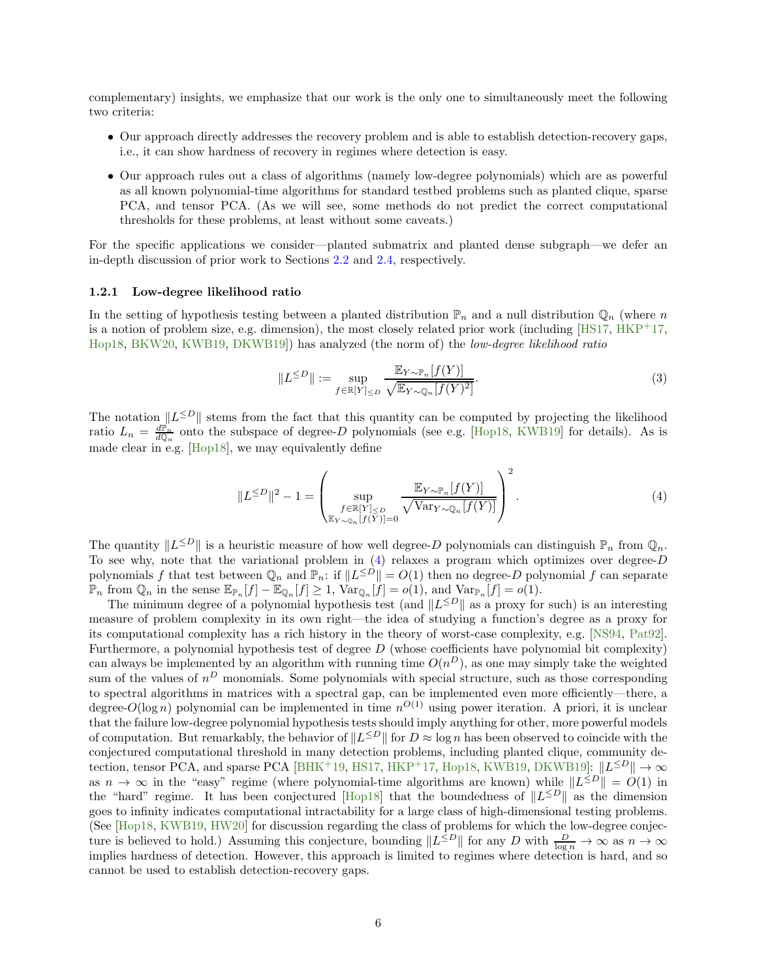complementary) insights, we emphasize that our work is the only one to simultaneously meet the following two criteria:

- Our approach directly addresses the recovery problem and is able to establish detection-recovery gaps, i.e., it can show hardness of recovery in regimes where detection is easy.
- Our approach rules out a class of algorithms (namely low-degree polynomials) which are as powerful as all known polynomial-time algorithms for standard testbed problems such as planted clique, sparse PCA, and tensor PCA. (As we will see, some methods do not predict the correct computational thresholds for these problems, at least without some caveats.)

For the specific applications we consider—planted submatrix and planted dense subgraph—we defer an in-depth discussion of prior work to Sections [2.2](#page-10-0) and [2.4,](#page-12-0) respectively.

#### 1.2.1 Low-degree likelihood ratio

In the setting of hypothesis testing between a planted distribution  $\mathbb{P}_n$  and a null distribution  $\mathbb{Q}_n$  (where n is a notion of problem size, e.g. dimension), the most closely related prior work (including  $[HS17, HKP^+17,$  $[HS17, HKP^+17,$  $[HS17, HKP^+17,$ [Hop18,](#page-44-3) [BKW20,](#page-42-12) [KWB19,](#page-45-2) [DKWB19\]](#page-43-3)) has analyzed (the norm of) the low-degree likelihood ratio

<span id="page-5-1"></span>
$$
||L^{\leq D}|| := \sup_{f \in \mathbb{R}[Y]_{\leq D}} \frac{\mathbb{E}_{Y \sim \mathbb{P}_n}[f(Y)]}{\sqrt{\mathbb{E}_{Y \sim \mathbb{Q}_n}[f(Y)^2]}}.
$$
\n(3)

The notation  $||L^{\leq D}||$  stems from the fact that this quantity can be computed by projecting the likelihood ratio  $L_n = \frac{d\mathbb{P}_n}{d\mathbb{Q}_n}$  onto the subspace of degree-D polynomials (see e.g. [\[Hop18,](#page-44-3) [KWB19\]](#page-45-2) for details). As is made clear in e.g. [\[Hop18\]](#page-44-3), we may equivalently define

<span id="page-5-0"></span>
$$
||L^{\leq D}||^2 - 1 = \left(\sup_{\substack{f \in \mathbb{R}[Y] \leq D \\ \mathbb{E}_{Y \sim \mathbb{Q}_n}[f(Y)] = 0}} \frac{\mathbb{E}_{Y \sim \mathbb{P}_n}[f(Y)]}{\sqrt{\text{Var}_{Y \sim \mathbb{Q}_n}[f(Y)]}}\right)^2.
$$
\n(4)

The quantity  $||L^{\leq D}||$  is a heuristic measure of how well degree-D polynomials can distinguish  $\mathbb{P}_n$  from  $\mathbb{Q}_n$ . To see why, note that the variational problem in  $(4)$  relaxes a program which optimizes over degree-D polynomials f that test between  $\mathbb{Q}_n$  and  $\mathbb{P}_n$ : if  $||L^{\leq D}|| = O(1)$  then no degree-D polynomial f can separate  $\mathbb{P}_n$  from  $\mathbb{Q}_n$  in the sense  $\mathbb{E}_{\mathbb{P}_n}[f] - \mathbb{E}_{\mathbb{Q}_n}[f] \geq 1$ ,  $\text{Var}_{\mathbb{Q}_n}[f] = o(1)$ , and  $\text{Var}_{\mathbb{P}_n}[f] = o(1)$ .

The minimum degree of a polynomial hypothesis test (and  $||L^{\leq D}||$  as a proxy for such) is an interesting measure of problem complexity in its own right—the idea of studying a function's degree as a proxy for its computational complexity has a rich history in the theory of worst-case complexity, e.g. [\[NS94,](#page-45-7) [Pat92\]](#page-46-3). Furthermore, a polynomial hypothesis test of degree D (whose coefficients have polynomial bit complexity) can always be implemented by an algorithm with running time  $O(n^D)$ , as one may simply take the weighted sum of the values of  $n^D$  monomials. Some polynomials with special structure, such as those corresponding to spectral algorithms in matrices with a spectral gap, can be implemented even more efficiently—there, a degree- $O(\log n)$  polynomial can be implemented in time  $n^{O(1)}$  using power iteration. A priori, it is unclear that the failure low-degree polynomial hypothesis tests should imply anything for other, more powerful models of computation. But remarkably, the behavior of  $||L^{\le D}||$  for  $D \approx \log n$  has been observed to coincide with the conjectured computational threshold in many detection problems, including planted clique, community de-tection, tensor PCA, and sparse PCA [\[BHK](#page-42-2)+19, [HS17,](#page-44-1) [HKP](#page-44-2)+17, [Hop18,](#page-44-3) [KWB19,](#page-45-2) [DKWB19\]](#page-43-3):  $||L^{\leq D}|| \to \infty$ as  $n \to \infty$  in the "easy" regime (where polynomial-time algorithms are known) while  $||L^{\leq D}|| = O(1)$  in the "hard" regime. It has been conjectured [\[Hop18\]](#page-44-3) that the boundedness of  $||L^{\leq D}||$  as the dimension goes to infinity indicates computational intractability for a large class of high-dimensional testing problems. (See [\[Hop18,](#page-44-3) [KWB19,](#page-45-2) [HW20\]](#page-44-10) for discussion regarding the class of problems for which the low-degree conjecture is believed to hold.) Assuming this conjecture, bounding  $||L^{\leq D}||$  for any D with  $\frac{D}{\log n} \to \infty$  as  $n \to \infty$ implies hardness of detection. However, this approach is limited to regimes where detection is hard, and so cannot be used to establish detection-recovery gaps.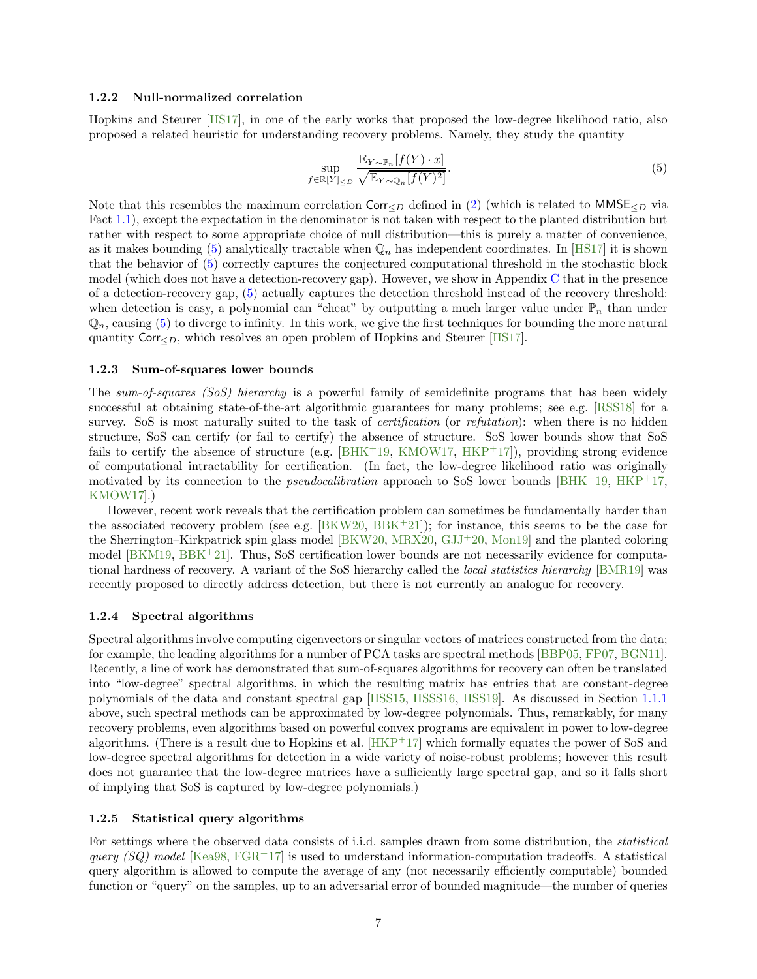#### <span id="page-6-1"></span>1.2.2 Null-normalized correlation

Hopkins and Steurer [\[HS17\]](#page-44-1), in one of the early works that proposed the low-degree likelihood ratio, also proposed a related heuristic for understanding recovery problems. Namely, they study the quantity

<span id="page-6-0"></span>
$$
\sup_{f \in \mathbb{R}[Y]_{\leq D}} \frac{\mathbb{E}_{Y \sim \mathbb{P}_n}[f(Y) \cdot x]}{\sqrt{\mathbb{E}_{Y \sim \mathbb{Q}_n}[f(Y)^2]}}.
$$
\n
$$
(5)
$$

Note that this resembles the maximum correlation Corr $\lt_D$  defined in [\(2\)](#page-3-1) (which is related to MMSE $\lt_D$  via Fact [1.1\)](#page-3-2), except the expectation in the denominator is not taken with respect to the planted distribution but rather with respect to some appropriate choice of null distribution—this is purely a matter of convenience, as it makes bounding [\(5\)](#page-6-0) analytically tractable when  $\mathbb{Q}_n$  has independent coordinates. In [\[HS17\]](#page-44-1) it is shown that the behavior of [\(5\)](#page-6-0) correctly captures the conjectured computational threshold in the stochastic block model (which does not have a detection-recovery gap). However, we show in Appendix [C](#page-34-0) that in the presence of a detection-recovery gap, [\(5\)](#page-6-0) actually captures the detection threshold instead of the recovery threshold: when detection is easy, a polynomial can "cheat" by outputting a much larger value under  $\mathbb{P}_n$  than under  $\mathbb{Q}_n$ , causing [\(5\)](#page-6-0) to diverge to infinity. In this work, we give the first techniques for bounding the more natural quantity  $\text{Corr}_{\leq D}$ , which resolves an open problem of Hopkins and Steurer [\[HS17\]](#page-44-1).

#### 1.2.3 Sum-of-squares lower bounds

The sum-of-squares (SoS) hierarchy is a powerful family of semidefinite programs that has been widely successful at obtaining state-of-the-art algorithmic guarantees for many problems; see e.g. [\[RSS18\]](#page-46-0) for a survey. SoS is most naturally suited to the task of *certification* (or *refutation*): when there is no hidden structure, SoS can certify (or fail to certify) the absence of structure. SoS lower bounds show that SoS fails to certify the absence of structure (e.g.  $[BHK^+19, KMOW17, HKP^+17]$  $[BHK^+19, KMOW17, HKP^+17]$  $[BHK^+19, KMOW17, HKP^+17]$  $[BHK^+19, KMOW17, HKP^+17]$  $[BHK^+19, KMOW17, HKP^+17]$ ), providing strong evidence of computational intractability for certification. (In fact, the low-degree likelihood ratio was originally motivated by its connection to the *pseudocalibration* approach to SoS lower bounds [\[BHK](#page-42-2)<sup>+</sup>19, [HKP](#page-44-2)<sup>+</sup>17, [KMOW17\]](#page-45-8).)

However, recent work reveals that the certification problem can sometimes be fundamentally harder than the associated recovery problem (see e.g.  $[BKW20, BBK+21]$  $[BKW20, BBK+21]$  $[BKW20, BBK+21]$ ); for instance, this seems to be the case for the Sherrington–Kirkpatrick spin glass model [\[BKW20,](#page-42-12) [MRX20,](#page-45-9) [GJJ](#page-44-11)<sup>+</sup>20, [Mon19\]](#page-45-10) and the planted coloring model [\[BKM19,](#page-42-13) [BBK](#page-41-5)<sup>+</sup>21]. Thus, SoS certification lower bounds are not necessarily evidence for computational hardness of recovery. A variant of the SoS hierarchy called the *local statistics hierarchy* [\[BMR19\]](#page-42-14) was recently proposed to directly address detection, but there is not currently an analogue for recovery.

#### 1.2.4 Spectral algorithms

Spectral algorithms involve computing eigenvectors or singular vectors of matrices constructed from the data; for example, the leading algorithms for a number of PCA tasks are spectral methods [\[BBP05,](#page-41-3) [FP07,](#page-43-8) [BGN11\]](#page-42-9). Recently, a line of work has demonstrated that sum-of-squares algorithms for recovery can often be translated into "low-degree" spectral algorithms, in which the resulting matrix has entries that are constant-degree polynomials of the data and constant spectral gap [\[HSS15,](#page-44-7) [HSSS16,](#page-44-8) [HSS19\]](#page-44-9). As discussed in Section [1.1.1](#page-4-1) above, such spectral methods can be approximated by low-degree polynomials. Thus, remarkably, for many recovery problems, even algorithms based on powerful convex programs are equivalent in power to low-degree algorithms. (There is a result due to Hopkins et al.  $[HKP<sup>+</sup>17]$  which formally equates the power of SoS and low-degree spectral algorithms for detection in a wide variety of noise-robust problems; however this result does not guarantee that the low-degree matrices have a sufficiently large spectral gap, and so it falls short of implying that SoS is captured by low-degree polynomials.)

### 1.2.5 Statistical query algorithms

For settings where the observed data consists of i.i.d. samples drawn from some distribution, the statistical query (SQ) model [\[Kea98,](#page-45-1) [FGR](#page-43-1)+17] is used to understand information-computation tradeoffs. A statistical query algorithm is allowed to compute the average of any (not necessarily efficiently computable) bounded function or "query" on the samples, up to an adversarial error of bounded magnitude—the number of queries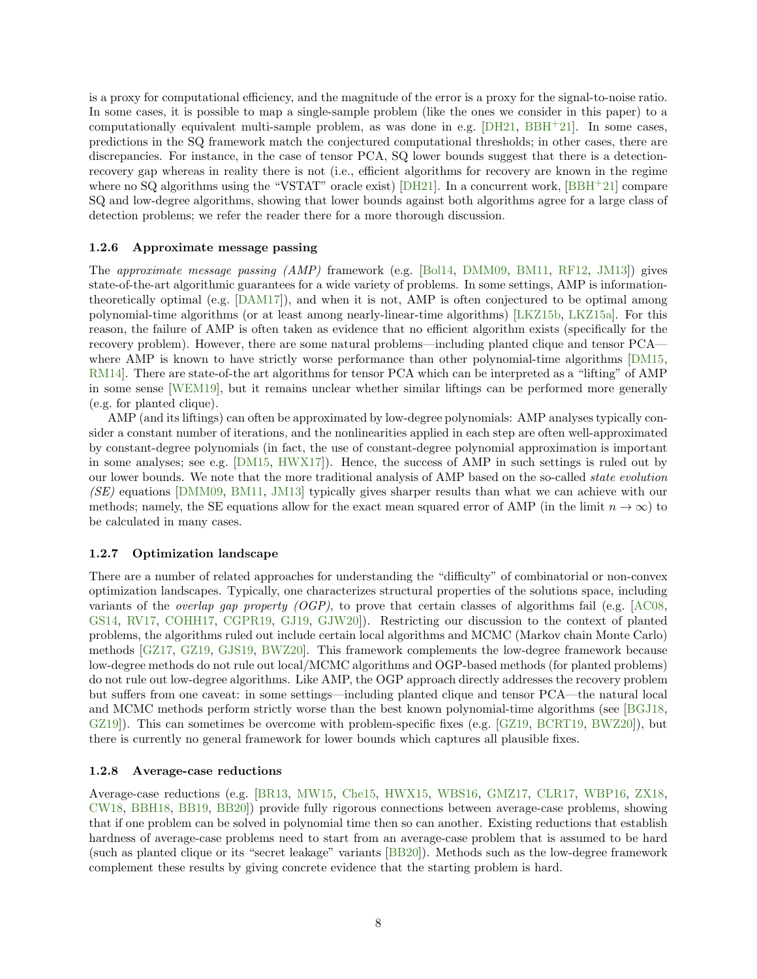is a proxy for computational efficiency, and the magnitude of the error is a proxy for the signal-to-noise ratio. In some cases, it is possible to map a single-sample problem (like the ones we consider in this paper) to a computationally equivalent multi-sample problem, as was done in e.g. [\[DH21,](#page-43-9) [BBH](#page-41-6)+21]. In some cases, predictions in the SQ framework match the conjectured computational thresholds; in other cases, there are discrepancies. For instance, in the case of tensor PCA, SQ lower bounds suggest that there is a detectionrecovery gap whereas in reality there is not (i.e., efficient algorithms for recovery are known in the regime where no SQ algorithms using the "VSTAT" oracle exist) [\[DH21\]](#page-43-9). In a concurrent work, [\[BBH](#page-41-6)+21] compare SQ and low-degree algorithms, showing that lower bounds against both algorithms agree for a large class of detection problems; we refer the reader there for a more thorough discussion.

#### 1.2.6 Approximate message passing

The approximate message passing (AMP) framework (e.g. [\[Bol14,](#page-42-10) [DMM09,](#page-43-2) [BM11,](#page-42-11) [RF12,](#page-46-2) [JM13\]](#page-45-5)) gives state-of-the-art algorithmic guarantees for a wide variety of problems. In some settings, AMP is informationtheoretically optimal (e.g. [\[DAM17\]](#page-43-10)), and when it is not, AMP is often conjectured to be optimal among polynomial-time algorithms (or at least among nearly-linear-time algorithms) [\[LKZ15b,](#page-45-11) [LKZ15a\]](#page-45-12). For this reason, the failure of AMP is often taken as evidence that no efficient algorithm exists (specifically for the recovery problem). However, there are some natural problems—including planted clique and tensor PCA— where AMP is known to have strictly worse performance than other polynomial-time algorithms [\[DM15,](#page-43-11) RM14. There are state-of-the art algorithms for tensor PCA which can be interpreted as a "lifting" of AMP in some sense [\[WEM19\]](#page-46-5), but it remains unclear whether similar liftings can be performed more generally (e.g. for planted clique).

AMP (and its liftings) can often be approximated by low-degree polynomials: AMP analyses typically consider a constant number of iterations, and the nonlinearities applied in each step are often well-approximated by constant-degree polynomials (in fact, the use of constant-degree polynomial approximation is important in some analyses; see e.g. [\[DM15,](#page-43-11) [HWX17\]](#page-44-5)). Hence, the success of AMP in such settings is ruled out by our lower bounds. We note that the more traditional analysis of AMP based on the so-called state evolution (SE) equations [\[DMM09,](#page-43-2) [BM11,](#page-42-11) [JM13\]](#page-45-5) typically gives sharper results than what we can achieve with our methods; namely, the SE equations allow for the exact mean squared error of AMP (in the limit  $n \to \infty$ ) to be calculated in many cases.

#### 1.2.7 Optimization landscape

There are a number of related approaches for understanding the "difficulty" of combinatorial or non-convex optimization landscapes. Typically, one characterizes structural properties of the solutions space, including variants of the *overlap gap property (OGP)*, to prove that certain classes of algorithms fail (e.g.  $[AC08,$ [GS14,](#page-44-12) [RV17,](#page-46-6) [COHH17,](#page-43-12) [CGPR19,](#page-43-13) [GJ19,](#page-43-14) [GJW20\]](#page-44-4)). Restricting our discussion to the context of planted problems, the algorithms ruled out include certain local algorithms and MCMC (Markov chain Monte Carlo) methods [\[GZ17,](#page-44-0) [GZ19,](#page-44-13) [GJS19,](#page-44-6) [BWZ20\]](#page-42-7). This framework complements the low-degree framework because low-degree methods do not rule out local/MCMC algorithms and OGP-based methods (for planted problems) do not rule out low-degree algorithms. Like AMP, the OGP approach directly addresses the recovery problem but suffers from one caveat: in some settings—including planted clique and tensor PCA—the natural local and MCMC methods perform strictly worse than the best known polynomial-time algorithms (see [\[BGJ18,](#page-41-2) [GZ19\]](#page-44-13)). This can sometimes be overcome with problem-specific fixes (e.g. [\[GZ19,](#page-44-13) [BCRT19,](#page-41-8) [BWZ20\]](#page-42-7)), but there is currently no general framework for lower bounds which captures all plausible fixes.

#### 1.2.8 Average-case reductions

Average-case reductions (e.g. [\[BR13,](#page-42-1) [MW15,](#page-45-0) [Che15,](#page-43-15) [HWX15,](#page-44-14) [WBS16,](#page-46-7) [GMZ17,](#page-44-15) [CLR17,](#page-43-6) [WBP16,](#page-46-8) [ZX18,](#page-46-9) [CW18,](#page-43-16) [BBH18,](#page-41-1) [BB19,](#page-41-9) [BB20\]](#page-41-10)) provide fully rigorous connections between average-case problems, showing that if one problem can be solved in polynomial time then so can another. Existing reductions that establish hardness of average-case problems need to start from an average-case problem that is assumed to be hard (such as planted clique or its "secret leakage" variants [\[BB20\]](#page-41-10)). Methods such as the low-degree framework complement these results by giving concrete evidence that the starting problem is hard.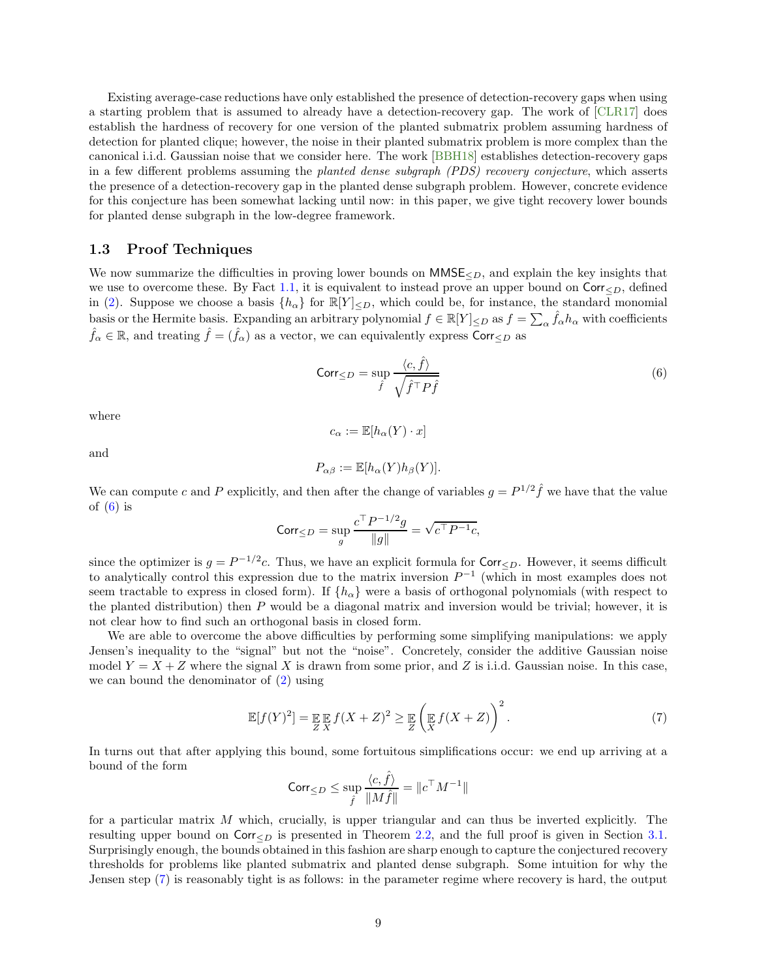Existing average-case reductions have only established the presence of detection-recovery gaps when using a starting problem that is assumed to already have a detection-recovery gap. The work of [\[CLR17\]](#page-43-6) does establish the hardness of recovery for one version of the planted submatrix problem assuming hardness of detection for planted clique; however, the noise in their planted submatrix problem is more complex than the canonical i.i.d. Gaussian noise that we consider here. The work [\[BBH18\]](#page-41-1) establishes detection-recovery gaps in a few different problems assuming the planted dense subgraph (PDS) recovery conjecture, which asserts the presence of a detection-recovery gap in the planted dense subgraph problem. However, concrete evidence for this conjecture has been somewhat lacking until now: in this paper, we give tight recovery lower bounds for planted dense subgraph in the low-degree framework.

### <span id="page-8-0"></span>1.3 Proof Techniques

We now summarize the difficulties in proving lower bounds on  $MMSE<sub>D</sub>$ , and explain the key insights that we use to overcome these. By Fact [1.1,](#page-3-2) it is equivalent to instead prove an upper bound on  $\text{Corr}_{\leq D}$ , defined in [\(2\)](#page-3-1). Suppose we choose a basis  $\{h_{\alpha}\}\$ for  $\mathbb{R}[Y]_{\leq D}$ , which could be, for instance, the standard monomial basis or the Hermite basis. Expanding an arbitrary polynomial  $f \in \mathbb{R}[Y]_{\leq D}$  as  $f = \sum_{\alpha} \hat{f}_{\alpha} h_{\alpha}$  with coefficients  $\hat{f}_{\alpha} \in \mathbb{R}$ , and treating  $\hat{f} = (\hat{f}_{\alpha})$  as a vector, we can equivalently express Corr $\lt_D$  as

<span id="page-8-1"></span>
$$
\text{Corr}_{\leq D} = \sup_{\hat{f}} \frac{\langle c, \hat{f} \rangle}{\sqrt{\hat{f}^{\top} P \hat{f}}}
$$
\n(6)

where

and

$$
P_{\alpha\beta} := \mathbb{E}[h_{\alpha}(Y)h_{\beta}(Y)].
$$

 $c_{\alpha} := \mathbb{E}[h_{\alpha}(Y) \cdot x]$ 

We can compute c and P explicitly, and then after the change of variables  $g = P^{1/2} \hat{f}$  we have that the value of  $(6)$  is

$$
Corr_{\leq D} = \sup_{g} \frac{c^{\top} P^{-1/2} g}{\|g\|} = \sqrt{c^{\top} P^{-1} c},
$$

since the optimizer is  $g = P^{-1/2}c$ . Thus, we have an explicit formula for  $\text{Corr}_{\leq D}$ . However, it seems difficult to analytically control this expression due to the matrix inversion  $P^{-1}$  (which in most examples does not seem tractable to express in closed form). If  $\{h_{\alpha}\}\$  were a basis of orthogonal polynomials (with respect to the planted distribution) then  $P$  would be a diagonal matrix and inversion would be trivial; however, it is not clear how to find such an orthogonal basis in closed form.

We are able to overcome the above difficulties by performing some simplifying manipulations: we apply Jensen's inequality to the "signal" but not the "noise". Concretely, consider the additive Gaussian noise model  $Y = X + Z$  where the signal X is drawn from some prior, and Z is i.i.d. Gaussian noise. In this case, we can bound the denominator of [\(2\)](#page-3-1) using

<span id="page-8-2"></span>
$$
\mathbb{E}[f(Y)^2] = \mathop{\mathbb{E}}_{Z} \mathop{\mathbb{E}}_{X} f(X+Z)^2 \ge \mathop{\mathbb{E}}_{Z} \left( \mathop{\mathbb{E}}_{X} f(X+Z) \right)^2.
$$
 (7)

In turns out that after applying this bound, some fortuitous simplifications occur: we end up arriving at a bound of the form

$$
\mathrm{Corr}_{\leq D}\leq \sup_{\hat{f}}\frac{\langle c,\hat{f}\rangle}{\|M\hat{f}\|}=\|c^\top M^{-1}\|
$$

for a particular matrix M which, crucially, is upper triangular and can thus be inverted explicitly. The resulting upper bound on  $\text{Corr}_{\leq D}$  is presented in Theorem [2.2,](#page-9-3) and the full proof is given in Section [3.1.](#page-15-1) Surprisingly enough, the bounds obtained in this fashion are sharp enough to capture the conjectured recovery thresholds for problems like planted submatrix and planted dense subgraph. Some intuition for why the Jensen step [\(7\)](#page-8-2) is reasonably tight is as follows: in the parameter regime where recovery is hard, the output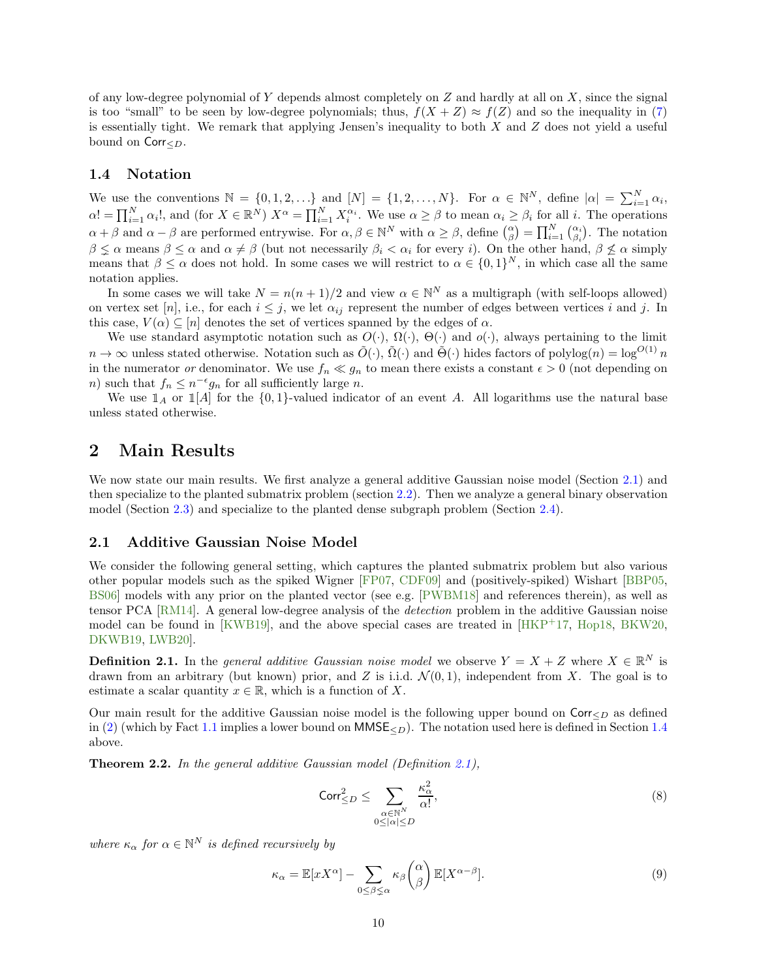of any low-degree polynomial of Y depends almost completely on Z and hardly at all on X, since the signal is too "small" to be seen by low-degree polynomials; thus,  $f(X+Z) \approx f(Z)$  and so the inequality in [\(7\)](#page-8-2) is essentially tight. We remark that applying Jensen's inequality to both  $X$  and  $Z$  does not yield a useful bound on  $\textsf{Corr}_{\leq D}$ .

#### <span id="page-9-0"></span>1.4 Notation

We use the conventions  $\mathbb{N} = \{0, 1, 2, \ldots\}$  and  $[N] = \{1, 2, \ldots, N\}$ . For  $\alpha \in \mathbb{N}^N$ , define  $|\alpha| = \sum_{i=1}^N \alpha_i$ ,  $\alpha! = \prod_{i=1}^N \alpha_i!$ , and (for  $X \in \mathbb{R}^N$ )  $X^\alpha = \prod_{i=1}^N X_i^{\alpha_i}$ . We use  $\alpha \geq \beta$  to mean  $\alpha_i \geq \beta_i$  for all i. The operations  $\alpha + \beta$  and  $\alpha - \beta$  are performed entrywise. For  $\alpha, \beta \in \mathbb{N}^N$  with  $\alpha \geq \beta$ , define  $\binom{\alpha}{\beta} = \prod_{i=1}^N \binom{\alpha_i}{\beta_i}$ . The notation  $\beta \leq \alpha$  means  $\beta \leq \alpha$  and  $\alpha \neq \beta$  (but not necessarily  $\beta_i < \alpha_i$  for every i). On the other hand,  $\beta \leq \alpha$  simply means that  $\beta \leq \alpha$  does not hold. In some cases we will restrict to  $\alpha \in \{0,1\}^N$ , in which case all the same notation applies.

In some cases we will take  $N = n(n + 1)/2$  and view  $\alpha \in \mathbb{N}^N$  as a multigraph (with self-loops allowed) on vertex set [n], i.e., for each  $i \leq j$ , we let  $\alpha_{ij}$  represent the number of edges between vertices i and j. In this case,  $V(\alpha) \subseteq [n]$  denotes the set of vertices spanned by the edges of  $\alpha$ .

We use standard asymptotic notation such as  $O(\cdot)$ ,  $\Omega(\cdot)$ ,  $\Theta(\cdot)$  and  $o(\cdot)$ , always pertaining to the limit  $n \to \infty$  unless stated otherwise. Notation such as  $\tilde{O}(\cdot)$ ,  $\tilde{\Omega}(\cdot)$  and  $\tilde{\Theta}(\cdot)$  hides factors of polylog $(n) = \log^{O(1)} n$ in the numerator or denominator. We use  $f_n \ll g_n$  to mean there exists a constant  $\epsilon > 0$  (not depending on n) such that  $f_n \leq n^{-\epsilon} g_n$  for all sufficiently large n.

We use  $\mathbb{I}_A$  or  $\mathbb{I}[A]$  for the  $\{0,1\}$ -valued indicator of an event A. All logarithms use the natural base unless stated otherwise.

# <span id="page-9-1"></span>2 Main Results

We now state our main results. We first analyze a general additive Gaussian noise model (Section [2.1\)](#page-9-2) and then specialize to the planted submatrix problem (section [2.2\)](#page-10-0). Then we analyze a general binary observation model (Section [2.3\)](#page-11-0) and specialize to the planted dense subgraph problem (Section [2.4\)](#page-12-0).

#### <span id="page-9-2"></span>2.1 Additive Gaussian Noise Model

We consider the following general setting, which captures the planted submatrix problem but also various other popular models such as the spiked Wigner [\[FP07,](#page-43-8) [CDF09\]](#page-42-15) and (positively-spiked) Wishart [\[BBP05,](#page-41-3) [BS06\]](#page-42-16) models with any prior on the planted vector (see e.g. [\[PWBM18\]](#page-46-10) and references therein), as well as tensor PCA [\[RM14\]](#page-46-4). A general low-degree analysis of the detection problem in the additive Gaussian noise model can be found in [\[KWB19\]](#page-45-2), and the above special cases are treated in  $[HKP+17, Hop18, BKW20,$  $[HKP+17, Hop18, BKW20,$  $[HKP+17, Hop18, BKW20,$  $[HKP+17, Hop18, BKW20,$ [DKWB19,](#page-43-3) [LWB20\]](#page-45-13).

<span id="page-9-4"></span>**Definition 2.1.** In the *general additive Gaussian noise model* we observe  $Y = X + Z$  where  $X \in \mathbb{R}^N$  is drawn from an arbitrary (but known) prior, and Z is i.i.d.  $\mathcal{N}(0,1)$ , independent from X. The goal is to estimate a scalar quantity  $x \in \mathbb{R}$ , which is a function of X.

Our main result for the additive Gaussian noise model is the following upper bound on  $Corr <sub>CD</sub>$  as defined in [\(2\)](#page-3-1) (which by Fact [1.1](#page-3-2) implies a lower bound on  $MMSE_{\le D}$ ). The notation used here is defined in Section [1.4](#page-9-0) above.

<span id="page-9-3"></span>Theorem 2.2. In the general additive Gaussian model (Definition [2.1\)](#page-9-4),

<span id="page-9-6"></span>
$$
\operatorname{Corr}_{\leq D}^2 \leq \sum_{\substack{\alpha \in \mathbb{N}^N \\ 0 \leq |\alpha| \leq D}} \frac{\kappa_\alpha^2}{\alpha!},\tag{8}
$$

where  $\kappa_{\alpha}$  for  $\alpha \in \mathbb{N}^N$  is defined recursively by

<span id="page-9-5"></span>
$$
\kappa_{\alpha} = \mathbb{E}[xX^{\alpha}] - \sum_{0 \le \beta \le \alpha} \kappa_{\beta} {\alpha \choose \beta} \mathbb{E}[X^{\alpha-\beta}].
$$
\n(9)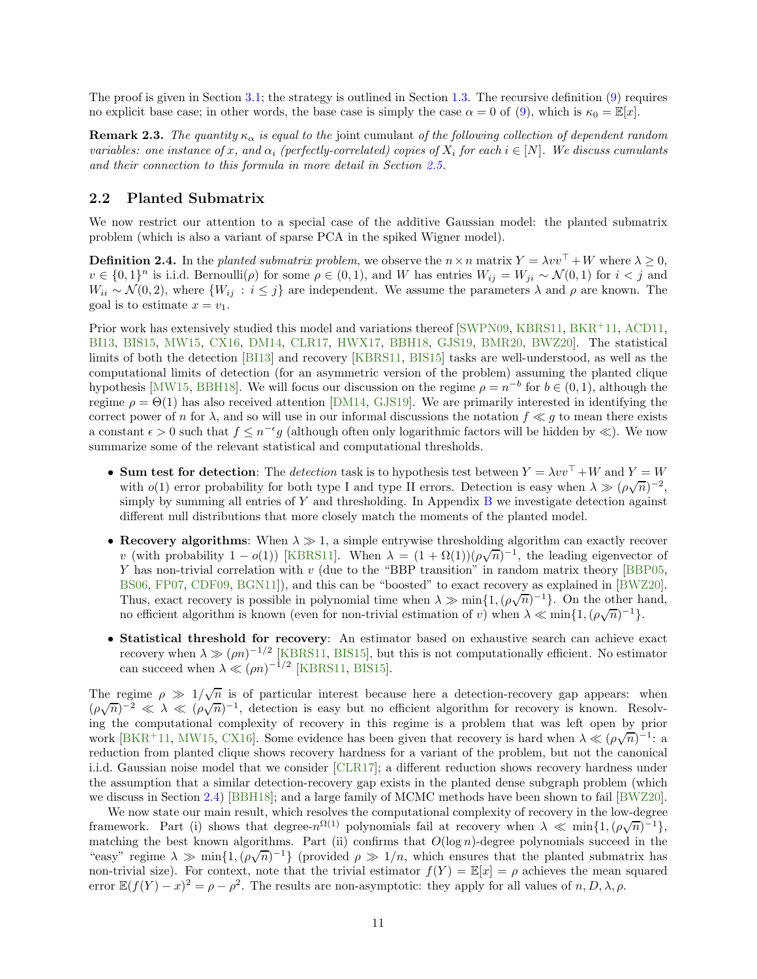The proof is given in Section [3.1;](#page-15-1) the strategy is outlined in Section [1.3.](#page-8-0) The recursive definition [\(9\)](#page-9-5) requires no explicit base case; in other words, the base case is simply the case  $\alpha = 0$  of [\(9\)](#page-9-5), which is  $\kappa_0 = \mathbb{E}[x]$ .

<span id="page-10-2"></span>**Remark 2.3.** The quantity  $\kappa_{\alpha}$  is equal to the joint cumulant of the following collection of dependent random variables: one instance of x, and  $\alpha_i$  (perfectly-correlated) copies of  $X_i$  for each  $i \in [N]$ . We discuss cumulants and their connection to this formula in more detail in Section [2.5.](#page-14-0)

### <span id="page-10-0"></span>2.2 Planted Submatrix

We now restrict our attention to a special case of the additive Gaussian model: the planted submatrix problem (which is also a variant of sparse PCA in the spiked Wigner model).

<span id="page-10-1"></span>**Definition 2.4.** In the planted submatrix problem, we observe the  $n \times n$  matrix  $Y = \lambda vv^\top + W$  where  $\lambda > 0$ ,  $v \in \{0,1\}^n$  is i.i.d. Bernoulli $(\rho)$  for some  $\rho \in (0,1)$ , and W has entries  $W_{ij} = W_{ji} \sim \mathcal{N}(0,1)$  for  $i < j$  and  $W_{ii} \sim \mathcal{N}(0, 2)$ , where  $\{W_{ij} : i \leq j\}$  are independent. We assume the parameters  $\lambda$  and  $\rho$  are known. The goal is to estimate  $x = v_1$ .

Prior work has extensively studied this model and variations thereof [\[SWPN09,](#page-46-11) [KBRS11,](#page-45-4) [BKR](#page-42-8)<sup>+</sup>11, [ACD11,](#page-41-11) [BI13,](#page-42-4) [BIS15,](#page-42-5) [MW15,](#page-45-0) [CX16,](#page-43-5) [DM14,](#page-43-7) [CLR17,](#page-43-6) [HWX17,](#page-44-5) [BBH18,](#page-41-1) [GJS19,](#page-44-6) [BMR20,](#page-42-6) [BWZ20\]](#page-42-7). The statistical limits of both the detection [\[BI13\]](#page-42-4) and recovery [\[KBRS11,](#page-45-4) [BIS15\]](#page-42-5) tasks are well-understood, as well as the computational limits of detection (for an asymmetric version of the problem) assuming the planted clique hypothesis [\[MW15,](#page-45-0) [BBH18\]](#page-41-1). We will focus our discussion on the regime  $\rho = n^{-b}$  for  $b \in (0, 1)$ , although the regime  $\rho = \Theta(1)$  has also received attention [\[DM14,](#page-43-7) [GJS19\]](#page-44-6). We are primarily interested in identifying the correct power of n for  $\lambda$ , and so will use in our informal discussions the notation  $f \ll q$  to mean there exists a constant  $\epsilon > 0$  such that  $f \leq n^{-\epsilon}g$  (although often only logarithmic factors will be hidden by  $\ll$ ). We now summarize some of the relevant statistical and computational thresholds.

- Sum test for detection: The detection task is to hypothesis test between  $Y = \lambda vv^{\top} + W$  and  $Y = W$ with  $o(1)$  error probability for both type I and type II errors. Detection is easy when  $\lambda \gg (\rho\sqrt{n})^{-2}$ , simply by summing all entries of  $Y$  and thresholding. In Appendix  $B$  we investigate detection against different null distributions that more closely match the moments of the planted model.
- Recovery algorithms: When  $\lambda \gg 1$ , a simple entrywise thresholding algorithm can exactly recover v (with probability  $1 - o(1)$ ) [\[KBRS11\]](#page-45-4). When  $\lambda = (1 + \Omega(1))(\rho\sqrt{n})^{-1}$ , the leading eigenvector of Y has non-trivial correlation with  $v$  (due to the "BBP transition" in random matrix theory [\[BBP05,](#page-41-3) [BS06,](#page-42-16) [FP07,](#page-43-8) [CDF09,](#page-42-15) [BGN11\]](#page-42-9)), and this can be "boosted" to exact recovery as explained in [\[BWZ20\]](#page-42-7). Thus, exact recovery is possible in polynomial time when  $\lambda \gg \min\{1, (\rho\sqrt{n})^{-1}\}\.$  On the other hand, no efficient algorithm is known (even for non-trivial estimation of v) when  $\lambda \ll \min\{1, (\rho\sqrt{n})^{-1}\}.$
- Statistical threshold for recovery: An estimator based on exhaustive search can achieve exact recovery when  $\lambda \gg (\rho n)^{-1/2}$  [\[KBRS11,](#page-45-4) [BIS15\]](#page-42-5), but this is not computationally efficient. No estimator can succeed when  $\lambda \ll (\rho n)^{-1/2}$  [\[KBRS11,](#page-45-4) [BIS15\]](#page-42-5).

The regime  $\rho \gg 1/\sqrt{n}$  is of particular interest because here a detection-recovery gap appears: when  $(\rho\sqrt{n})^{-2} \ll \lambda \ll (\rho\sqrt{n})^{-1}$ , detection is easy but no efficient algorithm for recovery is known. Resolving the computational complexity of recovery in this regime is a problem that was left open by prior work [\[BKR](#page-42-8)<sup>+</sup>11, [MW15,](#page-45-0) [CX16\]](#page-43-5). Some evidence has been given that recovery is hard when  $\lambda \ll (\rho\sqrt{n})^{-1}$ : a reduction from planted clique shows recovery hardness for a variant of the problem, but not the canonical i.i.d. Gaussian noise model that we consider [\[CLR17\]](#page-43-6); a different reduction shows recovery hardness under the assumption that a similar detection-recovery gap exists in the planted dense subgraph problem (which we discuss in Section [2.4\)](#page-12-0) [\[BBH18\]](#page-41-1); and a large family of MCMC methods have been shown to fail [\[BWZ20\]](#page-42-7).

We now state our main result, which resolves the computational complexity of recovery in the low-degree framework. Part (i) shows that degree- $n^{\Omega(1)}$  polynomials fail at recovery when  $\lambda \ll \min\{1, (\rho\sqrt{n})^{-1}\},$ matching the best known algorithms. Part (ii) confirms that  $O(\log n)$ -degree polynomials succeed in the "easy" regime  $\lambda \gg \min\{1, (\rho\sqrt{n})^{-1}\}\$  (provided  $\rho \gg 1/n$ , which ensures that the planted submatrix has non-trivial size). For context, note that the trivial estimator  $f(Y) = \mathbb{E}[x] = \rho$  achieves the mean squared error  $\mathbb{E}(f(Y) - x)^2 = \rho - \rho^2$ . The results are non-asymptotic: they apply for all values of  $n, D, \lambda, \rho$ .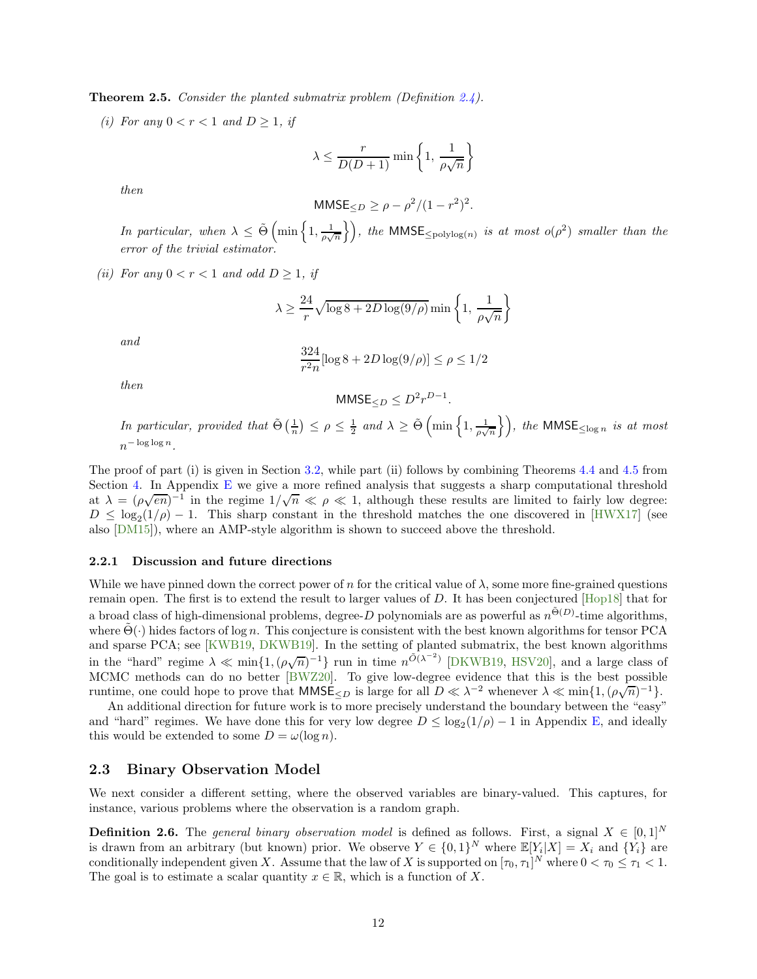<span id="page-11-1"></span>**Theorem 2.5.** Consider the planted submatrix problem (Definition  $2.4$ ).

(i) For any  $0 < r < 1$  and  $D \ge 1$ , if

$$
\lambda \le \frac{r}{D(D+1)} \min \left\{ 1, \frac{1}{\rho \sqrt{n}} \right\}
$$

then

$$
MMSE_{\leq D} \geq \rho - \rho^2/(1 - r^2)^2.
$$

In particular, when  $\lambda \leq \tilde{\Theta} \left( \min \left\{ 1, \frac{1}{\rho \sqrt{n}} \right\} \right)$ , the MMSE<sub> $\leq$ polylog(n)</sub> is at most  $o(\rho^2)$  smaller than the error of the trivial estimator.

(ii) For any  $0 < r < 1$  and odd  $D \ge 1$ , if

$$
\lambda \geq \frac{24}{r}\sqrt{\log 8 + 2D\log(9/\rho)}\min\left\{1,\,\frac{1}{\rho\sqrt{n}}\right\}
$$

and

$$
\frac{324}{r^2 n} [\log 8 + 2D \log(9/\rho)] \le \rho \le 1/2
$$

then

$$
MMSE_{\leq D} \leq D^2 r^{D-1}.
$$

In particular, provided that  $\tilde{\Theta}(\frac{1}{n}) \leq \rho \leq \frac{1}{2}$  and  $\lambda \geq \tilde{\Theta}(\min\left\{1,\frac{1}{\rho\sqrt{n}}\right\})$ , the MMSE<sub> $\leq \log n$ </sub> is at most  $n^{-\log\log n}$ .

The proof of part (i) is given in Section [3.2,](#page-16-0) while part (ii) follows by combining Theorems [4.4](#page-25-0) and [4.5](#page-25-1) from Section [4.](#page-23-0) In Appendix [E](#page-36-0) we give a more refined analysis that suggests a sharp computational threshold at  $\lambda = (\rho \sqrt{en})^{-1}$  in the regime  $1/\sqrt{n} \ll \rho \ll 1$ , although these results are limited to fairly low degree:  $D \leq \log_2(1/\rho) - 1$ . This sharp constant in the threshold matches the one discovered in [\[HWX17\]](#page-44-5) (see also [\[DM15\]](#page-43-11)), where an AMP-style algorithm is shown to succeed above the threshold.

#### 2.2.1 Discussion and future directions

While we have pinned down the correct power of n for the critical value of  $\lambda$ , some more fine-grained questions remain open. The first is to extend the result to larger values of D. It has been conjectured [\[Hop18\]](#page-44-3) that for a broad class of high-dimensional problems, degree-D polynomials are as powerful as  $n^{\tilde{\Theta}(D)}$ -time algorithms, where  $\Theta(\cdot)$  hides factors of log n. This conjecture is consistent with the best known algorithms for tensor PCA and sparse PCA; see [\[KWB19,](#page-45-2) [DKWB19\]](#page-43-3). In the setting of planted submatrix, the best known algorithms in the "hard" regime  $\lambda \ll \min\{1, (\rho\sqrt{n})^{-1}\}\$ run in time  $n^{\tilde{O}(\lambda^{-2})}$  [\[DKWB19,](#page-43-3) [HSV20\]](#page-44-16), and a large class of MCMC methods can do no better [\[BWZ20\]](#page-42-7). To give low-degree evidence that this is the best possible runtime, one could hope to prove that  $MMSE_{\leq D}$  is large for all  $D \ll \lambda^{-2}$  whenever  $\lambda \ll \min\{1, (\rho\sqrt{n})^{-1}\}.$ 

An additional direction for future work is to more precisely understand the boundary between the "easy" and "hard" regimes. We have done this for very low degree  $D \leq \log_2(1/\rho) - 1$  in Appendix [E,](#page-36-0) and ideally this would be extended to some  $D = \omega(\log n)$ .

### <span id="page-11-0"></span>2.3 Binary Observation Model

We next consider a different setting, where the observed variables are binary-valued. This captures, for instance, various problems where the observation is a random graph.

<span id="page-11-2"></span>**Definition 2.6.** The general binary observation model is defined as follows. First, a signal  $X \in [0,1]^N$ is drawn from an arbitrary (but known) prior. We observe  $Y \in \{0,1\}^N$  where  $\mathbb{E}[Y_i|X] = X_i$  and  $\{Y_i\}$  are conditionally independent given X. Assume that the law of X is supported on  $[\tau_0, \tau_1]^N$  where  $0 < \tau_0 \leq \tau_1 < 1$ . The goal is to estimate a scalar quantity  $x \in \mathbb{R}$ , which is a function of X.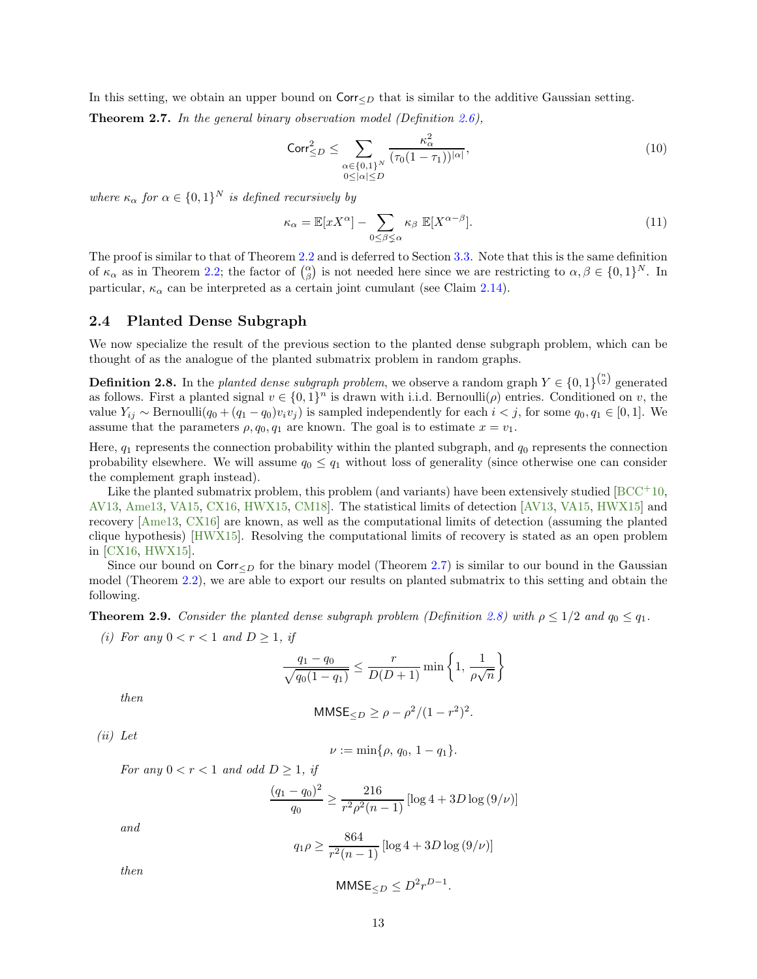In this setting, we obtain an upper bound on  $\text{Corr}_{\leq D}$  that is similar to the additive Gaussian setting.

<span id="page-12-1"></span>**Theorem 2.7.** In the general binary observation model (Definition [2.6\)](#page-11-2),

<span id="page-12-5"></span>
$$
\operatorname{Corr}_{\leq D}^2 \leq \sum_{\substack{\alpha \in \{0,1\}^N \\ 0 \leq |\alpha| \leq D}} \frac{\kappa_\alpha^2}{(\tau_0 (1 - \tau_1))^{|\alpha|}},\tag{10}
$$

where  $\kappa_{\alpha}$  for  $\alpha \in \{0,1\}^N$  is defined recursively by

<span id="page-12-4"></span>
$$
\kappa_{\alpha} = \mathbb{E}[xX^{\alpha}] - \sum_{0 \le \beta \le \alpha} \kappa_{\beta} \mathbb{E}[X^{\alpha - \beta}].
$$
\n(11)

The proof is similar to that of Theorem [2.2](#page-9-3) and is deferred to Section [3.3.](#page-18-0) Note that this is the same definition of  $\kappa_{\alpha}$  as in Theorem [2.2;](#page-9-3) the factor of  $\binom{\alpha}{\beta}$  is not needed here since we are restricting to  $\alpha, \beta \in \{0, 1\}^N$ . In particular,  $\kappa_{\alpha}$  can be interpreted as a certain joint cumulant (see Claim [2.14\)](#page-14-1).

#### <span id="page-12-0"></span>2.4 Planted Dense Subgraph

We now specialize the result of the previous section to the planted dense subgraph problem, which can be thought of as the analogue of the planted submatrix problem in random graphs.

<span id="page-12-2"></span>**Definition 2.8.** In the planted dense subgraph problem, we observe a random graph  $Y \in \{0,1\}^{\binom{n}{2}}$  generated as follows. First a planted signal  $v \in \{0,1\}^n$  is drawn with i.i.d. Bernoulli $(\rho)$  entries. Conditioned on v, the value  $Y_{ij}$  ∼ Bernoulli $(q_0 + (q_1 - q_0)v_iv_j)$  is sampled independently for each  $i < j$ , for some  $q_0, q_1 \in [0, 1]$ . We assume that the parameters  $\rho, q_0, q_1$  are known. The goal is to estimate  $x = v_1$ .

Here,  $q_1$  represents the connection probability within the planted subgraph, and  $q_0$  represents the connection probability elsewhere. We will assume  $q_0 \leq q_1$  without loss of generality (since otherwise one can consider the complement graph instead).

Like the planted submatrix problem, this problem (and variants) have been extensively studied [\[BCC](#page-41-12)+10, [AV13,](#page-41-13) [Ame13,](#page-41-14) [VA15,](#page-46-12) [CX16,](#page-43-5) [HWX15,](#page-44-14) [CM18\]](#page-43-17). The statistical limits of detection [\[AV13,](#page-41-13) [VA15,](#page-46-12) [HWX15\]](#page-44-14) and recovery [\[Ame13,](#page-41-14) [CX16\]](#page-43-5) are known, as well as the computational limits of detection (assuming the planted clique hypothesis) [\[HWX15\]](#page-44-14). Resolving the computational limits of recovery is stated as an open problem in [\[CX16,](#page-43-5) [HWX15\]](#page-44-14).

Since our bound on  $\text{Corr}_{\leq D}$  for the binary model (Theorem [2.7\)](#page-12-1) is similar to our bound in the Gaussian model (Theorem [2.2\)](#page-9-3), we are able to export our results on planted submatrix to this setting and obtain the following.

<span id="page-12-3"></span>**Theorem 2.9.** Consider the planted dense subgraph problem (Definition [2.8\)](#page-12-2) with  $\rho \leq 1/2$  and  $q_0 \leq q_1$ .

(i) For any  $0 < r < 1$  and  $D > 1$ , if

$$
\frac{q_1 - q_0}{\sqrt{q_0(1 - q_1)}} \le \frac{r}{D(D+1)} \min\left\{1, \frac{1}{\rho\sqrt{n}}\right\}
$$

then

$$
MMSE_{\leq D} \geq \rho - \rho^2/(1 - r^2)^2.
$$

(ii) Let

$$
\nu := \min\{\rho, q_0, 1 - q_1\}.
$$

For any  $0 < r < 1$  and odd  $D \ge 1$ , if

$$
\frac{(q_1 - q_0)^2}{q_0} \ge \frac{216}{r^2 \rho^2 (n-1)} \left[ \log 4 + 3D \log \left( 9/\nu \right) \right]
$$

and

$$
q_1 \rho \ge \frac{864}{r^2(n-1)} \left[ \log 4 + 3D \log (9/\nu) \right]
$$

then

$$
MMSE_{\leq D} \leq D^2 r^{D-1}.
$$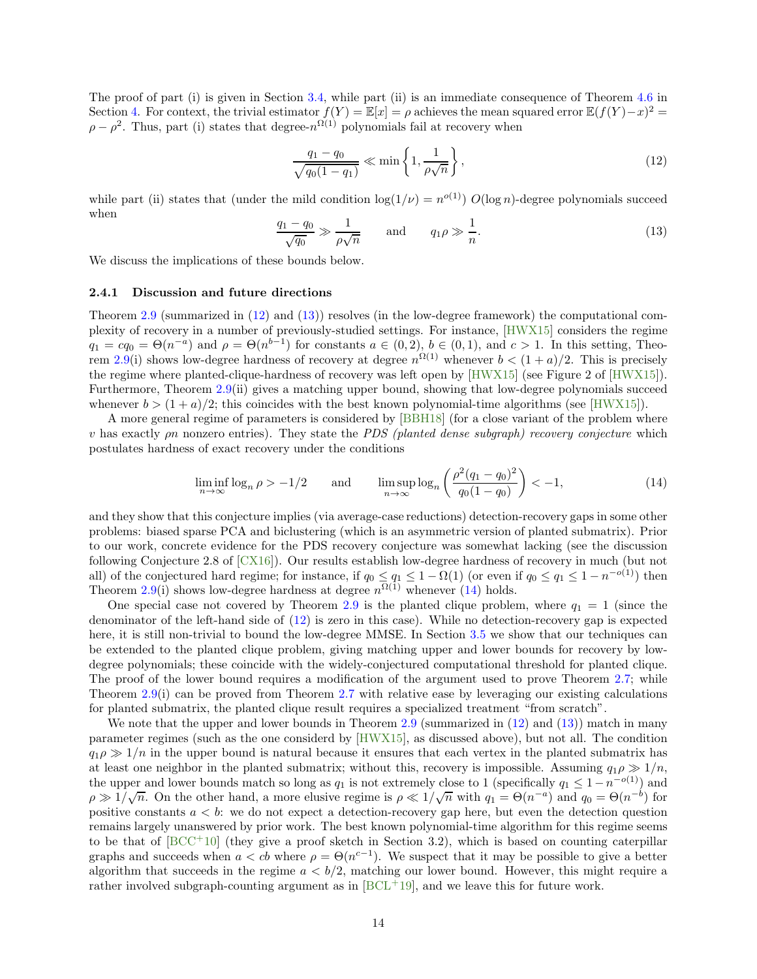The proof of part (i) is given in Section [3.4,](#page-19-0) while part (ii) is an immediate consequence of Theorem [4.6](#page-26-1) in Section [4.](#page-23-0) For context, the trivial estimator  $f(Y) = \mathbb{E}[x] = \rho$  achieves the mean squared error  $\mathbb{E}(f(Y) - x)^2 =$  $\rho - \rho^2$ . Thus, part (i) states that degree- $n^{\Omega(1)}$  polynomials fail at recovery when

<span id="page-13-0"></span>
$$
\frac{q_1 - q_0}{\sqrt{q_0(1 - q_1)}} \ll \min\left\{1, \frac{1}{\rho\sqrt{n}}\right\},\tag{12}
$$

while part (ii) states that (under the mild condition  $\log(1/\nu) = n^{o(1)}$ )  $O(\log n)$ -degree polynomials succeed when

<span id="page-13-1"></span>
$$
\frac{q_1 - q_0}{\sqrt{q_0}} \gg \frac{1}{\rho \sqrt{n}} \quad \text{and} \quad q_1 \rho \gg \frac{1}{n}.\tag{13}
$$

We discuss the implications of these bounds below.

#### 2.4.1 Discussion and future directions

Theorem [2.9](#page-12-3) (summarized in [\(12\)](#page-13-0) and [\(13\)](#page-13-1)) resolves (in the low-degree framework) the computational complexity of recovery in a number of previously-studied settings. For instance, [\[HWX15\]](#page-44-14) considers the regime  $q_1 = cq_0 = \Theta(n^{-a})$  and  $\rho = \Theta(n^{b-1})$  for constants  $a \in (0, 2), b \in (0, 1)$ , and  $c > 1$ . In this setting, Theo-rem [2.9\(](#page-12-3)i) shows low-degree hardness of recovery at degree  $n^{\Omega(1)}$  whenever  $b < (1 + a)/2$ . This is precisely the regime where planted-clique-hardness of recovery was left open by [\[HWX15\]](#page-44-14) (see Figure 2 of [\[HWX15\]](#page-44-14)). Furthermore, Theorem [2.9\(](#page-12-3)ii) gives a matching upper bound, showing that low-degree polynomials succeed whenever  $b > (1 + a)/2$ ; this coincides with the best known polynomial-time algorithms (see [\[HWX15\]](#page-44-14)).

A more general regime of parameters is considered by [\[BBH18\]](#page-41-1) (for a close variant of the problem where v has exactly  $\rho n$  nonzero entries). They state the *PDS (planted dense subgraph) recovery conjecture* which postulates hardness of exact recovery under the conditions

<span id="page-13-2"></span>
$$
\liminf_{n \to \infty} \log_n \rho > -1/2 \qquad \text{and} \qquad \limsup_{n \to \infty} \log_n \left( \frac{\rho^2 (q_1 - q_0)^2}{q_0 (1 - q_0)} \right) < -1,\tag{14}
$$

and they show that this conjecture implies (via average-case reductions) detection-recovery gaps in some other problems: biased sparse PCA and biclustering (which is an asymmetric version of planted submatrix). Prior to our work, concrete evidence for the PDS recovery conjecture was somewhat lacking (see the discussion following Conjecture 2.8 of [\[CX16\]](#page-43-5)). Our results establish low-degree hardness of recovery in much (but not all) of the conjectured hard regime; for instance, if  $q_0 \leq q_1 \leq 1 - \Omega(1)$  (or even if  $q_0 \leq q_1 \leq 1 - n^{-o(1)}$ ) then Theorem [2.9\(](#page-12-3)i) shows low-degree hardness at degree  $n^{\Omega(1)}$  whenever [\(14\)](#page-13-2) holds.

One special case not covered by Theorem [2.9](#page-12-3) is the planted clique problem, where  $q_1 = 1$  (since the denominator of the left-hand side of [\(12\)](#page-13-0) is zero in this case). While no detection-recovery gap is expected here, it is still non-trivial to bound the low-degree MMSE. In Section [3.5](#page-20-0) we show that our techniques can be extended to the planted clique problem, giving matching upper and lower bounds for recovery by lowdegree polynomials; these coincide with the widely-conjectured computational threshold for planted clique. The proof of the lower bound requires a modification of the argument used to prove Theorem [2.7;](#page-12-1) while Theorem [2.9\(](#page-12-3)i) can be proved from Theorem [2.7](#page-12-1) with relative ease by leveraging our existing calculations for planted submatrix, the planted clique result requires a specialized treatment "from scratch".

We note that the upper and lower bounds in Theorem [2.9](#page-12-3) (summarized in  $(12)$  and  $(13)$ ) match in many parameter regimes (such as the one considerd by [\[HWX15\]](#page-44-14), as discussed above), but not all. The condition  $q_1 \rho \gg 1/n$  in the upper bound is natural because it ensures that each vertex in the planted submatrix has at least one neighbor in the planted submatrix; without this, recovery is impossible. Assuming  $q_1 \rho \gg 1/n$ , the upper and lower bounds match so long as  $q_1$  is not extremely close to 1 (specifically  $q_1 \leq 1-n^{-o(1)}$ ) and  $\rho \gg 1/\sqrt{n}$ . On the other hand, a more elusive regime is  $\rho \ll 1/\sqrt{n}$  with  $q_1 = \Theta(n^{-a})$  and  $q_0 = \Theta(n^{-b})$  for positive constants  $a < b$ : we do not expect a detection-recovery gap here, but even the detection question remains largely unanswered by prior work. The best known polynomial-time algorithm for this regime seems to be that of  $[BCC^+10]$  (they give a proof sketch in Section 3.2), which is based on counting caterpillar graphs and succeeds when  $a < cb$  where  $\rho = \Theta(n^{c-1})$ . We suspect that it may be possible to give a better algorithm that succeeds in the regime  $a < b/2$ , matching our lower bound. However, this might require a rather involved subgraph-counting argument as in  $[BCL+19]$ , and we leave this for future work.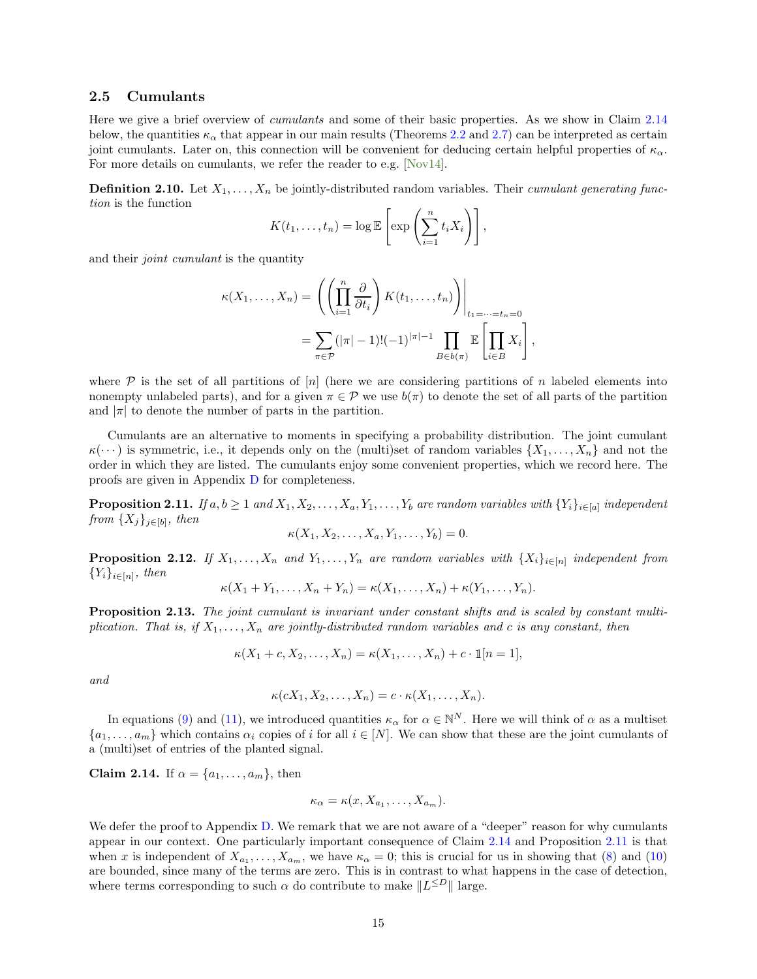#### <span id="page-14-0"></span>2.5 Cumulants

Here we give a brief overview of cumulants and some of their basic properties. As we show in Claim [2.14](#page-14-1) below, the quantities  $\kappa_{\alpha}$  that appear in our main results (Theorems [2.2](#page-9-3) and [2.7\)](#page-12-1) can be interpreted as certain joint cumulants. Later on, this connection will be convenient for deducing certain helpful properties of  $\kappa_{\alpha}$ . For more details on cumulants, we refer the reader to e.g. [\[Nov14\]](#page-45-14).

<span id="page-14-5"></span>**Definition 2.10.** Let  $X_1, \ldots, X_n$  be jointly-distributed random variables. Their *cumulant generating func*tion is the function

$$
K(t_1,\ldots,t_n)=\log \mathbb{E}\left[\exp\left(\sum_{i=1}^n t_i X_i\right)\right],
$$

and their *joint cumulant* is the quantity

$$
\kappa(X_1,\ldots,X_n) = \left( \left( \prod_{i=1}^n \frac{\partial}{\partial t_i} \right) K(t_1,\ldots,t_n) \right) \Big|_{t_1=\cdots=t_n=0}
$$
  
= 
$$
\sum_{\pi \in \mathcal{P}} (|\pi| - 1)! (-1)^{|\pi|-1} \prod_{B \in b(\pi)} \mathbb{E} \left[ \prod_{i \in B} X_i \right],
$$

where  $P$  is the set of all partitions of  $[n]$  (here we are considering partitions of n labeled elements into nonempty unlabeled parts), and for a given  $\pi \in \mathcal{P}$  we use  $b(\pi)$  to denote the set of all parts of the partition and  $|\pi|$  to denote the number of parts in the partition.

Cumulants are an alternative to moments in specifying a probability distribution. The joint cumulant  $\kappa(\cdots)$  is symmetric, i.e., it depends only on the (multi)set of random variables  $\{X_1, \ldots, X_n\}$  and not the order in which they are listed. The cumulants enjoy some convenient properties, which we record here. The proofs are given in Appendix [D](#page-35-0) for completeness.

<span id="page-14-2"></span>**Proposition 2.11.** If  $a, b \ge 1$  and  $X_1, X_2, \ldots, X_a, Y_1, \ldots, Y_b$  are random variables with  $\{Y_i\}_{i \in [a]}$  independent from  $\{X_j\}_{j\in[b]}$ , then

$$
\kappa(X_1, X_2, \ldots, X_a, Y_1, \ldots, Y_b) = 0.
$$

<span id="page-14-4"></span>**Proposition 2.12.** If  $X_1, \ldots, X_n$  and  $Y_1, \ldots, Y_n$  are random variables with  $\{X_i\}_{i \in [n]}$  independent from  ${Y_i}_{i \in [n]}$ , then

$$
\kappa(X_1+Y_1,\ldots,X_n+Y_n)=\kappa(X_1,\ldots,X_n)+\kappa(Y_1,\ldots,Y_n).
$$

<span id="page-14-3"></span>Proposition 2.13. The joint cumulant is invariant under constant shifts and is scaled by constant multiplication. That is, if  $X_1, \ldots, X_n$  are jointly-distributed random variables and c is any constant, then

$$
\kappa(X_1+c, X_2, \ldots, X_n)=\kappa(X_1, \ldots, X_n)+c \cdot \mathbb{1}[n=1],
$$

and

$$
\kappa(cX_1, X_2, \ldots, X_n) = c \cdot \kappa(X_1, \ldots, X_n).
$$

In equations [\(9\)](#page-9-5) and [\(11\)](#page-12-4), we introduced quantities  $\kappa_{\alpha}$  for  $\alpha \in \mathbb{N}^N$ . Here we will think of  $\alpha$  as a multiset  $\{a_1,\ldots,a_m\}$  which contains  $\alpha_i$  copies of i for all  $i \in [N]$ . We can show that these are the joint cumulants of a (multi)set of entries of the planted signal.

<span id="page-14-1"></span>Claim 2.14. If  $\alpha = \{a_1, \ldots, a_m\}$ , then

$$
\kappa_{\alpha} = \kappa(x, X_{a_1}, \dots, X_{a_m}).
$$

We defer the proof to Appendix [D.](#page-35-0) We remark that we are not aware of a "deeper" reason for why cumulants appear in our context. One particularly important consequence of Claim [2.14](#page-14-1) and Proposition [2.11](#page-14-2) is that when x is independent of  $X_{a_1}, \ldots, X_{a_m}$ , we have  $\kappa_\alpha = 0$ ; this is crucial for us in showing that [\(8\)](#page-9-6) and [\(10\)](#page-12-5) are bounded, since many of the terms are zero. This is in contrast to what happens in the case of detection, where terms corresponding to such  $\alpha$  do contribute to make  $||L^{\leq D}||$  large.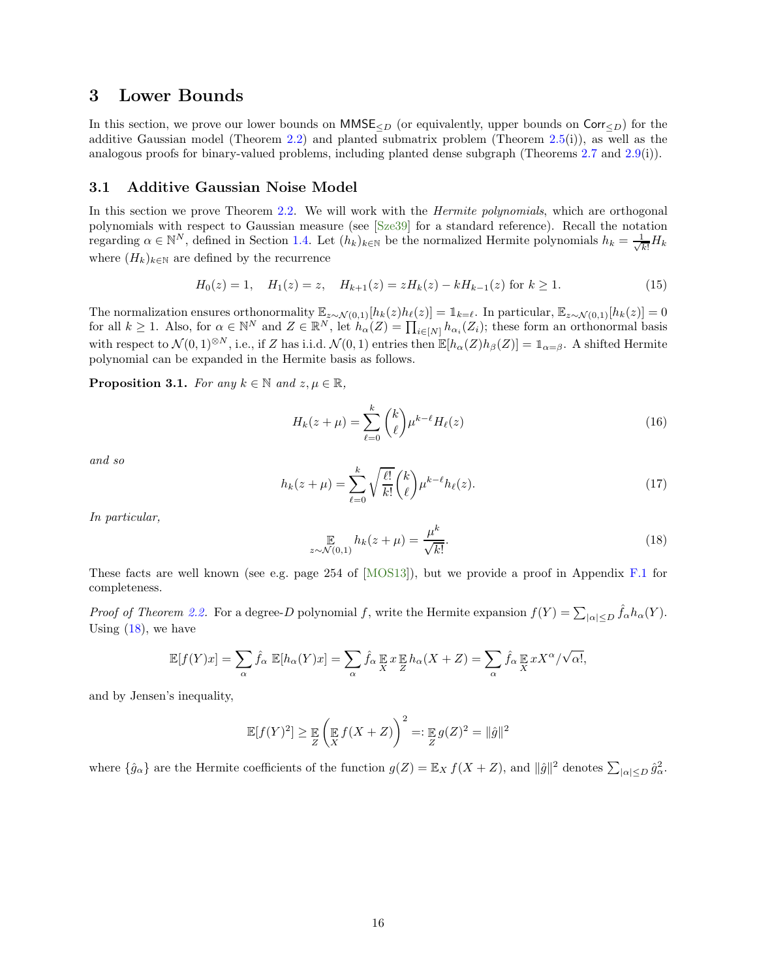# <span id="page-15-0"></span>3 Lower Bounds

In this section, we prove our lower bounds on  $MMSE_{\leq D}$  (or equivalently, upper bounds on Corr $\leq_D$ ) for the additive Gaussian model (Theorem [2.2\)](#page-9-3) and planted submatrix problem (Theorem [2.5\(](#page-11-1)i)), as well as the analogous proofs for binary-valued problems, including planted dense subgraph (Theorems [2.7](#page-12-1) and [2.9\(](#page-12-3)i)).

### <span id="page-15-1"></span>3.1 Additive Gaussian Noise Model

In this section we prove Theorem [2.2.](#page-9-3) We will work with the *Hermite polynomials*, which are orthogonal polynomials with respect to Gaussian measure (see [\[Sze39\]](#page-46-13) for a standard reference). Recall the notation regarding  $\alpha \in \mathbb{N}^N$ , defined in Section [1.4.](#page-9-0) Let  $(h_k)_{k \in \mathbb{N}}$  be the normalized Hermite polynomials  $h_k = \frac{1}{\sqrt{k}}$  $\frac{1}{k!}H_k$ where  $(H_k)_{k \in \mathbb{N}}$  are defined by the recurrence

<span id="page-15-4"></span>
$$
H_0(z) = 1, \quad H_1(z) = z, \quad H_{k+1}(z) = zH_k(z) - kH_{k-1}(z) \text{ for } k \ge 1.
$$
 (15)

The normalization ensures orthonormality  $\mathbb{E}_{z \sim \mathcal{N}(0,1)}[h_k(z)h_\ell(z)] = \mathbb{1}_{k=\ell}$ . In particular,  $\mathbb{E}_{z \sim \mathcal{N}(0,1)}[h_k(z)] = 0$ for all  $k \geq 1$ . Also, for  $\alpha \in \mathbb{N}^N$  and  $Z \in \mathbb{R}^N$ , let  $h_\alpha(Z) = \prod_{i \in [N]} h_{\alpha_i}(Z_i)$ ; these form an orthonormal basis with respect to  $\mathcal{N}(0,1)^{\otimes N}$ , i.e., if Z has i.i.d.  $\mathcal{N}(0,1)$  entries then  $\mathbb{E}[h_{\alpha}(Z)h_{\beta}(Z)] = \mathbb{1}_{\alpha=\beta}$ . A shifted Hermite polynomial can be expanded in the Hermite basis as follows.

<span id="page-15-3"></span>**Proposition 3.1.** For any  $k \in \mathbb{N}$  and  $z, \mu \in \mathbb{R}$ ,

<span id="page-15-5"></span>
$$
H_k(z+\mu) = \sum_{\ell=0}^k \binom{k}{\ell} \mu^{k-\ell} H_\ell(z) \tag{16}
$$

and so

<span id="page-15-6"></span>
$$
h_k(z+\mu) = \sum_{\ell=0}^k \sqrt{\frac{\ell!}{k!}} \binom{k}{\ell} \mu^{k-\ell} h_\ell(z). \tag{17}
$$

In particular,

<span id="page-15-2"></span>
$$
\mathop{\mathbb{E}}_{z \sim \mathcal{N}(0,1)} h_k(z+\mu) = \frac{\mu^k}{\sqrt{k!}}.
$$
\n(18)

These facts are well known (see e.g. page 254 of [\[MOS13\]](#page-45-15)), but we provide a proof in Appendix [F.1](#page-39-1) for completeness.

Proof of Theorem [2.2.](#page-9-3) For a degree-D polynomial f, write the Hermite expansion  $f(Y) = \sum_{|\alpha| \leq D} \hat{f}_{\alpha} h_{\alpha}(Y)$ . Using  $(18)$ , we have

$$
\mathbb{E}[f(Y)x] = \sum_{\alpha} \hat{f}_{\alpha} \mathbb{E}[h_{\alpha}(Y)x] = \sum_{\alpha} \hat{f}_{\alpha} \mathbb{E}[x \mathbb{E}[h_{\alpha}(X+Z)] = \sum_{\alpha} \hat{f}_{\alpha} \mathbb{E}[x \cdot X^{\alpha}/\sqrt{\alpha}],
$$

and by Jensen's inequality,

$$
\mathbb{E}[f(Y)^2] \geq \mathop{\mathbb{E}}_Z \left(\mathop{\mathbb{E}}_X f(X+Z)\right)^2 =: \mathop{\mathbb{E}}_Z g(Z)^2 = \|\hat{g}\|^2
$$

where  $\{\hat{g}_{\alpha}\}\$  are the Hermite coefficients of the function  $g(Z) = \mathbb{E}_X f(X + Z)$ , and  $\|\hat{g}\|^2$  denotes  $\sum_{|\alpha| \leq D} \hat{g}_{\alpha}^2$ .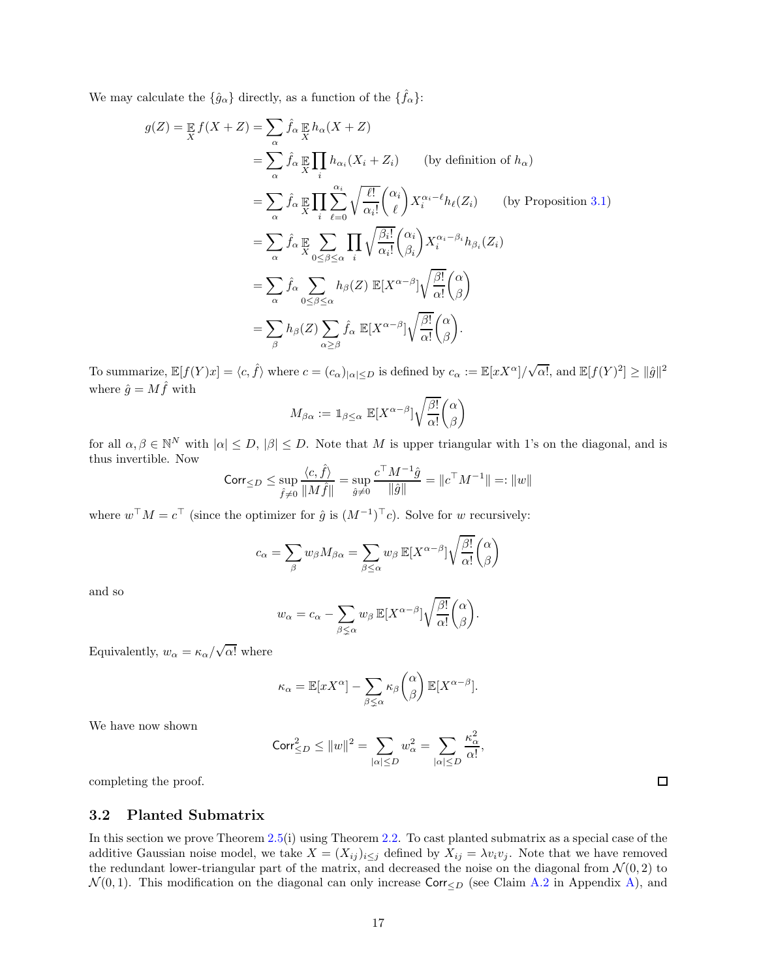We may calculate the  $\{\hat{g}_{\alpha}\}\$  directly, as a function of the  $\{\hat{f}_{\alpha}\}\$ :

$$
g(Z) = \mathbb{E} f(X+Z) = \sum_{\alpha} \hat{f}_{\alpha} \mathbb{E} h_{\alpha}(X+Z)
$$
  
\n
$$
= \sum_{\alpha} \hat{f}_{\alpha} \mathbb{E} \prod_{i} h_{\alpha_{i}}(X_{i}+Z_{i}) \qquad \text{(by definition of } h_{\alpha})
$$
  
\n
$$
= \sum_{\alpha} \hat{f}_{\alpha} \mathbb{E} \prod_{i} \sum_{\ell=0}^{\alpha_{i}} \sqrt{\frac{\ell!}{\alpha_{i}!}} {\alpha_{i} \choose \ell} X_{i}^{\alpha_{i}-\ell} h_{\ell}(Z_{i}) \qquad \text{(by Proposition 3.1)}
$$
  
\n
$$
= \sum_{\alpha} \hat{f}_{\alpha} \mathbb{E} \sum_{\alpha} \sum_{0 \le \beta \le \alpha} \prod_{i} \sqrt{\frac{\beta_{i}!}{\alpha_{i}!}} {\alpha_{i} \choose \beta_{i}} X_{i}^{\alpha_{i}-\beta_{i}} h_{\beta_{i}}(Z_{i})
$$
  
\n
$$
= \sum_{\alpha} \hat{f}_{\alpha} \sum_{0 \le \beta \le \alpha} h_{\beta}(Z) \mathbb{E}[X^{\alpha-\beta}] \sqrt{\frac{\beta!}{\alpha!}} {\alpha \choose \beta}
$$
  
\n
$$
= \sum_{\beta} h_{\beta}(Z) \sum_{\alpha \ge \beta} \hat{f}_{\alpha} \mathbb{E}[X^{\alpha-\beta}] \sqrt{\frac{\beta!}{\alpha!}} {\alpha \choose \beta}.
$$

To summarize,  $\mathbb{E}[f(Y)x] = \langle c, \hat{f} \rangle$  where  $c = (c_{\alpha})_{|\alpha| \leq D}$  is defined by  $c_{\alpha} := \mathbb{E}[xX^{\alpha}]/\sqrt{\alpha!}$ , and  $\mathbb{E}[f(Y)^{2}] \geq ||\hat{g}||^{2}$ where  $\hat{g} = M \hat{f}$  with

$$
M_{\beta\alpha} := \mathbb{1}_{\beta \leq \alpha} \ \mathbb{E}[X^{\alpha-\beta}] \sqrt{\frac{\beta!}{\alpha!}} \binom{\alpha}{\beta}
$$

for all  $\alpha, \beta \in \mathbb{N}^N$  with  $|\alpha| \leq D$ ,  $|\beta| \leq D$ . Note that M is upper triangular with 1's on the diagonal, and is thus invertible. Now

$$
\mathrm{Corr}_{\leq D}\leq \sup\limits_{\hat{f}\neq 0}\frac{\langle c,\hat{f}\rangle}{\|M\hat{f}\|}=\sup\limits_{\hat{g}\neq 0}\frac{c^\top M^{-1}\hat{g}}{\|\hat{g}\|}=\|c^\top M^{-1}\|=:\|w\|
$$

where  $w^{\top} M = c^{\top}$  (since the optimizer for  $\hat{g}$  is  $(M^{-1})^{\top} c$ ). Solve for w recursively:

$$
c_{\alpha} = \sum_{\beta} w_{\beta} M_{\beta \alpha} = \sum_{\beta \le \alpha} w_{\beta} \mathbb{E}[X^{\alpha - \beta}] \sqrt{\frac{\beta!}{\alpha!}} {\alpha \choose \beta}
$$

and so

$$
w_{\alpha} = c_{\alpha} - \sum_{\beta \leq \alpha} w_{\beta} \mathbb{E}[X^{\alpha-\beta}] \sqrt{\frac{\beta!}{\alpha!}} \binom{\alpha}{\beta}.
$$

Equivalently,  $w_{\alpha} = \kappa_{\alpha}/\sqrt{\alpha!}$  where

$$
\kappa_{\alpha} = \mathbb{E}[xX^{\alpha}] - \sum_{\beta \leq \alpha} \kappa_{\beta} {\alpha \choose \beta} \mathbb{E}[X^{\alpha-\beta}].
$$

We have now shown

$$
\mathrm{Corr}_{\leq D}^2 \leq ||w||^2 = \sum_{|\alpha| \leq D} w_{\alpha}^2 = \sum_{|\alpha| \leq D} \frac{\kappa_{\alpha}^2}{\alpha!},
$$

completing the proof.

#### <span id="page-16-0"></span>3.2 Planted Submatrix

In this section we prove Theorem [2.5\(](#page-11-1)i) using Theorem [2.2.](#page-9-3) To cast planted submatrix as a special case of the additive Gaussian noise model, we take  $X = (X_{ij})_{i \leq j}$  defined by  $X_{ij} = \lambda v_i v_j$ . Note that we have removed the redundant lower-triangular part of the matrix, and decreased the noise on the diagonal from  $\mathcal{N}(0, 2)$  to  $\mathcal{N}(0, 1)$ . This modification on the diagonal can only increase Corr $\leq_D$  (see Claim [A.2](#page-29-2) in Appendix [A\)](#page-29-0), and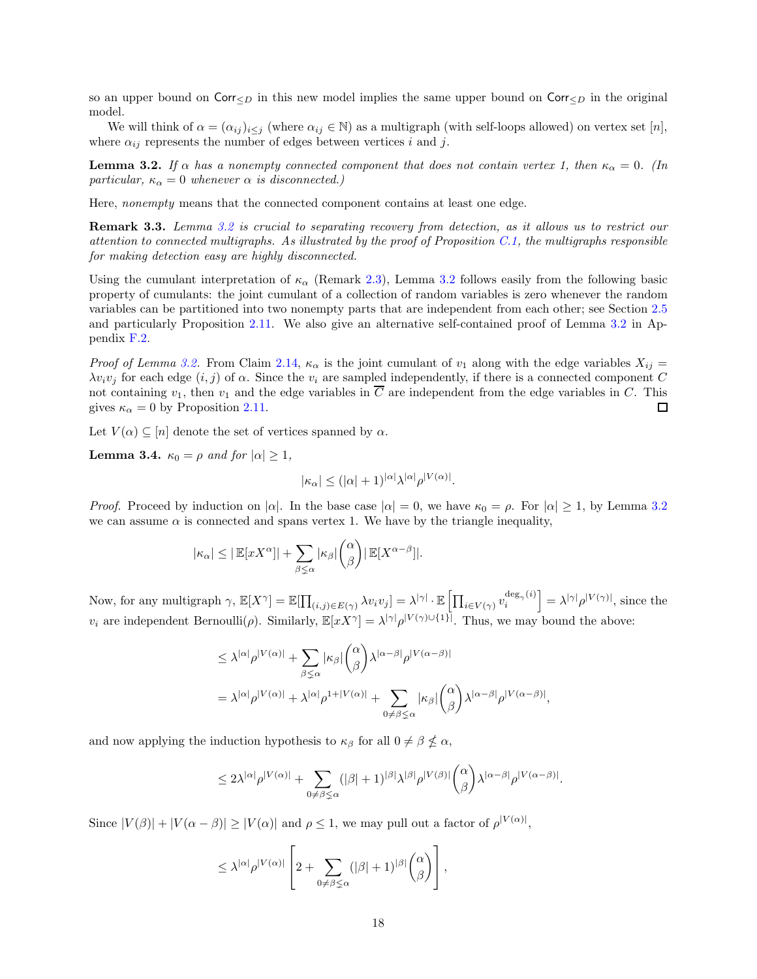so an upper bound on  $\text{Corr}_{\leq D}$  in this new model implies the same upper bound on  $\text{Corr}_{\leq D}$  in the original model.

We will think of  $\alpha = (\alpha_{ij})_{i\leq j}$  (where  $\alpha_{ij} \in \mathbb{N}$ ) as a multigraph (with self-loops allowed) on vertex set [n], where  $\alpha_{ij}$  represents the number of edges between vertices i and j.

<span id="page-17-0"></span>**Lemma 3.2.** If  $\alpha$  has a nonempty connected component that does not contain vertex 1, then  $\kappa_{\alpha} = 0$ . (In particular,  $\kappa_{\alpha} = 0$  whenever  $\alpha$  is disconnected.)

Here, nonempty means that the connected component contains at least one edge.

Remark 3.3. Lemma [3.2](#page-17-0) is crucial to separating recovery from detection, as it allows us to restrict our attention to connected multigraphs. As illustrated by the proof of Proposition [C.1,](#page-35-1) the multigraphs responsible for making detection easy are highly disconnected.

Using the cumulant interpretation of  $\kappa_\alpha$  (Remark [2.3\)](#page-10-2), Lemma [3.2](#page-17-0) follows easily from the following basic property of cumulants: the joint cumulant of a collection of random variables is zero whenever the random variables can be partitioned into two nonempty parts that are independent from each other; see Section [2.5](#page-14-0) and particularly Proposition [2.11.](#page-14-2) We also give an alternative self-contained proof of Lemma [3.2](#page-17-0) in Appendix [F.2.](#page-39-2)

*Proof of Lemma [3.2.](#page-17-0)* From Claim [2.14,](#page-14-1)  $\kappa_{\alpha}$  is the joint cumulant of  $v_1$  along with the edge variables  $X_{ij} =$  $\lambda v_i v_j$  for each edge  $(i, j)$  of  $\alpha$ . Since the  $v_i$  are sampled independently, if there is a connected component C not containing  $v_1$ , then  $v_1$  and the edge variables in  $\overline{C}$  are independent from the edge variables in  $C$ . This gives  $\kappa_{\alpha} = 0$  by Proposition [2.11.](#page-14-2) П

Let  $V(\alpha) \subseteq [n]$  denote the set of vertices spanned by  $\alpha$ .

<span id="page-17-1"></span>**Lemma 3.4.**  $\kappa_0 = \rho$  and for  $|\alpha| \geq 1$ ,

$$
|\kappa_{\alpha}| \leq (|\alpha| + 1)^{|\alpha|} \lambda^{|\alpha|} \rho^{|V(\alpha)|}.
$$

*Proof.* Proceed by induction on  $|\alpha|$ . In the base case  $|\alpha| = 0$ , we have  $\kappa_0 = \rho$ . For  $|\alpha| \ge 1$ , by Lemma [3.2](#page-17-0) we can assume  $\alpha$  is connected and spans vertex 1. We have by the triangle inequality,

$$
|\kappa_{\alpha}| \leq |\mathbb{E}[xX^{\alpha}]| + \sum_{\beta \leq \alpha} |\kappa_{\beta}| {\alpha \choose \beta} |\mathbb{E}[X^{\alpha-\beta}]|.
$$

Now, for any multigraph  $\gamma$ ,  $\mathbb{E}[X^{\gamma}] = \mathbb{E}[\prod_{(i,j) \in E(\gamma)} \lambda v_i v_j] = \lambda^{|\gamma|} \cdot \mathbb{E}[\prod_{i \in V(\gamma)} v_i^{\deg_{\gamma}(i)}] = \lambda^{|\gamma|} \rho^{|V(\gamma)|}$ , since the  $v_i$  are independent Bernoulli( $\rho$ ). Similarly,  $\mathbb{E}[xX^{\gamma}] = \lambda^{|\gamma|} \rho^{|V(\gamma) \cup \{1\}|}$ . Thus, we may bound the above:

$$
\leq \lambda^{|\alpha|} \rho^{|V(\alpha)|} + \sum_{\beta \leq \alpha} |\kappa_{\beta}| {\alpha \choose \beta} \lambda^{|\alpha-\beta|} \rho^{|V(\alpha-\beta)|}
$$
  
=  $\lambda^{|\alpha|} \rho^{|V(\alpha)|} + \lambda^{|\alpha|} \rho^{1+|V(\alpha)|} + \sum_{0 \neq \beta \leq \alpha} |\kappa_{\beta}| {\alpha \choose \beta} \lambda^{|\alpha-\beta|} \rho^{|V(\alpha-\beta)|}$ 

,

and now applying the induction hypothesis to  $\kappa_{\beta}$  for all  $0 \neq \beta \nleq \alpha$ ,

$$
\leq 2\lambda^{|\alpha|}\rho^{|V(\alpha)|}+\sum_{0\neq\beta\lneq\alpha}(|\beta|+1)^{|\beta|}\lambda^{|\beta|}\rho^{|V(\beta)|}\binom{\alpha}{\beta}\lambda^{|\alpha-\beta|}\rho^{|V(\alpha-\beta)|}.
$$

Since  $|V(\beta)| + |V(\alpha - \beta)| \ge |V(\alpha)|$  and  $\rho \le 1$ , we may pull out a factor of  $\rho^{|V(\alpha)|}$ ,

$$
\leq \lambda^{|\alpha|} \rho^{|V(\alpha)|} \left[ 2 + \sum_{0 \neq \beta \lneq \alpha} (|\beta| + 1)^{|\beta|} {\alpha \choose \beta} \right],
$$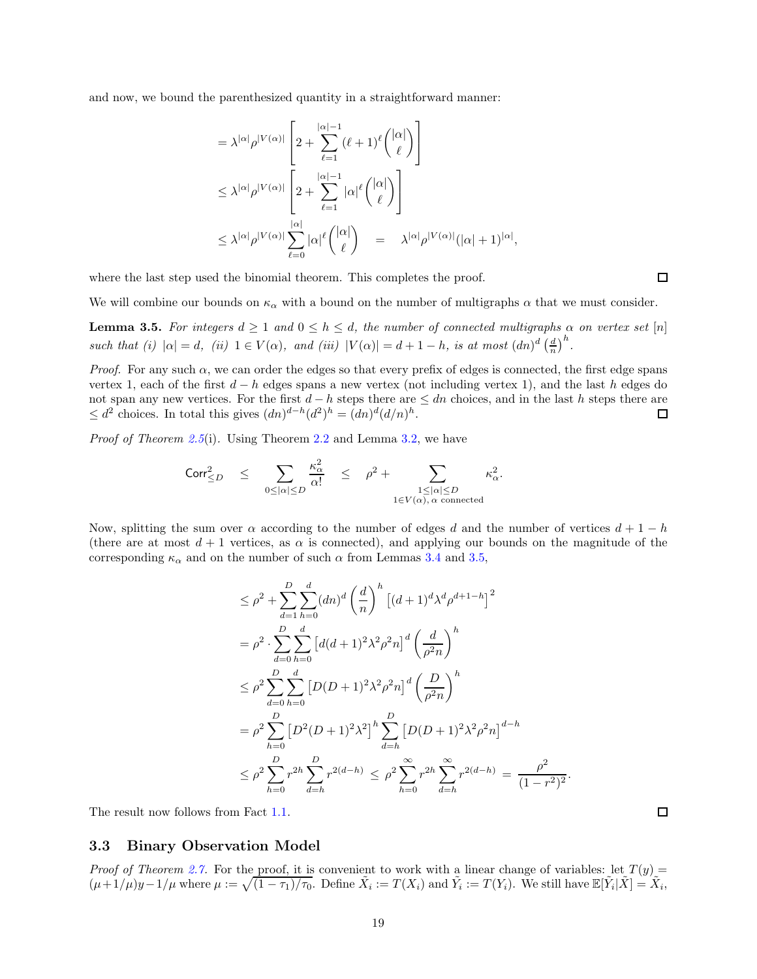and now, we bound the parenthesized quantity in a straightforward manner:

$$
= \lambda^{|\alpha|} \rho^{|V(\alpha)|} \left[ 2 + \sum_{\ell=1}^{|\alpha|-1} (\ell+1)^{\ell} {\binom{|\alpha|}{\ell}} \right]
$$
  

$$
\leq \lambda^{|\alpha|} \rho^{|V(\alpha)|} \left[ 2 + \sum_{\ell=1}^{|\alpha|-1} |\alpha|^{\ell} {\binom{|\alpha|}{\ell}} \right]
$$
  

$$
\leq \lambda^{|\alpha|} \rho^{|V(\alpha)|} \sum_{\ell=0}^{|\alpha|} |\alpha|^{\ell} {\binom{|\alpha|}{\ell}} = \lambda^{|\alpha|} \rho^{|V(\alpha)|} (|\alpha|+1)^{|\alpha|},
$$

where the last step used the binomial theorem. This completes the proof.

 $\Box$ 

 $\Box$ 

We will combine our bounds on  $\kappa_{\alpha}$  with a bound on the number of multigraphs  $\alpha$  that we must consider.

<span id="page-18-1"></span>**Lemma 3.5.** For integers  $d \ge 1$  and  $0 \le h \le d$ , the number of connected multigraphs  $\alpha$  on vertex set [n] such that (i)  $|\alpha| = d$ , (ii)  $1 \in V(\alpha)$ , and (iii)  $|V(\alpha)| = d + 1 - h$ , is at most  $(dn)^d \left(\frac{d}{n}\right)^h$ .

*Proof.* For any such  $\alpha$ , we can order the edges so that every prefix of edges is connected, the first edge spans vertex 1, each of the first  $d - h$  edges spans a new vertex (not including vertex 1), and the last h edges do not span any new vertices. For the first  $d - h$  steps there are  $\leq dn$  choices, and in the last h steps there are  $\leq d^2$  choices. In total this gives  $(dn)^{d-h}(d^2)^h = (dn)^d(d/n)^h$ . □  $\leq d^2$  choices. In total this gives  $(dn)^{d-h} (d^2)^h = (dn)^d (d/n)^h$ .

Proof of Theorem [2.5](#page-11-1)(i). Using Theorem [2.2](#page-9-3) and Lemma [3.2,](#page-17-0) we have

$$
\text{Corr}_{\leq D}^2 \quad \leq \quad \sum_{0 \leq |\alpha| \leq D} \frac{\kappa_\alpha^2}{\alpha!} \quad \leq \quad \rho^2 + \sum_{\substack{1 \leq |\alpha| \leq D \\ 1 \in V(\alpha), \, \alpha \text{ connected}}} \kappa_\alpha^2.
$$

Now, splitting the sum over  $\alpha$  according to the number of edges d and the number of vertices  $d+1-h$ (there are at most  $d+1$  vertices, as  $\alpha$  is connected), and applying our bounds on the magnitude of the corresponding  $\kappa_{\alpha}$  and on the number of such  $\alpha$  from Lemmas [3.4](#page-17-1) and [3.5,](#page-18-1)

$$
\leq \rho^2 + \sum_{d=1}^{D} \sum_{h=0}^{d} (dn)^d \left(\frac{d}{n}\right)^h \left[(d+1)^d \lambda^d \rho^{d+1-h}\right]^2
$$
  
\n
$$
= \rho^2 \cdot \sum_{d=0}^{D} \sum_{h=0}^{d} \left[d(d+1)^2 \lambda^2 \rho^2 n\right]^d \left(\frac{d}{\rho^2 n}\right)^h
$$
  
\n
$$
\leq \rho^2 \sum_{d=0}^{D} \sum_{h=0}^{d} \left[D(D+1)^2 \lambda^2 \rho^2 n\right]^d \left(\frac{D}{\rho^2 n}\right)^h
$$
  
\n
$$
= \rho^2 \sum_{h=0}^{D} \left[D^2 (D+1)^2 \lambda^2\right]^h \sum_{d=h}^{D} \left[D(D+1)^2 \lambda^2 \rho^2 n\right]^{d-h}
$$
  
\n
$$
\leq \rho^2 \sum_{h=0}^{D} r^{2h} \sum_{d=h}^{D} r^{2(d-h)} \leq \rho^2 \sum_{h=0}^{\infty} r^{2h} \sum_{d=h}^{\infty} r^{2(d-h)} = \frac{\rho^2}{(1-r^2)^2}.
$$

<span id="page-18-0"></span>The result now follows from Fact [1.1.](#page-3-2)

#### 3.3 Binary Observation Model

*Proof of Theorem [2.7.](#page-12-1)* For the proof, it is convenient to work with a linear change of variables: let  $T(y)$  =  $(\mu + 1/\mu)y - 1/\mu$  where  $\mu := \sqrt{(1 - \tau_1)/\tau_0}$ . Define  $\tilde{X}_i := T(X_i)$  and  $\tilde{Y}_i := T(Y_i)$ . We still have  $\mathbb{E}[\tilde{Y}_i | \tilde{X}] = \tilde{X}_i$ ,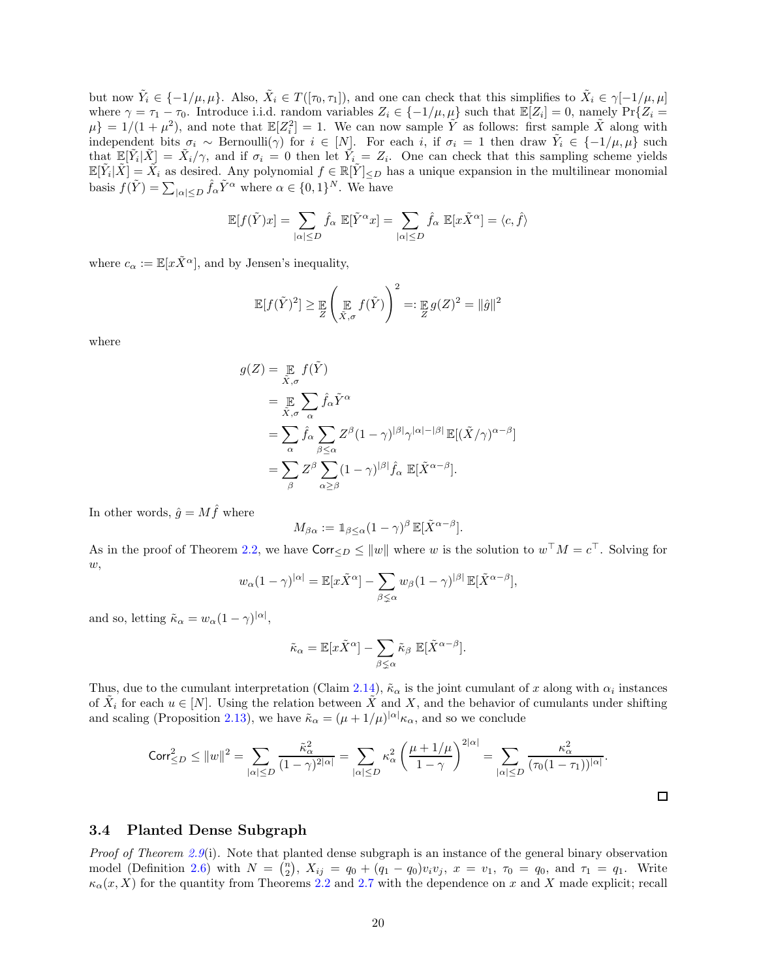but now  $\tilde{Y}_i \in \{-1/\mu, \mu\}$ . Also,  $\tilde{X}_i \in T([\tau_0, \tau_1])$ , and one can check that this simplifies to  $\tilde{X}_i \in \gamma[-1/\mu, \mu]$ where  $\gamma = \tau_1 - \tau_0$ . Introduce i.i.d. random variables  $Z_i \in \{-1/\mu, \mu\}$  such that  $\mathbb{E}[Z_i] = 0$ , namely  $\Pr\{Z_i = 0\}$  $\mu$ } = 1/(1 +  $\mu$ <sup>2</sup>), and note that  $\mathbb{E}[Z_i^2] = 1$ . We can now sample  $\tilde{Y}$  as follows: first sample  $\tilde{X}$  along with independent bits  $\sigma_i \sim \text{Bernoulli}(\gamma)$  for  $i \in [N]$ . For each i, if  $\sigma_i = 1$  then draw  $\tilde{Y}_i \in \{-1/\mu, \mu\}$  such that  $\mathbb{E}[\tilde{Y}_i|\tilde{X}] = \tilde{X}_i/\gamma$ , and if  $\sigma_i = 0$  then let  $\tilde{Y}_i = Z_i$ . One can check that this sampling scheme yields  $\mathbb{E}[\tilde{Y}_i|\tilde{X}] = \tilde{X}_i$  as desired. Any polynomial  $f \in \mathbb{R}[\tilde{Y}]_{\leq D}$  has a unique expansion in the multilinear monomial basis  $f(\tilde{Y}) = \sum_{|\alpha| \leq D} \hat{f}_{\alpha} \tilde{Y}^{\alpha}$  where  $\alpha \in \{0, 1\}^{N}$ . We have

$$
\mathbb{E}[f(\tilde{Y})x] = \sum_{|\alpha| \le D} \hat{f}_{\alpha} \mathbb{E}[\tilde{Y}^{\alpha}x] = \sum_{|\alpha| \le D} \hat{f}_{\alpha} \mathbb{E}[x\tilde{X}^{\alpha}] = \langle c, \hat{f} \rangle
$$

where  $c_{\alpha} := \mathbb{E}[x \tilde{X}^{\alpha}],$  and by Jensen's inequality,

$$
\mathbb{E}[f(\tilde{Y})^2] \geq \mathbb{E}\left(\mathop{\mathbb{E}}_{\tilde{X},\sigma}f(\tilde{Y})\right)^2 =: \mathop{\mathbb{E}}_{Z}g(Z)^2 = \|\hat{g}\|^2
$$

where

$$
g(Z) = \underset{\tilde{X}, \sigma}{\mathbb{E}} f(\tilde{Y})
$$
  
\n
$$
= \underset{\tilde{X}, \sigma}{\mathbb{E}} \sum_{\alpha} \hat{f}_{\alpha} \tilde{Y}^{\alpha}
$$
  
\n
$$
= \sum_{\alpha} \hat{f}_{\alpha} \sum_{\beta \leq \alpha} Z^{\beta} (1 - \gamma)^{|\beta|} \gamma^{|\alpha| - |\beta|} \mathbb{E}[(\tilde{X}/\gamma)^{\alpha - \beta}]
$$
  
\n
$$
= \sum_{\beta} Z^{\beta} \sum_{\alpha \geq \beta} (1 - \gamma)^{|\beta|} \hat{f}_{\alpha} \mathbb{E}[\tilde{X}^{\alpha - \beta}].
$$

In other words,  $\hat{g} = M \hat{f}$  where

$$
M_{\beta\alpha} := \mathbb{1}_{\beta \leq \alpha} (1 - \gamma)^{\beta} \, \mathbb{E}[\tilde{X}^{\alpha - \beta}].
$$

As in the proof of Theorem [2.2,](#page-9-3) we have  $\text{Corr}_{\leq D} \leq ||w||$  where w is the solution to  $w^{\top}M = c^{\top}$ . Solving for  $w,$ 

$$
w_{\alpha}(1-\gamma)^{|\alpha|} = \mathbb{E}[x\tilde{X}^{\alpha}] - \sum_{\beta \leq \alpha} w_{\beta}(1-\gamma)^{|\beta|} \mathbb{E}[\tilde{X}^{\alpha-\beta}],
$$

and so, letting  $\tilde{\kappa}_{\alpha} = w_{\alpha} (1 - \gamma)^{|\alpha|},$ 

$$
\tilde{\kappa}_{\alpha} = \mathbb{E}[x\tilde{X}^{\alpha}] - \sum_{\beta \leq \alpha} \tilde{\kappa}_{\beta} \mathbb{E}[\tilde{X}^{\alpha-\beta}].
$$

Thus, due to the cumulant interpretation (Claim [2.14\)](#page-14-1),  $\tilde{\kappa}_{\alpha}$  is the joint cumulant of x along with  $\alpha_i$  instances of  $\tilde{X}_i$  for each  $u \in [N]$ . Using the relation between  $\tilde{X}$  and X, and the behavior of cumulants under shifting and scaling (Proposition [2.13\)](#page-14-3), we have  $\tilde{\kappa}_{\alpha} = (\mu + 1/\mu)^{|\alpha|} \kappa_{\alpha}$ , and so we conclude

$$
\operatorname{Corr}_{\leq D}^2 \leq ||w||^2 = \sum_{|\alpha| \leq D} \frac{\tilde{\kappa}_{\alpha}^2}{(1-\gamma)^{2|\alpha|}} = \sum_{|\alpha| \leq D} \kappa_{\alpha}^2 \left(\frac{\mu+1/\mu}{1-\gamma}\right)^{2|\alpha|} = \sum_{|\alpha| \leq D} \frac{\kappa_{\alpha}^2}{(\tau_0(1-\tau_1))^{|\alpha|}}.
$$

 $\Box$ 

### <span id="page-19-0"></span>3.4 Planted Dense Subgraph

*Proof of Theorem [2.9](#page-12-3)*(i). Note that planted dense subgraph is an instance of the general binary observation model (Definition [2.6\)](#page-11-2) with  $N = \binom{n}{2}$ ,  $X_{ij} = q_0 + (q_1 - q_0)v_iv_j$ ,  $x = v_1$ ,  $\tau_0 = q_0$ , and  $\tau_1 = q_1$ . Write  $\kappa_{\alpha}(x, X)$  for the quantity from Theorems [2.2](#page-9-3) and [2.7](#page-12-1) with the dependence on x and X made explicit; recall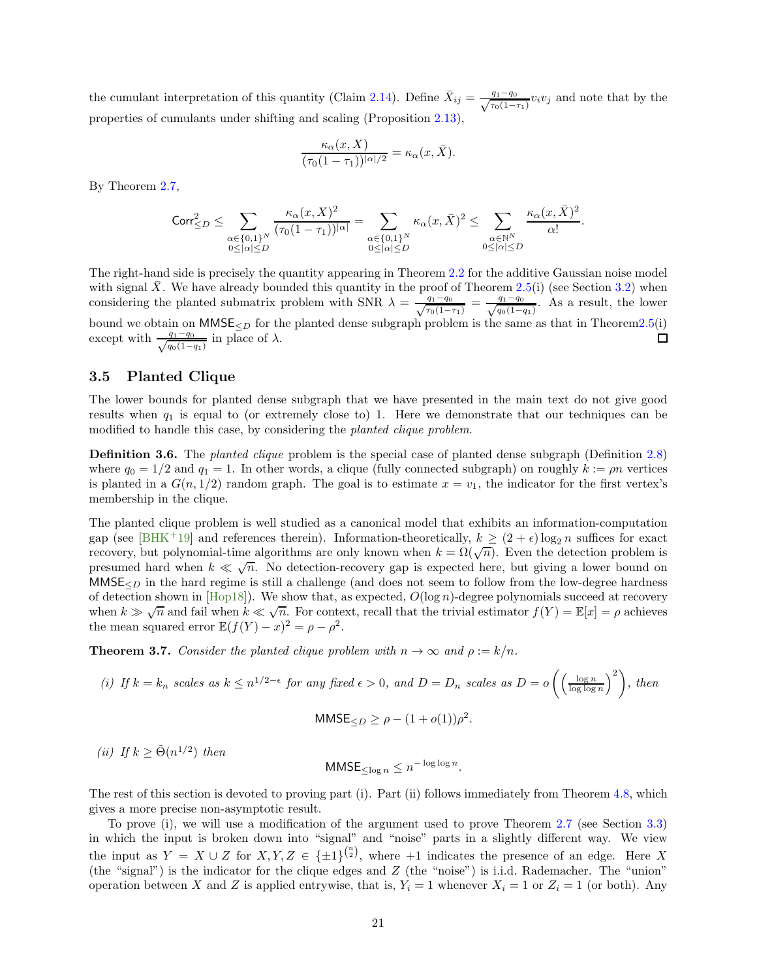the cumulant interpretation of this quantity (Claim [2.14\)](#page-14-1). Define  $\bar{X}_{ij} = \frac{q_1 - q_0}{\sqrt{\tau_0(1-\tau_1)}} v_i v_j$  and note that by the properties of cumulants under shifting and scaling (Proposition [2.13\)](#page-14-3),

$$
\frac{\kappa_{\alpha}(x, X)}{(\tau_0(1-\tau_1))^{|\alpha|/2}} = \kappa_{\alpha}(x, \bar{X}).
$$

By Theorem [2.7,](#page-12-1)

$$
\mathrm{Corr}_{\leq D}^2\leq \sum_{\substack{\alpha\in\{0,1\}^N\\0\leq|\alpha|\leq D}}\frac{\kappa_\alpha(x,X)^2}{(\tau_0(1-\tau_1))^{|\alpha|}}=\sum_{\substack{\alpha\in\{0,1\}^N\\0\leq|\alpha|\leq D}}\kappa_\alpha(x,\bar{X})^2\leq \sum_{\substack{\alpha\in\mathbb{N}^N\\0\leq|\alpha|\leq D}}\frac{\kappa_\alpha(x,\bar{X})^2}{\alpha!}.
$$

The right-hand side is precisely the quantity appearing in Theorem [2.2](#page-9-3) for the additive Gaussian noise model with signal X. We have already bounded this quantity in the proof of Theorem [2.5\(](#page-11-1)i) (see Section [3.2\)](#page-16-0) when considering the planted submatrix problem with SNR  $\lambda = \frac{q_1 - q_0}{\sqrt{\tau_0(1-\tau_1)}} = \frac{q_1 - q_0}{\sqrt{q_0(1-q_1)}}$ . As a result, the lower bound we obtain on  $MMSE_{\leq D}$  for the planted dense subgraph problem is the same as that in Theore[m2.5\(](#page-11-1)i) except with  $\frac{q_1 - q_0}{\sqrt{q_0(1 - q_1)}}$  in place of  $\lambda$ .

### <span id="page-20-0"></span>3.5 Planted Clique

The lower bounds for planted dense subgraph that we have presented in the main text do not give good results when  $q_1$  is equal to (or extremely close to) 1. Here we demonstrate that our techniques can be modified to handle this case, by considering the *planted clique problem*.

<span id="page-20-2"></span>Definition 3.6. The planted clique problem is the special case of planted dense subgraph (Definition [2.8\)](#page-12-2) where  $q_0 = 1/2$  and  $q_1 = 1$ . In other words, a clique (fully connected subgraph) on roughly  $k := \rho n$  vertices is planted in a  $G(n, 1/2)$  random graph. The goal is to estimate  $x = v_1$ , the indicator for the first vertex's membership in the clique.

The planted clique problem is well studied as a canonical model that exhibits an information-computation gap (see [\[BHK](#page-42-2)<sup>+</sup>19] and references therein). Information-theoretically,  $k \ge (2 + \epsilon) \log_2 n$  suffices for exact recovery, but polynomial-time algorithms are only known when  $k = \Omega(\sqrt{n})$ . Even the detection problem is presumed hard when  $k \ll \sqrt{n}$ . No detection-recovery gap is expected here, but giving a lower bound on  $MMSE<sub>CD</sub>$  in the hard regime is still a challenge (and does not seem to follow from the low-degree hardness of detection shown in  $[Hop18]$ ). We show that, as expected,  $O(\log n)$ -degree polynomials succeed at recovery when  $k \gg \sqrt{n}$  and fail when  $k \ll \sqrt{n}$ . For context, recall that the trivial estimator  $f(Y) = \mathbb{E}[x] = \rho$  achieves the mean squared error  $\mathbb{E}(f(Y) - x)^2 = \rho - \rho^2$ .

<span id="page-20-1"></span>**Theorem 3.7.** Consider the planted clique problem with  $n \to \infty$  and  $\rho := k/n$ .

(i) If 
$$
k = k_n
$$
 scales as  $k \le n^{1/2-\epsilon}$  for any fixed  $\epsilon > 0$ , and  $D = D_n$  scales as  $D = o\left(\left(\frac{\log n}{\log \log n}\right)^2\right)$ , then

$$
MMSE_{\leq D} \geq \rho - (1 + o(1))\rho^2.
$$

(*ii*) If  $k \geq \tilde{\Theta}(n^{1/2})$  then

$$
MMSE_{\leq \log n} \leq n^{-\log \log n}.
$$

The rest of this section is devoted to proving part (i). Part (ii) follows immediately from Theorem [4.8,](#page-28-1) which gives a more precise non-asymptotic result.

To prove (i), we will use a modification of the argument used to prove Theorem [2.7](#page-12-1) (see Section [3.3\)](#page-18-0) in which the input is broken down into "signal" and "noise" parts in a slightly different way. We view the input as  $Y = X \cup Z$  for  $X, Y, Z \in {\pm 1}^{\binom{n}{2}}$ , where  $+1$  indicates the presence of an edge. Here X (the "signal") is the indicator for the clique edges and Z (the "noise") is i.i.d. Rademacher. The "union" operation between X and Z is applied entrywise, that is,  $Y_i = 1$  whenever  $X_i = 1$  or  $Z_i = 1$  (or both). Any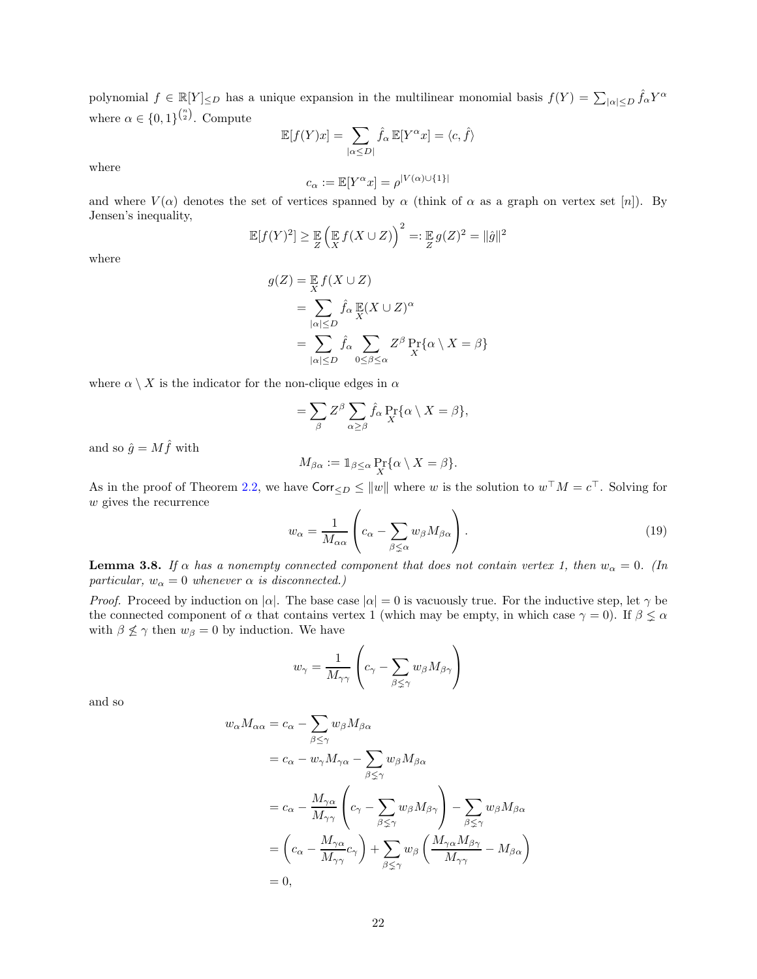polynomial  $f \in \mathbb{R}[Y] \leq D$  has a unique expansion in the multilinear monomial basis  $f(Y) = \sum_{|\alpha| \leq D} \hat{f}_{\alpha} Y^{\alpha}$ where  $\alpha \in \{0,1\}^{\binom{n}{2}}$ . Compute

$$
\mathbb{E}[f(Y)x] = \sum_{|\alpha \leq D|} \hat{f}_{\alpha} \mathbb{E}[Y^{\alpha}x] = \langle c, \hat{f} \rangle
$$

where

$$
c_\alpha:=\mathbb{E}[Y^\alpha x]=\rho^{|V(\alpha)\cup\{1\}|}
$$

and where  $V(\alpha)$  denotes the set of vertices spanned by  $\alpha$  (think of  $\alpha$  as a graph on vertex set [n]). By Jensen's inequality,

$$
\mathbb{E}[f(Y)^{2}] \geq \mathbb{E}\left(\mathbb{E}\left(f(X \cup Z)\right)^{2} =: \mathbb{E}\left(g(Z)^{2} = \|\hat{g}\|^{2}\right)
$$

where

$$
g(Z) = \mathbb{E} f(X \cup Z)
$$
  
= 
$$
\sum_{|\alpha| \le D} \hat{f}_{\alpha} \mathbb{E}(X \cup Z)^{\alpha}
$$
  
= 
$$
\sum_{|\alpha| \le D} \hat{f}_{\alpha} \sum_{0 \le \beta \le \alpha} Z^{\beta} \Pr_{X} {\alpha \setminus X} = \beta
$$

where  $\alpha \setminus X$  is the indicator for the non-clique edges in  $\alpha$ 

$$
= \sum_{\beta} Z^{\beta} \sum_{\alpha \ge \beta} \hat{f}_{\alpha} \Pr_{X} {\alpha \setminus X} = \beta,
$$

and so  $\hat{g} = M \hat{f}$  with

$$
M_{\beta\alpha} := \mathbb{1}_{\beta \leq \alpha} \Pr_{X} \{ \alpha \setminus X = \beta \}.
$$

As in the proof of Theorem [2.2,](#page-9-3) we have  $\text{Corr}_{\leq D} \leq ||w||$  where w is the solution to  $w^{\top}M = c^{\top}$ . Solving for w gives the recurrence  $\overline{ }$ 

<span id="page-21-1"></span>
$$
w_{\alpha} = \frac{1}{M_{\alpha\alpha}} \left( c_{\alpha} - \sum_{\beta \le \alpha} w_{\beta} M_{\beta\alpha} \right). \tag{19}
$$

<span id="page-21-0"></span>**Lemma 3.8.** If  $\alpha$  has a nonempty connected component that does not contain vertex 1, then  $w_{\alpha} = 0$ . (In particular,  $w_{\alpha} = 0$  whenever  $\alpha$  is disconnected.)

*Proof.* Proceed by induction on  $|\alpha|$ . The base case  $|\alpha| = 0$  is vacuously true. For the inductive step, let  $\gamma$  be the connected component of  $\alpha$  that contains vertex 1 (which may be empty, in which case  $\gamma = 0$ ). If  $\beta \leq \alpha$ with  $\beta \not\leq \gamma$  then  $w_{\beta} = 0$  by induction. We have

$$
w_{\gamma} = \frac{1}{M_{\gamma\gamma}} \left( c_{\gamma} - \sum_{\beta \leq \gamma} w_{\beta} M_{\beta\gamma} \right)
$$

and so

$$
w_{\alpha}M_{\alpha\alpha} = c_{\alpha} - \sum_{\beta \leq \gamma} w_{\beta}M_{\beta\alpha}
$$
  
=  $c_{\alpha} - w_{\gamma}M_{\gamma\alpha} - \sum_{\beta \leq \gamma} w_{\beta}M_{\beta\alpha}$   
=  $c_{\alpha} - \frac{M_{\gamma\alpha}}{M_{\gamma\gamma}} \left(c_{\gamma} - \sum_{\beta \leq \gamma} w_{\beta}M_{\beta\gamma}\right) - \sum_{\beta \leq \gamma} w_{\beta}M_{\beta\alpha}$   
=  $\left(c_{\alpha} - \frac{M_{\gamma\alpha}}{M_{\gamma\gamma}}c_{\gamma}\right) + \sum_{\beta \leq \gamma} w_{\beta} \left(\frac{M_{\gamma\alpha}M_{\beta\gamma}}{M_{\gamma\gamma}} - M_{\beta\alpha}\right)$   
= 0,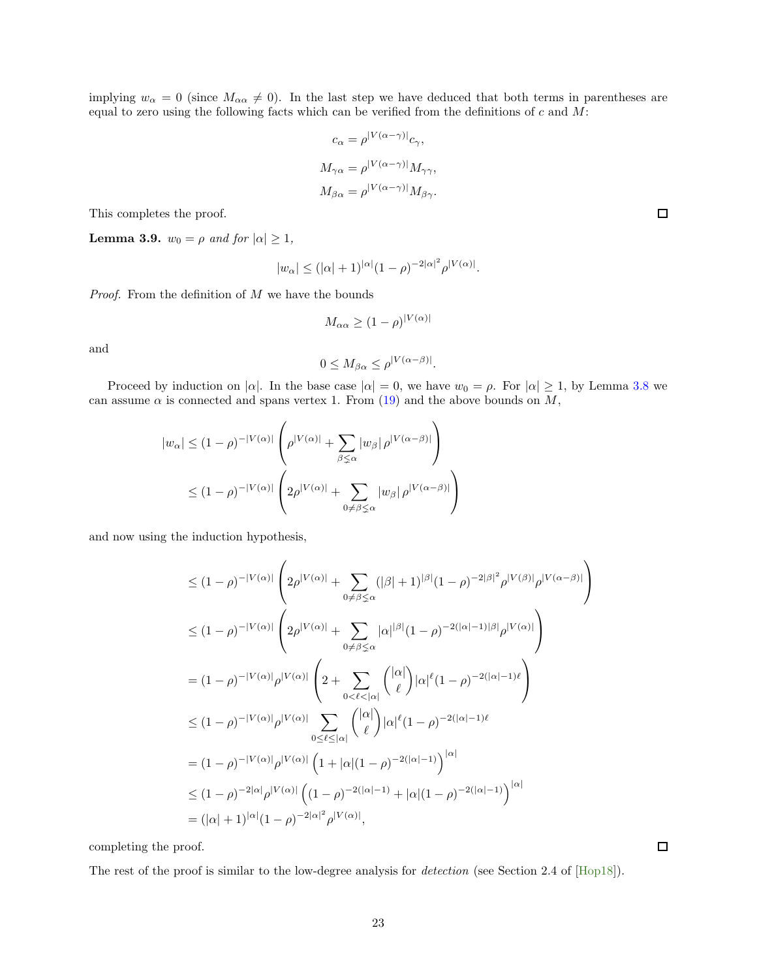implying  $w_{\alpha} = 0$  (since  $M_{\alpha\alpha} \neq 0$ ). In the last step we have deduced that both terms in parentheses are equal to zero using the following facts which can be verified from the definitions of  $c$  and  $M$ :

$$
c_{\alpha} = \rho^{|V(\alpha - \gamma)|} c_{\gamma},
$$
  

$$
M_{\gamma\alpha} = \rho^{|V(\alpha - \gamma)|} M_{\gamma\gamma},
$$
  

$$
M_{\beta\alpha} = \rho^{|V(\alpha - \gamma)|} M_{\beta\gamma}.
$$

This completes the proof.

<span id="page-22-0"></span>**Lemma 3.9.**  $w_0 = \rho$  and for  $|\alpha| \geq 1$ ,

$$
|w_{\alpha}| \leq (|\alpha| + 1)^{|\alpha|} (1 - \rho)^{-2|\alpha|^2} \rho^{|V(\alpha)|}.
$$

*Proof.* From the definition of  $M$  we have the bounds

$$
M_{\alpha\alpha} \ge (1 - \rho)^{|V(\alpha)|}
$$

and

$$
0 \le M_{\beta\alpha} \le \rho^{|V(\alpha-\beta)|}.
$$

Proceed by induction on  $|\alpha|$ . In the base case  $|\alpha| = 0$ , we have  $w_0 = \rho$ . For  $|\alpha| \ge 1$ , by Lemma [3.8](#page-21-0) we can assume  $\alpha$  is connected and spans vertex 1. From [\(19\)](#page-21-1) and the above bounds on  $M$ ,

$$
|w_{\alpha}| \le (1 - \rho)^{-|V(\alpha)|} \left( \rho^{|V(\alpha)|} + \sum_{\beta \le \alpha} |w_{\beta}| \rho^{|V(\alpha - \beta)|} \right)
$$
  

$$
\le (1 - \rho)^{-|V(\alpha)|} \left( 2\rho^{|V(\alpha)|} + \sum_{0 \ne \beta \le \alpha} |w_{\beta}| \rho^{|V(\alpha - \beta)|} \right)
$$

and now using the induction hypothesis,

$$
\leq (1 - \rho)^{-|V(\alpha)|} \left( 2\rho^{|V(\alpha)|} + \sum_{0 \neq \beta \leq \alpha} (|\beta| + 1)^{|\beta|} (1 - \rho)^{-2|\beta|^2} \rho^{|V(\beta)|} \rho^{|V(\alpha - \beta)|} \right)
$$
  
\n
$$
\leq (1 - \rho)^{-|V(\alpha)|} \left( 2\rho^{|V(\alpha)|} + \sum_{0 \neq \beta \leq \alpha} |\alpha|^{|\beta|} (1 - \rho)^{-2(|\alpha| - 1)|\beta|} \rho^{|V(\alpha)|} \right)
$$
  
\n
$$
= (1 - \rho)^{-|V(\alpha)|} \rho^{|V(\alpha)|} \left( 2 + \sum_{0 < \ell < |\alpha|} \binom{|\alpha|}{\ell} |\alpha|^{\ell} (1 - \rho)^{-2(|\alpha| - 1)\ell} \right)
$$
  
\n
$$
\leq (1 - \rho)^{-|V(\alpha)|} \rho^{|V(\alpha)|} \sum_{0 \leq \ell \leq |\alpha|} \binom{|\alpha|}{\ell} |\alpha|^{\ell} (1 - \rho)^{-2(|\alpha| - 1)\ell}
$$
  
\n
$$
= (1 - \rho)^{-|V(\alpha)|} \rho^{|V(\alpha)|} \left( 1 + |\alpha|(1 - \rho)^{-2(|\alpha| - 1)} \right)^{|\alpha|}
$$
  
\n
$$
\leq (1 - \rho)^{-2|\alpha|} \rho^{|V(\alpha)|} \left( (1 - \rho)^{-2(|\alpha| - 1)} + |\alpha|(1 - \rho)^{-2(|\alpha| - 1)} \right)^{|\alpha|}
$$
  
\n
$$
= (|\alpha| + 1)^{|\alpha|} (1 - \rho)^{-2|\alpha|^2} \rho^{|V(\alpha)|},
$$

completing the proof.

The rest of the proof is similar to the low-degree analysis for detection (see Section 2.4 of [\[Hop18\]](#page-44-3)).

 $\Box$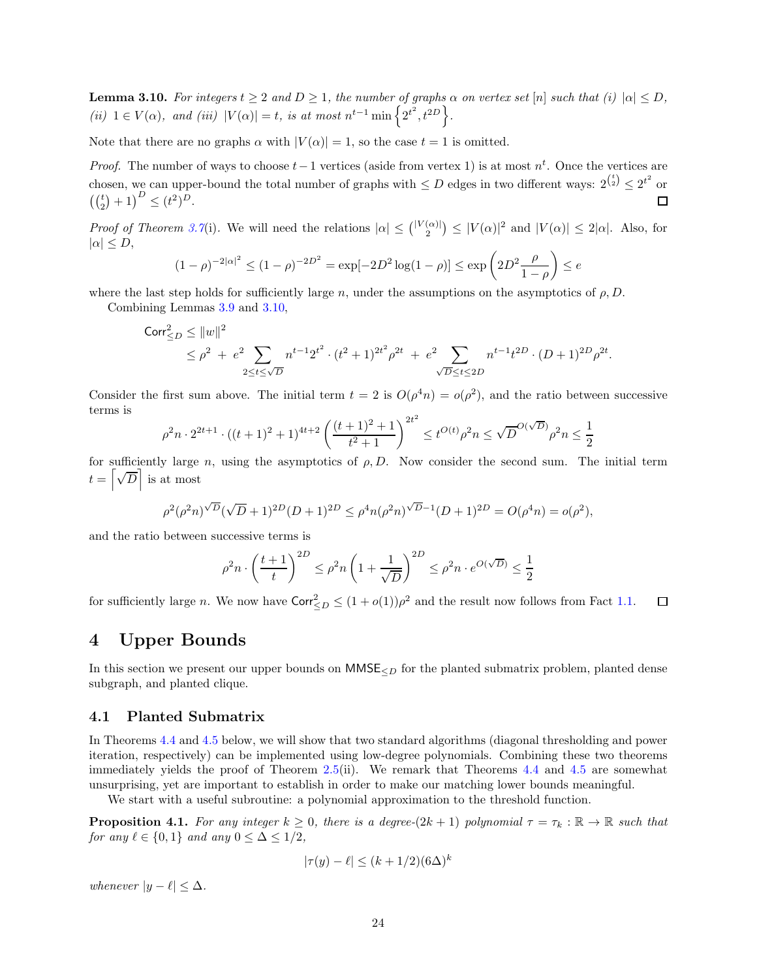<span id="page-23-2"></span>**Lemma 3.10.** For integers  $t \geq 2$  and  $D \geq 1$ , the number of graphs  $\alpha$  on vertex set [n] such that (i)  $|\alpha| \leq D$ , (ii)  $1 \in V(\alpha)$ , and (iii)  $|V(\alpha)| = t$ , is at most  $n^{t-1} \min\left\{2^{t^2}, t^{2D}\right\}$ .

Note that there are no graphs  $\alpha$  with  $|V(\alpha)| = 1$ , so the case  $t = 1$  is omitted.

*Proof.* The number of ways to choose  $t-1$  vertices (aside from vertex 1) is at most  $n^t$ . Once the vertices are chosen, we can upper-bound the total number of graphs with  $\leq D$  edges in two different ways:  $2^{t \choose 2} \leq 2^{t^2}$  or  $\left( \binom{t}{2} + 1 \right)^D \leq (t^2)^D.$ □

Proof of Theorem [3.7](#page-20-1)(i). We will need the relations  $|\alpha| \leq { |V(\alpha)| \choose 2} \leq |V(\alpha)|^2$  and  $|V(\alpha)| \leq 2|\alpha|$ . Also, for  $|\alpha| \leq D$ ,

$$
(1 - \rho)^{-2|\alpha|^2} \le (1 - \rho)^{-2D^2} = \exp[-2D^2 \log(1 - \rho)] \le \exp\left(2D^2 \frac{\rho}{1 - \rho}\right) \le e
$$

where the last step holds for sufficiently large n, under the assumptions on the asymptotics of  $\rho$ , D.

Combining Lemmas [3.9](#page-22-0) and [3.10,](#page-23-2)

$$
\begin{aligned} \text{Corr}_{\leq D}^2 &\leq \|w\|^2\\ &\leq \rho^2\ +\ e^2\!\!\!\!\!\!\!\!\!\sum_{2\leq t\leq \sqrt{D}}n^{t-1}2^{t^2}\cdot (t^2+1)^{2t^2}\rho^{2t}\ +\ e^2\!\!\!\!\!\!\!\sum_{\sqrt{D}\leq t\leq 2D}\!\!\!\!\!n^{t-1}t^{2D}\cdot (D+1)^{2D}\rho^{2t}. \end{aligned}
$$

Consider the first sum above. The initial term  $t = 2$  is  $O(\rho^4 n) = o(\rho^2)$ , and the ratio between successive terms is

$$
\rho^2 n \cdot 2^{2t+1} \cdot ((t+1)^2 + 1)^{4t+2} \left( \frac{(t+1)^2 + 1}{t^2 + 1} \right)^{2t^2} \le t^{O(t)} \rho^2 n \le \sqrt{D}^{O(\sqrt{D})} \rho^2 n \le \frac{1}{2}
$$

for sufficiently large n, using the asymptotics of  $\rho, D$ . Now consider the second sum. The initial term  $t = \left\lceil \sqrt{D} \right\rceil$  is at most

$$
\rho^2(\rho^2 n)^{\sqrt{D}}(\sqrt{D}+1)^{2D}(D+1)^{2D} \leq \rho^4 n(\rho^2 n)^{\sqrt{D}-1}(D+1)^{2D} = O(\rho^4 n) = o(\rho^2),
$$

and the ratio between successive terms is

$$
\rho^2 n \cdot \left(\frac{t+1}{t}\right)^{2D} \le \rho^2 n \left(1 + \frac{1}{\sqrt{D}}\right)^{2D} \le \rho^2 n \cdot e^{O(\sqrt{D})} \le \frac{1}{2}
$$

for sufficiently large *n*. We now have  $\text{Corr}_{\leq D}^2 \leq (1 + o(1))\rho^2$  and the result now follows from Fact [1.1.](#page-3-2)  $\Box$ 

# <span id="page-23-0"></span>4 Upper Bounds

In this section we present our upper bounds on  $MMSE<sub>2D</sub>$  for the planted submatrix problem, planted dense subgraph, and planted clique.

### <span id="page-23-1"></span>4.1 Planted Submatrix

In Theorems [4.4](#page-25-0) and [4.5](#page-25-1) below, we will show that two standard algorithms (diagonal thresholding and power iteration, respectively) can be implemented using low-degree polynomials. Combining these two theorems immediately yields the proof of Theorem [2.5\(](#page-11-1)ii). We remark that Theorems [4.4](#page-25-0) and [4.5](#page-25-1) are somewhat unsurprising, yet are important to establish in order to make our matching lower bounds meaningful.

We start with a useful subroutine: a polynomial approximation to the threshold function.

<span id="page-23-3"></span>**Proposition 4.1.** For any integer  $k \geq 0$ , there is a degree- $(2k + 1)$  polynomial  $\tau = \tau_k : \mathbb{R} \to \mathbb{R}$  such that for any  $\ell \in \{0,1\}$  and any  $0 \leq \Delta \leq 1/2$ ,

$$
|\tau(y) - \ell| \le (k + 1/2)(6\Delta)^k
$$

whenever  $|y - \ell| \leq \Delta$ .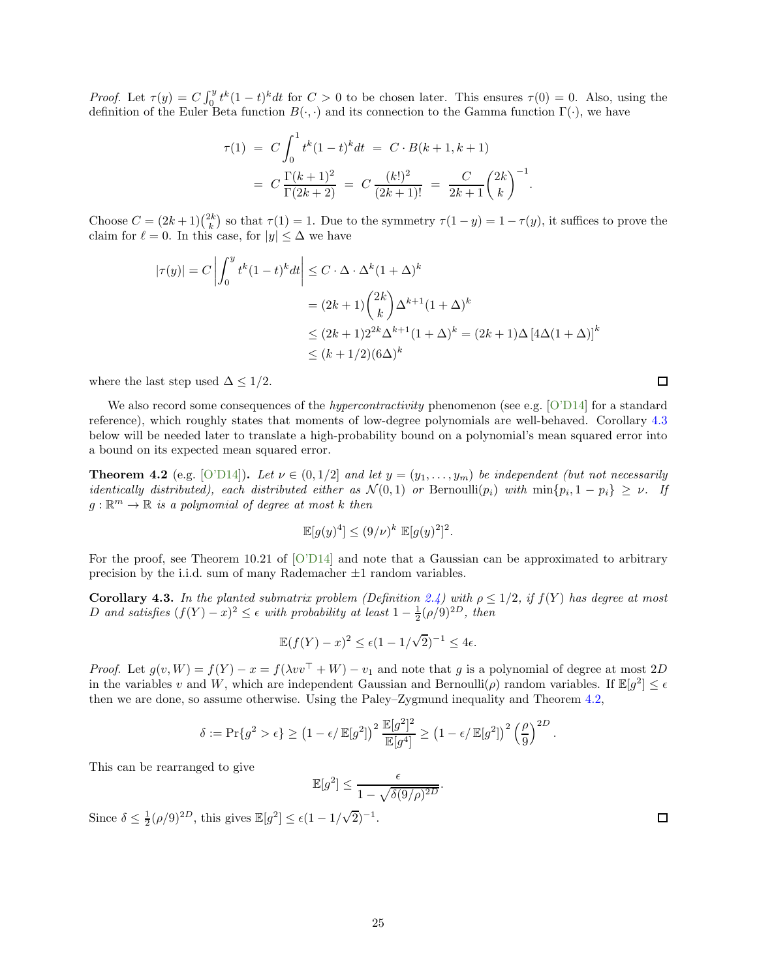Proof. Let  $\tau(y) = C \int_0^y t^k (1-t)^k dt$  for  $C > 0$  to be chosen later. This ensures  $\tau(0) = 0$ . Also, using the definition of the Euler Beta function  $B(\cdot, \cdot)$  and its connection to the Gamma function  $\Gamma(\cdot)$ , we have

$$
\tau(1) = C \int_0^1 t^k (1-t)^k dt = C \cdot B(k+1, k+1)
$$
  
=  $C \frac{\Gamma(k+1)^2}{\Gamma(2k+2)} = C \frac{(k!)^2}{(2k+1)!} = \frac{C}{2k+1} {2k \choose k}^{-1}$ 

Choose  $C = (2k+1)\binom{2k}{k}$  so that  $\tau(1) = 1$ . Due to the symmetry  $\tau(1-y) = 1 - \tau(y)$ , it suffices to prove the claim for  $\ell = 0$ . In this case, for  $|y| \leq \Delta$  we have

.

$$
|\tau(y)| = C \left| \int_0^y t^k (1-t)^k dt \right| \le C \cdot \Delta \cdot \Delta^k (1+\Delta)^k
$$
  
=  $(2k+1) {2k \choose k} \Delta^{k+1} (1+\Delta)^k$   

$$
\le (2k+1) 2^{2k} \Delta^{k+1} (1+\Delta)^k = (2k+1) \Delta [4\Delta(1+\Delta)]^k
$$
  

$$
\le (k+1/2)(6\Delta)^k
$$

where the last step used  $\Delta \leq 1/2$ .

We also record some consequences of the *hypercontractivity* phenomenon (see e.g. [\[O'D14\]](#page-46-14) for a standard reference), which roughly states that moments of low-degree polynomials are well-behaved. Corollary [4.3](#page-24-0) below will be needed later to translate a high-probability bound on a polynomial's mean squared error into a bound on its expected mean squared error.

<span id="page-24-1"></span>**Theorem 4.2** (e.g. [\[O'D14\]](#page-46-14)). Let  $\nu \in (0, 1/2]$  and let  $y = (y_1, \ldots, y_m)$  be independent (but not necessarily identically distributed), each distributed either as  $\mathcal{N}(0,1)$  or Bernoulli $(p_i)$  with  $\min\{p_i, 1 - p_i\} \geq \nu$ . If  $g: \mathbb{R}^m \to \mathbb{R}$  is a polynomial of degree at most k then

$$
\mathbb{E}[g(y)^4] \le (9/\nu)^k \mathbb{E}[g(y)^2]^2.
$$

For the proof, see Theorem 10.21 of [\[O'D14\]](#page-46-14) and note that a Gaussian can be approximated to arbitrary precision by the i.i.d. sum of many Rademacher  $\pm 1$  random variables.

<span id="page-24-0"></span>Corollary 4.3. In the planted submatrix problem (Definition [2.4\)](#page-10-1) with  $\rho \leq 1/2$ , if  $f(Y)$  has degree at most D and satisfies  $(f(Y) - x)^2 \le \epsilon$  with probability at least  $1 - \frac{1}{2}(\rho/9)^{2D}$ , then

$$
\mathbb{E}(f(Y) - x)^2 \le \epsilon (1 - 1/\sqrt{2})^{-1} \le 4\epsilon.
$$

*Proof.* Let  $g(v, W) = f(Y) - x = f(\lambda v v^{\top} + W) - v_1$  and note that g is a polynomial of degree at most 2D in the variables v and W, which are independent Gaussian and Bernoulli $(\rho)$  random variables. If  $\mathbb{E}[g^2] \leq \epsilon$ then we are done, so assume otherwise. Using the Paley–Zygmund inequality and Theorem [4.2,](#page-24-1)

$$
\delta := \Pr\{g^2 > \epsilon\} \ge \left(1 - \epsilon/\mathbb{E}[g^2]\right)^2 \frac{\mathbb{E}[g^2]^2}{\mathbb{E}[g^4]} \ge \left(1 - \epsilon/\mathbb{E}[g^2]\right)^2 \left(\frac{\rho}{9}\right)^{2D}
$$

This can be rearranged to give

$$
\mathbb{E}[g^2] \le \frac{\epsilon}{1 - \sqrt{\delta(9/\rho)^{2D}}}
$$

.

Since  $\delta \leq \frac{1}{2} (\rho/9)^{2D}$ , this gives  $\mathbb{E}[g^2] \leq \epsilon (1 - 1/\sqrt{2})^{-1}$ .

25

口

 $\Box$ 

.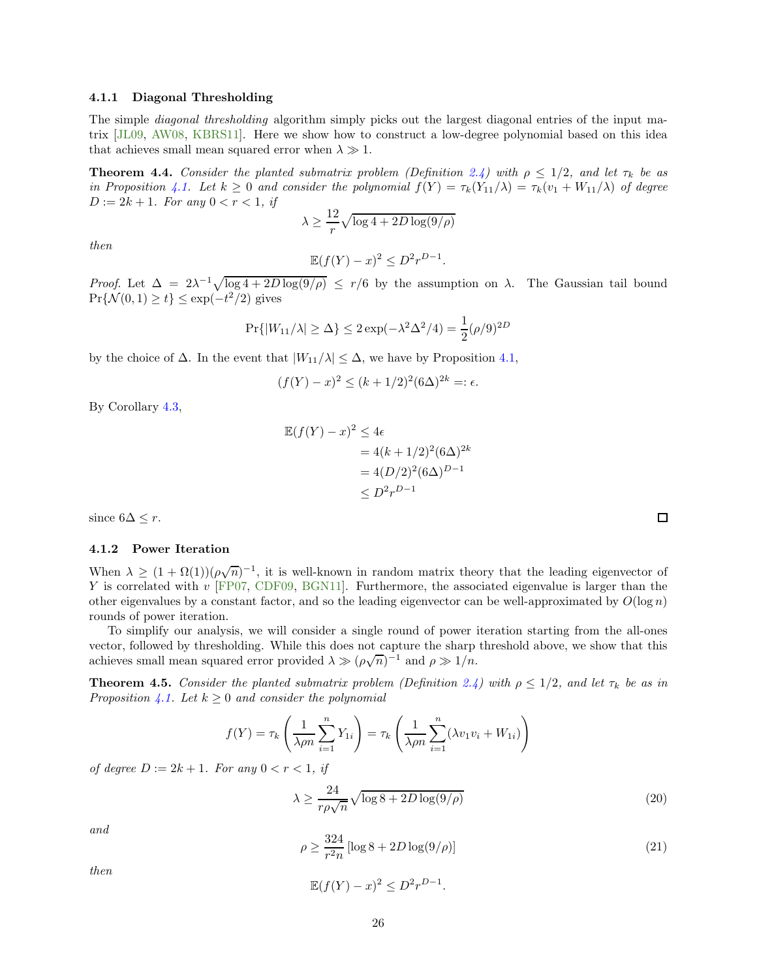#### 4.1.1 Diagonal Thresholding

The simple diagonal thresholding algorithm simply picks out the largest diagonal entries of the input matrix [\[JL09,](#page-45-16) [AW08,](#page-41-15) [KBRS11\]](#page-45-4). Here we show how to construct a low-degree polynomial based on this idea that achieves small mean squared error when  $\lambda \gg 1$ .

<span id="page-25-0"></span>**Theorem 4.4.** Consider the planted submatrix problem (Definition [2.4\)](#page-10-1) with  $\rho \leq 1/2$ , and let  $\tau_k$  be as in Proposition [4.1.](#page-23-3) Let  $k \geq 0$  and consider the polynomial  $f(Y) = \tau_k(Y_{11}/\lambda) = \tau_k(v_1 + W_{11}/\lambda)$  of degree  $D := 2k + 1$ . For any  $0 < r < 1$ , if

$$
\lambda \ge \frac{12}{r} \sqrt{\log 4 + 2D \log(9/\rho)}
$$

then

$$
\mathbb{E}(f(Y) - x)^2 \le D^2 r^{D-1}.
$$

Proof. Let  $\Delta = 2\lambda^{-1}\sqrt{\log 4 + 2D\log(9/\rho)} \le r/6$  by the assumption on  $\lambda$ . The Gaussian tail bound  $Pr{\{\mathcal{N}(0, 1) \ge t\}} \le \exp(-t^2/2)$  gives

$$
Pr{ |W_{11}/\lambda| \ge \Delta } \le 2 \exp(-\lambda^2 \Delta^2/4) = \frac{1}{2} (\rho/9)^{2D}
$$

by the choice of  $\Delta$ . In the event that  $|W_{11}/\lambda| \leq \Delta$ , we have by Proposition [4.1,](#page-23-3)

$$
(f(Y) - x)^2 \le (k + 1/2)^2 (6\Delta)^{2k} =: \epsilon.
$$

By Corollary [4.3,](#page-24-0)

$$
\mathbb{E}(f(Y) - x)^2 \le 4\epsilon
$$
  
= 4(k + 1/2)<sup>2</sup>(6\Delta)<sup>2k</sup>  
= 4(D/2)<sup>2</sup>(6\Delta)<sup>D-1</sup>  

$$
\le D^2r^{D-1}
$$

since  $6\Delta \leq r$ .

#### 4.1.2 Power Iteration

When  $\lambda \geq (1 + \Omega(1))(\rho\sqrt{n})^{-1}$ , it is well-known in random matrix theory that the leading eigenvector of Y is correlated with  $v$  [\[FP07,](#page-43-8) [CDF09,](#page-42-15) [BGN11\]](#page-42-9). Furthermore, the associated eigenvalue is larger than the other eigenvalues by a constant factor, and so the leading eigenvector can be well-approximated by  $O(\log n)$ rounds of power iteration.

To simplify our analysis, we will consider a single round of power iteration starting from the all-ones vector, followed by thresholding. While this does not capture the sharp threshold above, we show that this achieves small mean squared error provided  $\lambda \gg (\rho\sqrt{n})^{-1}$  and  $\rho \gg 1/n$ .

<span id="page-25-1"></span>**Theorem 4.5.** Consider the planted submatrix problem (Definition [2.4\)](#page-10-1) with  $\rho \leq 1/2$ , and let  $\tau_k$  be as in Proposition [4.1.](#page-23-3) Let  $k \geq 0$  and consider the polynomial

$$
f(Y) = \tau_k \left( \frac{1}{\lambda \rho n} \sum_{i=1}^n Y_{1i} \right) = \tau_k \left( \frac{1}{\lambda \rho n} \sum_{i=1}^n (\lambda v_1 v_i + W_{1i}) \right)
$$

of degree  $D := 2k + 1$ . For any  $0 < r < 1$ , if

<span id="page-25-2"></span>
$$
\lambda \ge \frac{24}{r\rho\sqrt{n}}\sqrt{\log 8 + 2D\log(9/\rho)}\tag{20}
$$

and

<span id="page-25-3"></span>
$$
\rho \ge \frac{324}{r^2 n} \left[ \log 8 + 2D \log(9/\rho) \right] \tag{21}
$$

then

$$
\mathbb{E}(f(Y) - x)^2 \le D^2 r^{D-1}.
$$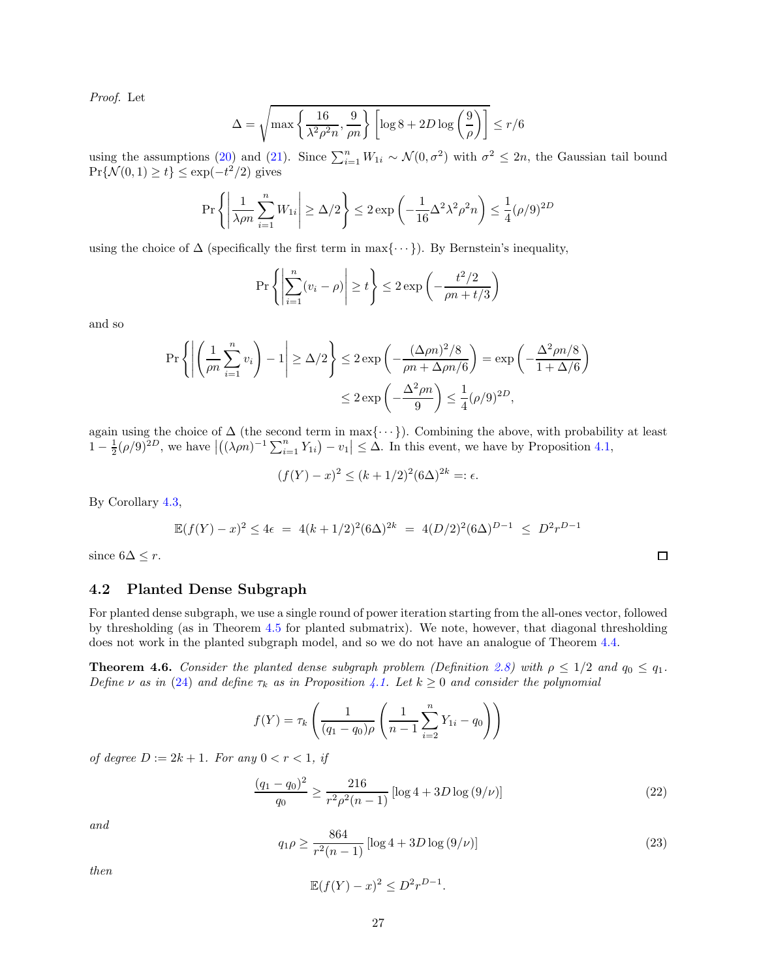Proof. Let

$$
\Delta = \sqrt{\max \left\{ \frac{16}{\lambda^2 \rho^2 n}, \frac{9}{\rho n} \right\} \left[ \log 8 + 2D \log \left( \frac{9}{\rho} \right) \right]} \le r/6
$$

using the assumptions [\(20\)](#page-25-2) and [\(21\)](#page-25-3). Since  $\sum_{i=1}^{n} W_{1i} \sim \mathcal{N}(0, \sigma^2)$  with  $\sigma^2 \leq 2n$ , the Gaussian tail bound  $Pr{\{\mathcal{N}(0, 1) \ge t\}} \le \exp(-t^2/2)$  gives

$$
\Pr\left\{ \left| \frac{1}{\lambda \rho n} \sum_{i=1}^{n} W_{1i} \right| \ge \Delta/2 \right\} \le 2 \exp\left( -\frac{1}{16} \Delta^2 \lambda^2 \rho^2 n \right) \le \frac{1}{4} (\rho/9)^{2D}
$$

using the choice of  $\Delta$  (specifically the first term in max{ $\cdots$ }). By Bernstein's inequality,

$$
\Pr\left\{ \left| \sum_{i=1}^{n} (v_i - \rho) \right| \ge t \right\} \le 2 \exp\left( -\frac{t^2/2}{\rho n + t/3} \right)
$$

and so

$$
\Pr\left\{ \left| \left( \frac{1}{\rho n} \sum_{i=1}^{n} v_i \right) - 1 \right| \ge \Delta/2 \right\} \le 2 \exp\left( -\frac{(\Delta \rho n)^2 / 8}{\rho n + \Delta \rho n / 6} \right) = \exp\left( -\frac{\Delta^2 \rho n / 8}{1 + \Delta/6} \right)
$$

$$
\le 2 \exp\left( -\frac{\Delta^2 \rho n}{9} \right) \le \frac{1}{4} (\rho/9)^{2D},
$$

again using the choice of  $\Delta$  (the second term in max{ $\cdots$ }). Combining the above, with probability at least  $1 - \frac{1}{2}(\rho/9)^{2D}$ , we have  $|((\lambda \rho n)^{-1} \sum_{i=1}^{n} Y_{1i}) - v_1| \leq \Delta$ . In this event, we have by Proposition [4.1,](#page-23-3)

$$
(f(Y) - x)^2 \le (k + 1/2)^2 (6\Delta)^{2k} =: \epsilon.
$$

By Corollary [4.3,](#page-24-0)

$$
\mathbb{E}(f(Y) - x)^2 \le 4\epsilon = 4(k + 1/2)^2 (6\Delta)^{2k} = 4(D/2)^2 (6\Delta)^{D-1} \le D^2 r^{D-1}
$$

since  $6\Delta \leq r$ .

#### <span id="page-26-0"></span>4.2 Planted Dense Subgraph

For planted dense subgraph, we use a single round of power iteration starting from the all-ones vector, followed by thresholding (as in Theorem [4.5](#page-25-1) for planted submatrix). We note, however, that diagonal thresholding does not work in the planted subgraph model, and so we do not have an analogue of Theorem [4.4.](#page-25-0)

<span id="page-26-1"></span>**Theorem 4.6.** Consider the planted dense subgraph problem (Definition [2.8\)](#page-12-2) with  $\rho \leq 1/2$  and  $q_0 \leq q_1$ . Define v as in [\(24\)](#page-27-0) and define  $\tau_k$  as in Proposition [4.1.](#page-23-3) Let  $k \geq 0$  and consider the polynomial

$$
f(Y) = \tau_k \left( \frac{1}{(q_1 - q_0)\rho} \left( \frac{1}{n-1} \sum_{i=2}^n Y_{1i} - q_0 \right) \right)
$$

of degree  $D := 2k + 1$ . For any  $0 < r < 1$ , if

<span id="page-26-2"></span>
$$
\frac{(q_1 - q_0)^2}{q_0} \ge \frac{216}{r^2 \rho^2 (n-1)} \left[ \log 4 + 3D \log \left( \frac{9}{\nu} \right) \right] \tag{22}
$$

and

<span id="page-26-3"></span>
$$
q_1 \rho \ge \frac{864}{r^2(n-1)} \left[ \log 4 + 3D \log \left( 9/\nu \right) \right] \tag{23}
$$

then

$$
\mathbb{E}(f(Y) - x)^2 \le D^2 r^{D-1}.
$$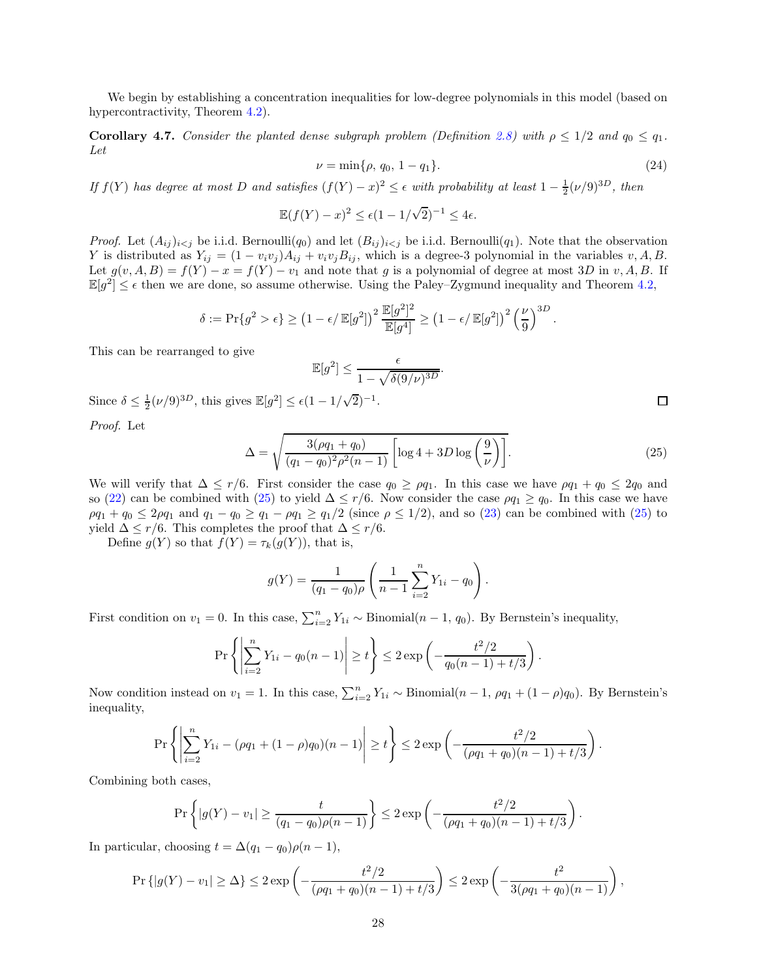We begin by establishing a concentration inequalities for low-degree polynomials in this model (based on hypercontractivity, Theorem [4.2\)](#page-24-1).

<span id="page-27-2"></span>**Corollary 4.7.** Consider the planted dense subgraph problem (Definition [2.8\)](#page-12-2) with  $\rho \leq 1/2$  and  $q_0 \leq q_1$ . Let

<span id="page-27-0"></span>
$$
\nu = \min\{\rho, q_0, 1 - q_1\}.\tag{24}
$$

If  $f(Y)$  has degree at most D and satisfies  $(f(Y) - x)^2 \leq \epsilon$  with probability at least  $1 - \frac{1}{2}(\nu/9)^{3D}$ , then

$$
\mathbb{E}(f(Y) - x)^2 \le \epsilon (1 - 1/\sqrt{2})^{-1} \le 4\epsilon.
$$

*Proof.* Let  $(A_{ij})_{i\leq j}$  be i.i.d. Bernoulli $(q_0)$  and let  $(B_{ij})_{i\leq j}$  be i.i.d. Bernoulli $(q_1)$ . Note that the observation Y is distributed as  $Y_{ij} = (1 - v_i v_j) A_{ij} + v_i v_j B_{ij}$ , which is a degree-3 polynomial in the variables  $v, A, B$ . Let  $g(v, A, B) = f(Y) - x = f(Y) - v_1$  and note that g is a polynomial of degree at most 3D in v, A, B. If  $\mathbb{E}[g^2] \leq \epsilon$  then we are done, so assume otherwise. Using the Paley–Zygmund inequality and Theorem [4.2,](#page-24-1)

$$
\delta := \Pr\{g^2 > \epsilon\} \ge \left(1 - \epsilon/\mathbb{E}[g^2]\right)^2 \frac{\mathbb{E}[g^2]^2}{\mathbb{E}[g^4]} \ge \left(1 - \epsilon/\mathbb{E}[g^2]\right)^2 \left(\frac{\nu}{9}\right)^{3D}.
$$

This can be rearranged to give

$$
\mathbb{E}[g^2] \le \frac{\epsilon}{1 - \sqrt{\delta(9/\nu)^{3D}}}.
$$

Since  $\delta \leq \frac{1}{2} (\nu/9)^{3D}$ , this gives  $\mathbb{E}[g^2] \leq \epsilon (1 - 1/\sqrt{2})^{-1}$ .

Proof. Let

<span id="page-27-1"></span>
$$
\Delta = \sqrt{\frac{3(\rho q_1 + q_0)}{(q_1 - q_0)^2 \rho^2 (n - 1)}} \left[ \log 4 + 3D \log \left( \frac{9}{\nu} \right) \right].
$$
\n(25)

We will verify that  $\Delta \leq r/6$ . First consider the case  $q_0 \geq \rho q_1$ . In this case we have  $\rho q_1 + q_0 \leq 2q_0$  and so [\(22\)](#page-26-2) can be combined with [\(25\)](#page-27-1) to yield  $\Delta \leq r/6$ . Now consider the case  $\rho q_1 \geq q_0$ . In this case we have  $\rho q_1 + q_0 \leq 2\rho q_1$  and  $q_1 - q_0 \geq q_1 - \rho q_1 \geq q_1/2$  (since  $\rho \leq 1/2$ ), and so [\(23\)](#page-26-3) can be combined with [\(25\)](#page-27-1) to yield  $\Delta \leq r/6$ . This completes the proof that  $\Delta \leq r/6$ .

Define  $g(Y)$  so that  $f(Y) = \tau_k(g(Y))$ , that is,

$$
g(Y) = \frac{1}{(q_1 - q_0)\rho} \left( \frac{1}{n-1} \sum_{i=2}^{n} Y_{1i} - q_0 \right).
$$

First condition on  $v_1 = 0$ . In this case,  $\sum_{i=2}^{n} Y_{1i} \sim \text{Binomial}(n-1, q_0)$ . By Bernstein's inequality,

$$
\Pr\left\{ \left| \sum_{i=2}^{n} Y_{1i} - q_0(n-1) \right| \ge t \right\} \le 2 \exp\left( -\frac{t^2/2}{q_0(n-1) + t/3} \right).
$$

Now condition instead on  $v_1 = 1$ . In this case,  $\sum_{i=2}^{n} Y_{1i} \sim \text{Binomial}(n-1, \rho q_1 + (1-\rho)q_0)$ . By Bernstein's inequality,

$$
\Pr\left\{ \left| \sum_{i=2}^{n} Y_{1i} - (\rho q_1 + (1 - \rho)q_0)(n - 1) \right| \ge t \right\} \le 2 \exp\left( - \frac{t^2/2}{(\rho q_1 + q_0)(n - 1) + t/3} \right).
$$

Combining both cases,

$$
\Pr\left\{|g(Y) - v_1| \ge \frac{t}{(q_1 - q_0)\rho(n-1)}\right\} \le 2 \exp\left(-\frac{t^2/2}{(\rho q_1 + q_0)(n-1) + t/3}\right).
$$

In particular, choosing  $t = \Delta(q_1 - q_0)\rho(n-1)$ ,

$$
\Pr\{|g(Y) - v_1| \ge \Delta\} \le 2 \exp\left(-\frac{t^2/2}{(\rho q_1 + q_0)(n-1) + t/3}\right) \le 2 \exp\left(-\frac{t^2}{3(\rho q_1 + q_0)(n-1)}\right),
$$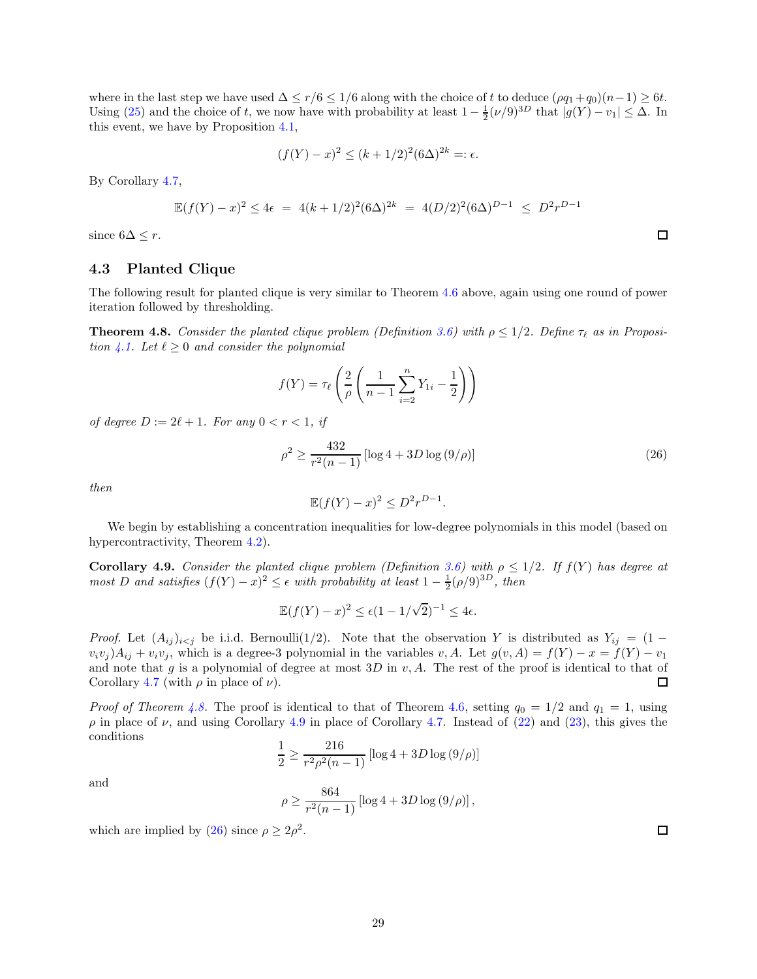where in the last step we have used  $\Delta \le r/6 \le 1/6$  along with the choice of t to deduce  $(\rho q_1 + q_0)(n-1) \ge 6t$ . Using [\(25\)](#page-27-1) and the choice of t, we now have with probability at least  $1 - \frac{1}{2}(\nu/9)^{3D}$  that  $|g(Y) - v_1| \leq \Delta$ . In this event, we have by Proposition [4.1,](#page-23-3)

$$
(f(Y) - x)^2 \le (k + 1/2)^2 (6\Delta)^{2k} =: \epsilon.
$$

By Corollary [4.7,](#page-27-2)

$$
\mathbb{E}(f(Y) - x)^2 \le 4\epsilon = 4(k + 1/2)^2 (6\Delta)^{2k} = 4(D/2)^2 (6\Delta)^{D-1} \le D^2 r^{D-1}
$$

<span id="page-28-0"></span>since  $6\Delta \leq r$ .

### 4.3 Planted Clique

The following result for planted clique is very similar to Theorem [4.6](#page-26-1) above, again using one round of power iteration followed by thresholding.

<span id="page-28-1"></span>**Theorem 4.8.** Consider the planted clique problem (Definition [3.6\)](#page-20-2) with  $\rho \leq 1/2$ . Define  $\tau_{\ell}$  as in Proposi-tion [4.1.](#page-23-3) Let  $\ell \geq 0$  and consider the polynomial

$$
f(Y) = \tau_{\ell} \left( \frac{2}{\rho} \left( \frac{1}{n-1} \sum_{i=2}^{n} Y_{1i} - \frac{1}{2} \right) \right)
$$

of degree  $D := 2\ell + 1$ . For any  $0 < r < 1$ , if

<span id="page-28-3"></span>
$$
\rho^2 \ge \frac{432}{r^2(n-1)} \left[ \log 4 + 3D \log \left( 9/\rho \right) \right] \tag{26}
$$

then

$$
\mathbb{E}(f(Y) - x)^2 \le D^2 r^{D-1}.
$$

We begin by establishing a concentration inequalities for low-degree polynomials in this model (based on hypercontractivity, Theorem [4.2\)](#page-24-1).

<span id="page-28-2"></span>**Corollary 4.9.** Consider the planted clique problem (Definition [3.6\)](#page-20-2) with  $\rho \leq 1/2$ . If  $f(Y)$  has degree at most D and satisfies  $(f(Y) - x)^2 \le \epsilon$  with probability at least  $1 - \frac{1}{2}(\rho/9)^{3D}$ , then

$$
\mathbb{E}(f(Y) - x)^2 \le \epsilon (1 - 1/\sqrt{2})^{-1} \le 4\epsilon.
$$

*Proof.* Let  $(A_{ij})_{i\leq j}$  be i.i.d. Bernoulli(1/2). Note that the observation Y is distributed as  $Y_{ij} = (1$  $v_i v_j$ ) $A_{ij} + v_i v_j$ , which is a degree-3 polynomial in the variables  $v, A$ . Let  $g(v, A) = f(Y) - x = f(Y) - v_1$ and note that g is a polynomial of degree at most  $3D$  in v, A. The rest of the proof is identical to that of Corollary [4.7](#page-27-2) (with  $\rho$  in place of  $\nu$ ).  $\Box$ 

*Proof of Theorem [4.8.](#page-28-1)* The proof is identical to that of Theorem [4.6,](#page-26-1) setting  $q_0 = 1/2$  and  $q_1 = 1$ , using  $\rho$  in place of  $\nu$ , and using Corollary [4.9](#page-28-2) in place of Corollary [4.7.](#page-27-2) Instead of [\(22\)](#page-26-2) and [\(23\)](#page-26-3), this gives the conditions

$$
\frac{1}{2} \ge \frac{216}{r^2 \rho^2 (n-1)} \left[ \log 4 + 3D \log \left( 9/\rho \right) \right]
$$

and

$$
\rho \ge \frac{864}{r^2(n-1)} \left[ \log 4 + 3D \log (9/\rho) \right],
$$

which are implied by [\(26\)](#page-28-3) since  $\rho \geq 2\rho^2$ .

 $\Box$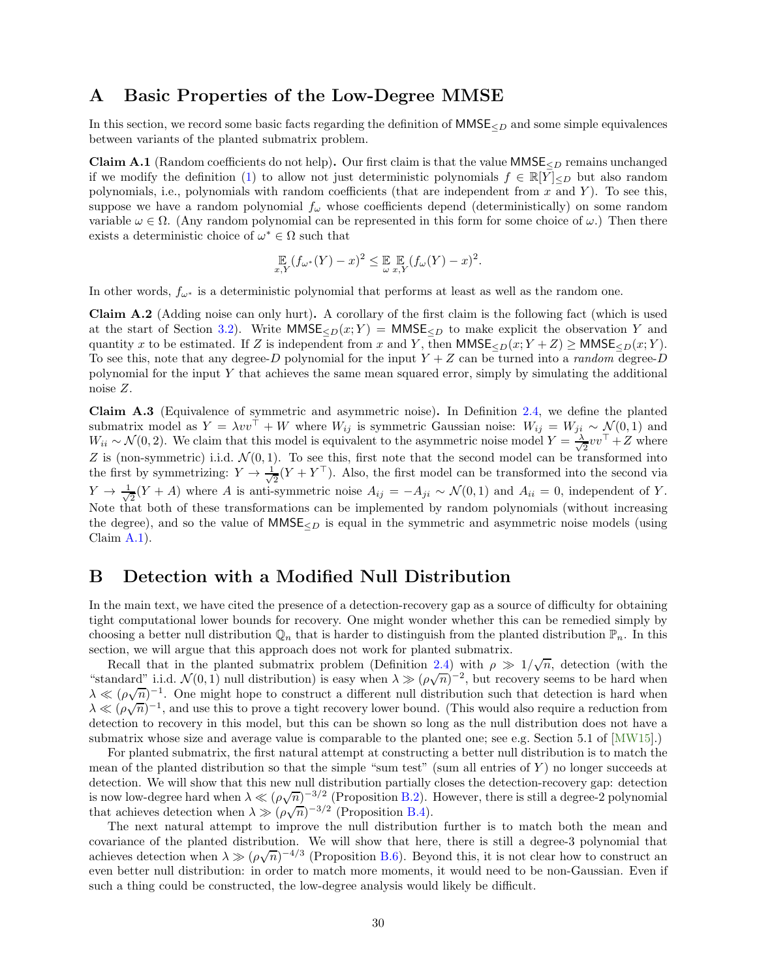### <span id="page-29-0"></span>A Basic Properties of the Low-Degree MMSE

In this section, we record some basic facts regarding the definition of  $MMSE<sub>CD</sub>$  and some simple equivalences between variants of the planted submatrix problem.

<span id="page-29-3"></span>**Claim A.1** (Random coefficients do not help). Our first claim is that the value  $MMSE<sub>CD</sub>$  remains unchanged if we modify the definition [\(1\)](#page-3-3) to allow not just deterministic polynomials  $f \in \mathbb{R}[Y]_{\leq D}$  but also random polynomials, i.e., polynomials with random coefficients (that are independent from  $x$  and  $Y$ ). To see this, suppose we have a random polynomial  $f_{\omega}$  whose coefficients depend (deterministically) on some random variable  $\omega \in \Omega$ . (Any random polynomial can be represented in this form for some choice of  $\omega$ .) Then there exists a deterministic choice of  $\omega^* \in \Omega$  such that

$$
\mathop{\mathbb{E}}_{x,Y}(f_{\omega^*}(Y)-x)^2 \leq \mathop{\mathbb{E}}_{\omega} \mathop{\mathbb{E}}_{x,Y}(f_{\omega}(Y)-x)^2.
$$

In other words,  $f_{\omega^*}$  is a deterministic polynomial that performs at least as well as the random one.

<span id="page-29-2"></span>Claim A.2 (Adding noise can only hurt). A corollary of the first claim is the following fact (which is used at the start of Section [3.2\)](#page-16-0). Write  $MMSE_{\leq D}(x; Y) = MMSE_{\leq D}$  to make explicit the observation Y and quantity x to be estimated. If Z is independent from x and Y, then  $MMSE_{\le D}(x; Y + Z) \ge MMSE_{\le D}(x; Y)$ . To see this, note that any degree-D polynomial for the input  $Y + Z$  can be turned into a *random* degree-D polynomial for the input Y that achieves the same mean squared error, simply by simulating the additional noise Z.

<span id="page-29-4"></span>Claim A.3 (Equivalence of symmetric and asymmetric noise). In Definition [2.4,](#page-10-1) we define the planted submatrix model as  $Y = \lambda vv^{\dagger} + W$  where  $W_{ij}$  is symmetric Gaussian noise:  $W_{ij} = W_{ji} \sim \mathcal{N}(0, 1)$  and  $W_{ii} \sim \mathcal{N}(0, 2)$ . We claim that this model is equivalent to the asymmetric noise model  $Y = \frac{\lambda}{\sqrt{2\pi}}$  $\frac{1}{2}vv^{\top} + Z$  where Z is (non-symmetric) i.i.d.  $\mathcal{N}(0, 1)$ . To see this, first note that the second model can be transformed into the first by symmetrizing:  $Y \to \frac{1}{\sqrt{2}}$  $\frac{1}{2}(Y+Y^{\perp})$ . Also, the first model can be transformed into the second via  $Y \rightarrow \frac{1}{\sqrt{2}}$  $\frac{1}{2}(Y+A)$  where A is anti-symmetric noise  $A_{ij} = -A_{ji} \sim \mathcal{N}(0,1)$  and  $A_{ii} = 0$ , independent of Y. Note that both of these transformations can be implemented by random polynomials (without increasing the degree), and so the value of  $MMSE_{\leq D}$  is equal in the symmetric and asymmetric noise models (using Claim [A.1\)](#page-29-3).

# <span id="page-29-1"></span>B Detection with a Modified Null Distribution

In the main text, we have cited the presence of a detection-recovery gap as a source of difficulty for obtaining tight computational lower bounds for recovery. One might wonder whether this can be remedied simply by choosing a better null distribution  $\mathbb{Q}_n$  that is harder to distinguish from the planted distribution  $\mathbb{P}_n$ . In this section, we will argue that this approach does not work for planted submatrix.

Recall that in the planted submatrix problem (Definition [2.4\)](#page-10-1) with  $\rho \gg 1/\sqrt{n}$ , detection (with the "standard" i.i.d.  $\mathcal{N}(0,1)$  null distribution) is easy when  $\lambda \gg (\rho\sqrt{n})^{-2}$ , but recovery seems to be hard when  $\lambda \ll (\rho\sqrt{n})^{-1}$ . One might hope to construct a different null distribution such that detection is hard when  $\lambda \ll (\rho \sqrt{n})^{-1}$ , and use this to prove a tight recovery lower bound. (This would also require a reduction from detection to recovery in this model, but this can be shown so long as the null distribution does not have a submatrix whose size and average value is comparable to the planted one; see e.g. Section 5.1 of [\[MW15\]](#page-45-0).)

For planted submatrix, the first natural attempt at constructing a better null distribution is to match the mean of the planted distribution so that the simple "sum test" (sum all entries of  $Y$ ) no longer succeeds at detection. We will show that this new null distribution partially closes the detection-recovery gap: detection is now low-degree hard when  $\lambda \ll (\rho \sqrt{n})^{-3/2}$  (Proposition [B.2\)](#page-30-1). However, there is still a degree-2 polynomial that achieves detection when  $\lambda \gg (\rho \sqrt{n})^{-3/2}$  (Proposition [B.4\)](#page-31-0).

The next natural attempt to improve the null distribution further is to match both the mean and covariance of the planted distribution. We will show that here, there is still a degree-3 polynomial that achieves detection when  $\lambda \gg (\rho \sqrt{n})^{-4/3}$  (Proposition [B.6\)](#page-33-1). Beyond this, it is not clear how to construct an even better null distribution: in order to match more moments, it would need to be non-Gaussian. Even if such a thing could be constructed, the low-degree analysis would likely be difficult.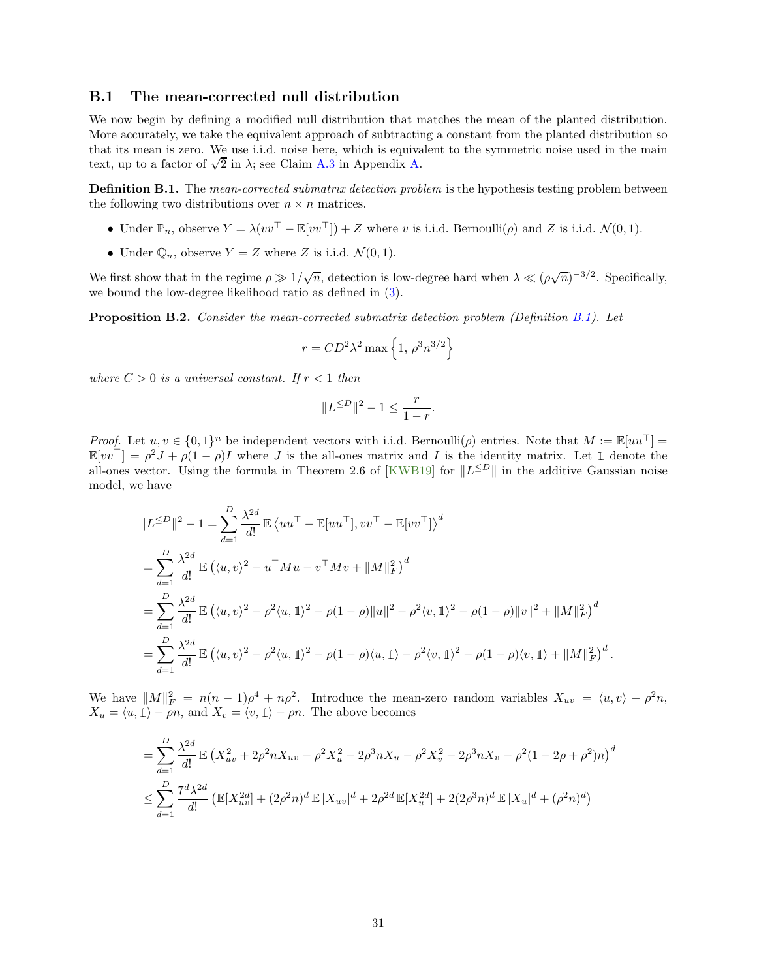#### <span id="page-30-0"></span>B.1 The mean-corrected null distribution

We now begin by defining a modified null distribution that matches the mean of the planted distribution. More accurately, we take the equivalent approach of subtracting a constant from the planted distribution so that its mean is zero. We use i.i.d. noise here, which is equivalent to the symmetric noise used in the main text, up to a factor of  $\sqrt{2}$  in  $\lambda$ ; see Claim [A.3](#page-29-4) in Appendix [A.](#page-29-0)

<span id="page-30-2"></span>**Definition B.1.** The *mean-corrected submatrix detection problem* is the hypothesis testing problem between the following two distributions over  $n \times n$  matrices.

- Under  $\mathbb{P}_n$ , observe  $Y = \lambda (vv^\top \mathbb{E}[vv^\top]) + Z$  where v is i.i.d. Bernoulli $(\rho)$  and Z is i.i.d.  $\mathcal{N}(0, 1)$ .
- Under  $\mathbb{Q}_n$ , observe  $Y = Z$  where Z is i.i.d.  $\mathcal{N}(0, 1)$ .

We first show that in the regime  $\rho \gg 1/\sqrt{n}$ , detection is low-degree hard when  $\lambda \ll (\rho \sqrt{n})^{-3/2}$ . Specifically, we bound the low-degree likelihood ratio as defined in [\(3\)](#page-5-1).

<span id="page-30-1"></span>Proposition B.2. Consider the mean-corrected submatrix detection problem (Definition [B.1\)](#page-30-2). Let

$$
r = CD^2 \lambda^2 \max \left\{ 1, \, \rho^3 n^{3/2} \right\}
$$

where  $C > 0$  is a universal constant. If  $r < 1$  then

$$
||L^{\leq D}||^2 - 1 \leq \frac{r}{1 - r}.
$$

Proof. Let  $u, v \in \{0,1\}^n$  be independent vectors with i.i.d. Bernoulli $(\rho)$  entries. Note that  $M := \mathbb{E}[uu^\top] =$  $\mathbb{E}[vv^{\top}] = \rho^2 J + \rho (1 - \rho)I$  where J is the all-ones matrix and I is the identity matrix. Let 1 denote the all-ones vector. Using the formula in Theorem 2.6 of [\[KWB19\]](#page-45-2) for  $||L^{\leq D}||$  in the additive Gaussian noise model, we have

$$
||L^{\leq D}||^{2} - 1 = \sum_{d=1}^{D} \frac{\lambda^{2d}}{d!} \mathbb{E} \left\langle uu^{\top} - \mathbb{E}[uu^{\top}], vv^{\top} - \mathbb{E}[vv^{\top}]\right\rangle^{d}
$$
  
\n
$$
= \sum_{d=1}^{D} \frac{\lambda^{2d}}{d!} \mathbb{E} \left( \langle u, v \rangle^{2} - u^{\top} M u - v^{\top} M v + ||M||_{F}^{2} \right)^{d}
$$
  
\n
$$
= \sum_{d=1}^{D} \frac{\lambda^{2d}}{d!} \mathbb{E} \left( \langle u, v \rangle^{2} - \rho^{2} \langle u, 1 \rangle^{2} - \rho (1 - \rho) ||u||^{2} - \rho^{2} \langle v, 1 \rangle^{2} - \rho (1 - \rho) ||v||^{2} + ||M||_{F}^{2} \right)^{d}
$$
  
\n
$$
= \sum_{d=1}^{D} \frac{\lambda^{2d}}{d!} \mathbb{E} \left( \langle u, v \rangle^{2} - \rho^{2} \langle u, 1 \rangle^{2} - \rho (1 - \rho) \langle u, 1 \rangle - \rho^{2} \langle v, 1 \rangle^{2} - \rho (1 - \rho) \langle v, 1 \rangle + ||M||_{F}^{2} \right)^{d}.
$$

We have  $||M||_F^2 = n(n-1)\rho^4 + n\rho^2$ . Introduce the mean-zero random variables  $X_{uv} = \langle u, v \rangle - \rho^2 n$ ,  $X_u = \langle u, 1 \rangle - \rho n$ , and  $X_v = \langle v, 1 \rangle - \rho n$ . The above becomes

$$
= \sum_{d=1}^{D} \frac{\lambda^{2d}}{d!} \mathbb{E} \left( X_{uv}^2 + 2\rho^2 n X_{uv} - \rho^2 X_u^2 - 2\rho^3 n X_u - \rho^2 X_v^2 - 2\rho^3 n X_v - \rho^2 (1 - 2\rho + \rho^2) n \right)^d
$$
  

$$
\leq \sum_{d=1}^{D} \frac{7^d \lambda^{2d}}{d!} \left( \mathbb{E} [X_{uv}^{2d}] + (2\rho^2 n)^d \mathbb{E} |X_{uv}|^d + 2\rho^{2d} \mathbb{E} [X_u^{2d}] + 2(2\rho^3 n)^d \mathbb{E} |X_u|^d + (\rho^2 n)^d \right)
$$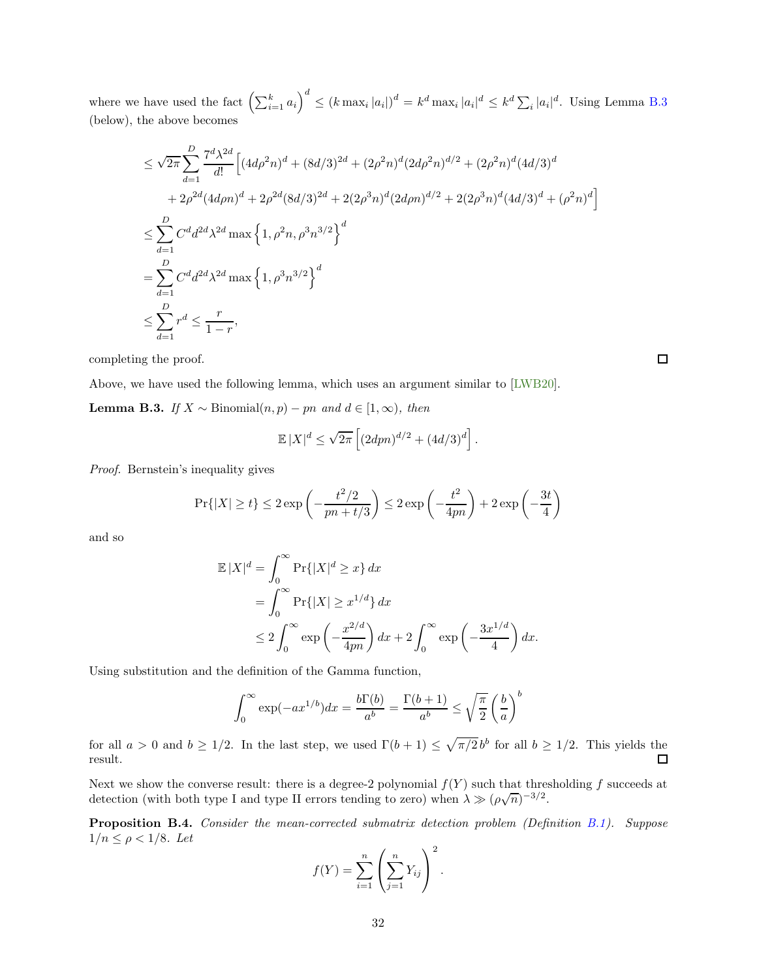where we have used the fact  $\left(\sum_{i=1}^k a_i\right)^d \le (k \max_i |a_i|)^d = k^d \max_i |a_i|^d \le k^d \sum_i |a_i|^d$ . Using Lemma [B.3](#page-31-1) (below), the above becomes

$$
\leq \sqrt{2\pi} \sum_{d=1}^{D} \frac{7^d \lambda^{2d}}{d!} \Big[ (4d\rho^2 n)^d + (8d/3)^{2d} + (2\rho^2 n)^d (2d\rho^2 n)^{d/2} + (2\rho^2 n)^d (4d/3)^d
$$
  
+  $2\rho^{2d} (4d\rho n)^d + 2\rho^{2d} (8d/3)^{2d} + 2(2\rho^3 n)^d (2d\rho n)^{d/2} + 2(2\rho^3 n)^d (4d/3)^d + (\rho^2 n)^d \Big]$   

$$
\leq \sum_{d=1}^{D} C^d d^{2d} \lambda^{2d} \max \Big\{ 1, \rho^2 n, \rho^3 n^{3/2} \Big\}^d
$$
  
= 
$$
\sum_{d=1}^{D} C^d d^{2d} \lambda^{2d} \max \Big\{ 1, \rho^3 n^{3/2} \Big\}^d
$$
  

$$
\leq \sum_{d=1}^{D} r^d \leq \frac{r}{1-r},
$$

completing the proof.

Above, we have used the following lemma, which uses an argument similar to [\[LWB20\]](#page-45-13).

<span id="page-31-1"></span>**Lemma B.3.** If  $X$  ∼ Binomial $(n, p)$  – pn and  $d \in [1, \infty)$ , then

$$
\mathbb{E}|X|^d \le \sqrt{2\pi} \left[ (2dpn)^{d/2} + (4d/3)^d \right].
$$

Proof. Bernstein's inequality gives

$$
\Pr\{|X| \ge t\} \le 2\exp\left(-\frac{t^2/2}{pn + t/3}\right) \le 2\exp\left(-\frac{t^2}{4pn}\right) + 2\exp\left(-\frac{3t}{4}\right)
$$

and so

$$
\mathbb{E}|X|^d = \int_0^\infty \Pr\{|X|^d \ge x\} dx
$$
  
= 
$$
\int_0^\infty \Pr\{|X| \ge x^{1/d}\} dx
$$
  

$$
\le 2 \int_0^\infty \exp\left(-\frac{x^{2/d}}{4pn}\right) dx + 2 \int_0^\infty \exp\left(-\frac{3x^{1/d}}{4}\right) dx.
$$

Using substitution and the definition of the Gamma function,

$$
\int_0^\infty \exp(-ax^{1/b})dx = \frac{b\Gamma(b)}{a^b} = \frac{\Gamma(b+1)}{a^b} \le \sqrt{\frac{\pi}{2}} \left(\frac{b}{a}\right)^b
$$

for all  $a > 0$  and  $b \ge 1/2$ . In the last step, we used  $\Gamma(b+1) \le \sqrt{\pi/2} b^b$  for all  $b \ge 1/2$ . This yields the result.

Next we show the converse result: there is a degree-2 polynomial  $f(Y)$  such that thresholding f succeeds at detection (with both type I and type II errors tending to zero) when  $\lambda \gg (\rho\sqrt{n})^{-3/2}$ .

<span id="page-31-0"></span>Proposition B.4. Consider the mean-corrected submatrix detection problem (Definition [B.1\)](#page-30-2). Suppose  $1/n \leq \rho < 1/8$ . Let

$$
f(Y) = \sum_{i=1}^{n} \left( \sum_{j=1}^{n} Y_{ij} \right)^2.
$$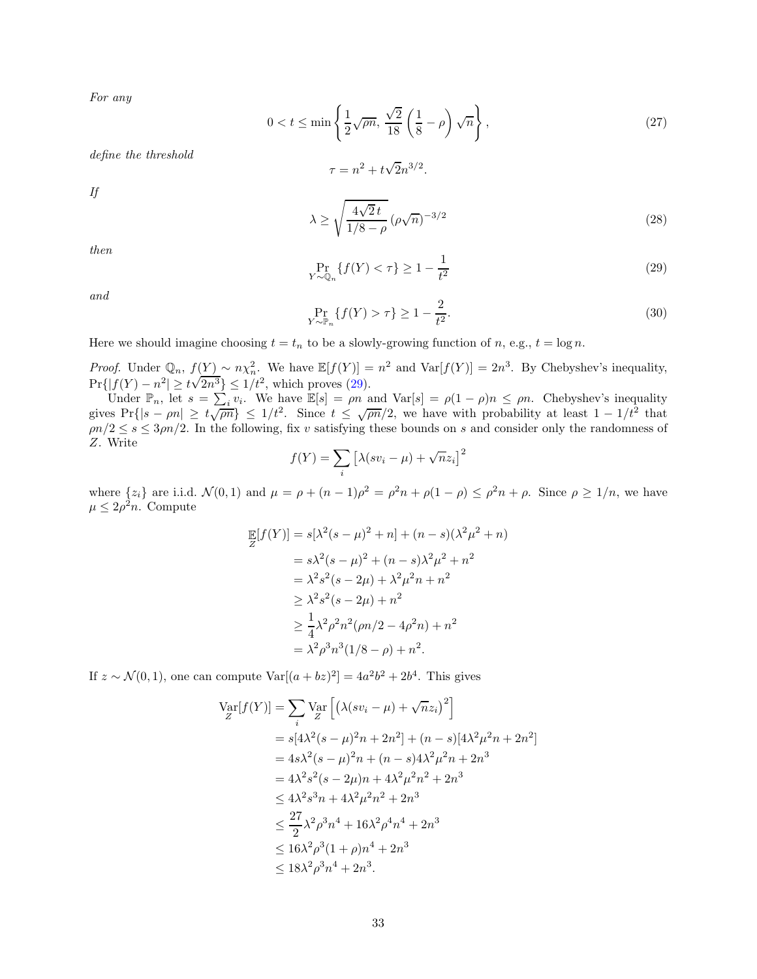For any

<span id="page-32-2"></span>
$$
0 < t \le \min\left\{\frac{1}{2}\sqrt{\rho n}, \frac{\sqrt{2}}{18}\left(\frac{1}{8} - \rho\right)\sqrt{n}\right\},\tag{27}
$$

define the threshold

$$
\tau = n^2 + t\sqrt{2}n^{3/2}.
$$

If

<span id="page-32-1"></span>
$$
\lambda \ge \sqrt{\frac{4\sqrt{2}t}{1/8 - \rho}} \left(\rho \sqrt{n}\right)^{-3/2} \tag{28}
$$

then

<span id="page-32-0"></span>
$$
\Pr_{Y \sim \mathbb{Q}_n} \{ f(Y) < \tau \} \ge 1 - \frac{1}{t^2} \tag{29}
$$

and

$$
\Pr_{Y \sim \mathbb{P}_n} \{ f(Y) > \tau \} \ge 1 - \frac{2}{t^2}.
$$
\n(30)

Here we should imagine choosing  $t = t_n$  to be a slowly-growing function of n, e.g.,  $t = \log n$ .

*Proof.* Under  $\mathbb{Q}_n$ ,  $f(Y) \sim n \chi_n^2$ . We have  $\mathbb{E}[f(Y)] = n^2$  and  $\text{Var}[f(Y)] = 2n^3$ . By Chebyshev's inequality,  $\Pr\{|f(Y) - n^2| \ge t\sqrt{2n^3}\}\le 1/t^2$ , which proves [\(29\)](#page-32-0).

Under  $\mathbb{P}_n$ , let  $s = \sum_i v_i$ . We have  $\mathbb{E}[s] = \rho n$  and  $\text{Var}[s] = \rho(1-\rho)n \leq \rho n$ . Chebyshev's inequality gives  $Pr\{|s - \rho n| \ge t\sqrt{\rho n}\}\le 1/t^2$ . Since  $t \le \sqrt{\rho n}/2$ , we have with probability at least  $1 - 1/t^2$  that  $\rho n/2 \leq s \leq 3\rho n/2$ . In the following, fix v satisfying these bounds on s and consider only the randomness of Z. Write 2

$$
f(Y) = \sum_{i} \left[ \lambda (s v_i - \mu) + \sqrt{n} z_i \right]^2
$$

where  $\{z_i\}$  are i.i.d.  $\mathcal{N}(0,1)$  and  $\mu = \rho + (n-1)\rho^2 = \rho^2 n + \rho(1-\rho) \leq \rho^2 n + \rho$ . Since  $\rho \geq 1/n$ , we have  $\mu \leq 2\rho^2 n$ . Compute

$$
\mathbb{E}[f(Y)] = s[\lambda^{2}(s-\mu)^{2} + n] + (n - s)(\lambda^{2}\mu^{2} + n)
$$
  
=  $s\lambda^{2}(s-\mu)^{2} + (n - s)\lambda^{2}\mu^{2} + n^{2}$   
=  $\lambda^{2}s^{2}(s - 2\mu) + \lambda^{2}\mu^{2}n + n^{2}$   
 $\geq \lambda^{2}s^{2}(s - 2\mu) + n^{2}$   
 $\geq \frac{1}{4}\lambda^{2}\rho^{2}n^{2}(\rho n/2 - 4\rho^{2}n) + n^{2}$   
=  $\lambda^{2}\rho^{3}n^{3}(1/8 - \rho) + n^{2}$ .

If  $z \sim \mathcal{N}(0, 1)$ , one can compute  $\text{Var}[(a + bz)^2] = 4a^2b^2 + 2b^4$ . This gives

$$
\begin{split} \text{Var}[f(Y)] &= \sum_{i} \text{Var}\left[\left(\lambda (sv_i - \mu) + \sqrt{n}z_i\right)^2\right] \\ &= s[4\lambda^2(s - \mu)^2 n + 2n^2] + (n - s)[4\lambda^2 \mu^2 n + 2n^2] \\ &= 4s\lambda^2(s - \mu)^2 n + (n - s)4\lambda^2 \mu^2 n + 2n^3 \\ &= 4\lambda^2 s^2(s - 2\mu)n + 4\lambda^2 \mu^2 n^2 + 2n^3 \\ &\le 4\lambda^2 s^3 n + 4\lambda^2 \mu^2 n^2 + 2n^3 \\ &\le \frac{27}{2}\lambda^2 \rho^3 n^4 + 16\lambda^2 \rho^4 n^4 + 2n^3 \\ &\le 16\lambda^2 \rho^3 (1 + \rho)n^4 + 2n^3 \\ &\le 18\lambda^2 \rho^3 n^4 + 2n^3. \end{split}
$$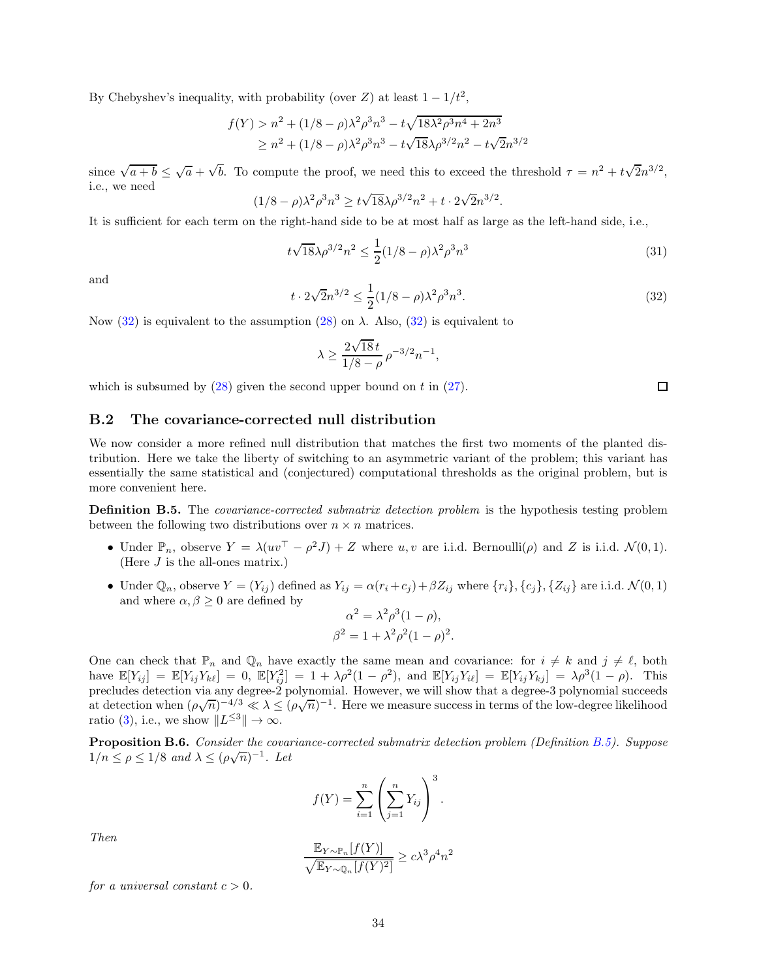By Chebyshev's inequality, with probability (over  $Z$ ) at least  $1 - 1/t^2$ ,

$$
f(Y) > n^2 + (1/8 - \rho)\lambda^2 \rho^3 n^3 - t\sqrt{18\lambda^2 \rho^3 n^4 + 2n^3}
$$
  
 
$$
\ge n^2 + (1/8 - \rho)\lambda^2 \rho^3 n^3 - t\sqrt{18\lambda \rho^{3/2} n^2} - t\sqrt{2}n^{3/2}
$$

since  $\sqrt{a+b} \leq \sqrt{a} + \sqrt{b}$ . To compute the proof, we need this to exceed the threshold  $\tau = n^2 + t\sqrt{2}n^{3/2}$ , i.e., we need

$$
(1/8 - \rho)\lambda^2 \rho^3 n^3 \ge t\sqrt{18}\lambda \rho^{3/2} n^2 + t \cdot 2\sqrt{2}n^{3/2}.
$$

It is sufficient for each term on the right-hand side to be at most half as large as the left-hand side, i.e.,

$$
t\sqrt{18}\lambda\rho^{3/2}n^2 \le \frac{1}{2}(1/8-\rho)\lambda^2\rho^3n^3\tag{31}
$$

and

<span id="page-33-2"></span>
$$
t \cdot 2\sqrt{2}n^{3/2} \le \frac{1}{2}(1/8 - \rho)\lambda^2\rho^3 n^3. \tag{32}
$$

Now [\(32\)](#page-33-2) is equivalent to the assumption [\(28\)](#page-32-1) on  $\lambda$ . Also, (32) is equivalent to

$$
\lambda \geq \frac{2\sqrt{18}\,t}{1/8-\rho}\,\rho^{-3/2}n^{-1},
$$

which is subsumed by  $(28)$  given the second upper bound on t in  $(27)$ .

#### <span id="page-33-0"></span>B.2 The covariance-corrected null distribution

We now consider a more refined null distribution that matches the first two moments of the planted distribution. Here we take the liberty of switching to an asymmetric variant of the problem; this variant has essentially the same statistical and (conjectured) computational thresholds as the original problem, but is more convenient here.

<span id="page-33-3"></span>**Definition B.5.** The *covariance-corrected submatrix detection problem* is the hypothesis testing problem between the following two distributions over  $n \times n$  matrices.

- Under  $\mathbb{P}_n$ , observe  $Y = \lambda (uv^\top \rho^2 J) + Z$  where  $u, v$  are i.i.d. Bernoulli $(\rho)$  and Z is i.i.d.  $\mathcal{N}(0, 1)$ . (Here  $J$  is the all-ones matrix.)
- Under  $\mathbb{Q}_n$ , observe  $Y = (Y_{ij})$  defined as  $Y_{ij} = \alpha(r_i + c_j) + \beta Z_{ij}$  where  $\{r_i\}$ ,  $\{c_j\}$ ,  $\{Z_{ij}\}$  are i.i.d.  $\mathcal{N}(0, 1)$ and where  $\alpha, \beta \geq 0$  are defined by

$$
\alpha^{2} = \lambda^{2} \rho^{3} (1 - \rho), \n\beta^{2} = 1 + \lambda^{2} \rho^{2} (1 - \rho)^{2}.
$$

One can check that  $\mathbb{P}_n$  and  $\mathbb{Q}_n$  have exactly the same mean and covariance: for  $i \neq k$  and  $j \neq \ell$ , both have  $\mathbb{E}[Y_{ij}] = \mathbb{E}[Y_{ij}Y_{k\ell}] = 0$ ,  $\mathbb{E}[Y_{ij}^2] = 1 + \lambda \rho^2 (1 - \rho^2)$ , and  $\mathbb{E}[Y_{ij}Y_{i\ell}] = \mathbb{E}[Y_{ij}Y_{kj}] = \lambda \rho^3 (1 - \rho)$ . This precludes detection via any degree-2 polynomial. However, we will show that a degree-3 polynomial succeeds at detection when  $(\rho\sqrt{n})^{-4/3} \ll \lambda \leq (\rho\sqrt{n})^{-1}$ . Here we measure success in terms of the low-degree likelihood ratio [\(3\)](#page-5-1), i.e., we show  $||L^{\leq 3}|| \to \infty$ .

<span id="page-33-1"></span>Proposition B.6. Consider the covariance-corrected submatrix detection problem (Definition [B.5\)](#page-33-3). Suppose  $1/n \leq \rho \leq 1/8$  and  $\lambda \leq (\rho\sqrt{n})^{-1}$ . Let

$$
f(Y) = \sum_{i=1}^{n} \left( \sum_{j=1}^{n} Y_{ij} \right)^3
$$
.

Then

$$
\frac{\mathbb{E}_{Y \sim \mathbb{P}_n}[f(Y)]}{\sqrt{\mathbb{E}_{Y \sim \mathbb{Q}_n}[f(Y)^2]}} \ge c\lambda^3 \rho^4 n^2
$$

for a universal constant  $c > 0$ .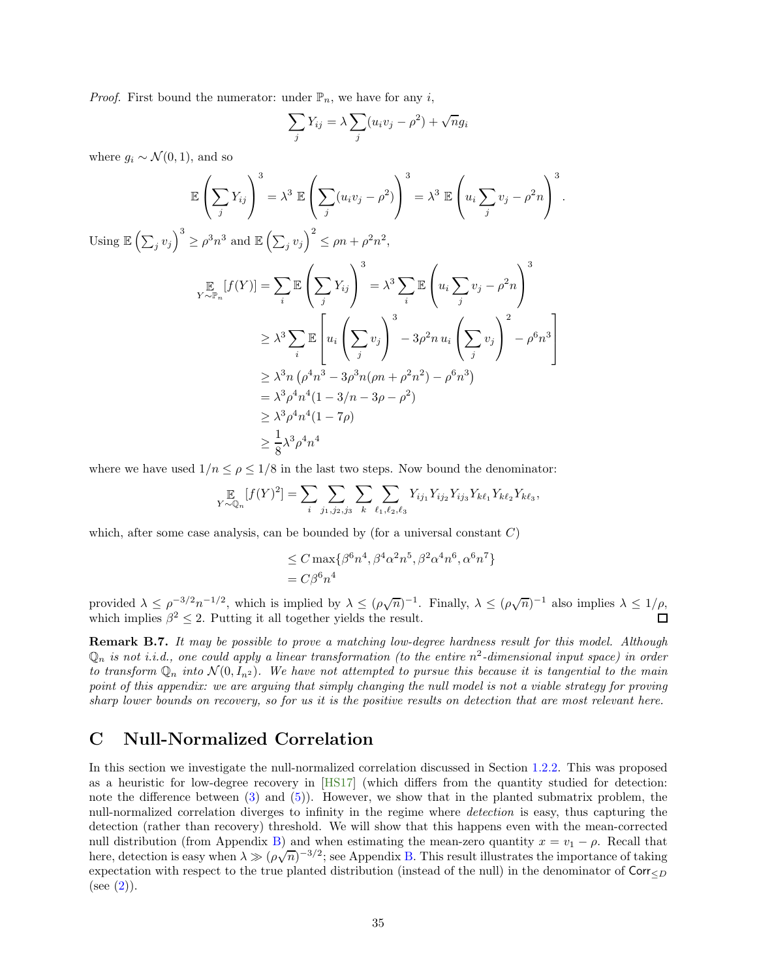*Proof.* First bound the numerator: under  $\mathbb{P}_n$ , we have for any i,

$$
\sum_{j} Y_{ij} = \lambda \sum_{j} (u_i v_j - \rho^2) + \sqrt{n} g_i
$$

where  $g_i \sim \mathcal{N}(0, 1)$ , and so

$$
\mathbb{E}\left(\sum_{j} Y_{ij}\right)^{3} = \lambda^{3} \mathbb{E}\left(\sum_{j} (u_{i}v_{j} - \rho^{2})\right)^{3} = \lambda^{3} \mathbb{E}\left(u_{i} \sum_{j} v_{j} - \rho^{2}n\right)^{3}.
$$
  
Using  $\mathbb{E}\left(\sum_{j} v_{j}\right)^{3} \ge \rho^{3}n^{3}$  and  $\mathbb{E}\left(\sum_{j} v_{j}\right)^{2} \le \rho n + \rho^{2}n^{2}$ ,  

$$
\sum_{Y \sim \mathbb{P}_{n}} [f(Y)] = \sum_{i} \mathbb{E}\left(\sum_{j} Y_{ij}\right)^{3} = \lambda^{3} \sum_{i} \mathbb{E}\left(u_{i} \sum_{j} v_{j} - \rho^{2}n\right)^{3}
$$

$$
\ge \lambda^{3} \sum_{i} \mathbb{E}\left[u_{i} \left(\sum_{j} v_{j}\right)^{3} - 3\rho^{2}n u_{i} \left(\sum_{j} v_{j}\right)^{2} - \rho^{6}n^{3}\right]
$$

$$
\ge \lambda^{3}n (\rho^{4}n^{3} - 3\rho^{3}n(\rho n + \rho^{2}n^{2}) - \rho^{6}n^{3})
$$

$$
= \lambda^{3}\rho^{4}n^{4}(1 - 3/n - 3\rho - \rho^{2})
$$

$$
\ge \lambda^{3}\rho^{4}n^{4}(1 - 7\rho)
$$

$$
\ge \frac{1}{8}\lambda^{3}\rho^{4}n^{4}
$$

where we have used  $1/n \leq \rho \leq 1/8$  in the last two steps. Now bound the denominator:

$$
\mathop{\mathbb{E}}_{Y \sim \mathbb{Q}_n} [f(Y)^2] = \sum_i \sum_{j_1, j_2, j_3} \sum_k \sum_{\ell_1, \ell_2, \ell_3} Y_{ij_1} Y_{ij_2} Y_{ij_3} Y_{k\ell_1} Y_{k\ell_2} Y_{k\ell_3},
$$

which, after some case analysis, can be bounded by (for a universal constant  $C$ )

$$
\leq C \max\{\beta^6 n^4, \beta^4 \alpha^2 n^5, \beta^2 \alpha^4 n^6, \alpha^6 n^7\}
$$
  
=  $C\beta^6 n^4$ 

provided  $\lambda \leq \rho^{-3/2} n^{-1/2}$ , which is implied by  $\lambda \leq (\rho \sqrt{n})^{-1}$ . Finally,  $\lambda \leq (\rho \sqrt{n})^{-1}$  also implies  $\lambda \leq 1/\rho$ , which implies  $\beta^2 \leq 2$ . Putting it all together yields the result.

Remark B.7. It may be possible to prove a matching low-degree hardness result for this model. Although  $\mathbb{Q}_n$  is not i.i.d., one could apply a linear transformation (to the entire  $n^2$ -dimensional input space) in order to transform  $\mathbb{Q}_n$  into  $\mathcal{N}(0, I_{n^2})$ . We have not attempted to pursue this because it is tangential to the main point of this appendix: we are arguing that simply changing the null model is not a viable strategy for proving sharp lower bounds on recovery, so for us it is the positive results on detection that are most relevant here.

# <span id="page-34-0"></span>C Null-Normalized Correlation

In this section we investigate the null-normalized correlation discussed in Section [1.2.2.](#page-6-1) This was proposed as a heuristic for low-degree recovery in [\[HS17\]](#page-44-1) (which differs from the quantity studied for detection: note the difference between [\(3\)](#page-5-1) and [\(5\)](#page-6-0)). However, we show that in the planted submatrix problem, the null-normalized correlation diverges to infinity in the regime where detection is easy, thus capturing the detection (rather than recovery) threshold. We will show that this happens even with the mean-corrected null distribution (from Appendix [B\)](#page-29-1) and when estimating the mean-zero quantity  $x = v_1 - \rho$ . Recall that here, detection is easy when  $\lambda \gg (\rho \sqrt{n})^{-3/2}$ ; see Appendix [B.](#page-29-1) This result illustrates the importance of taking expectation with respect to the true planted distribution (instead of the null) in the denominator of  $\text{Corr}_{\leq D}$  $(see (2)).$  $(see (2)).$  $(see (2)).$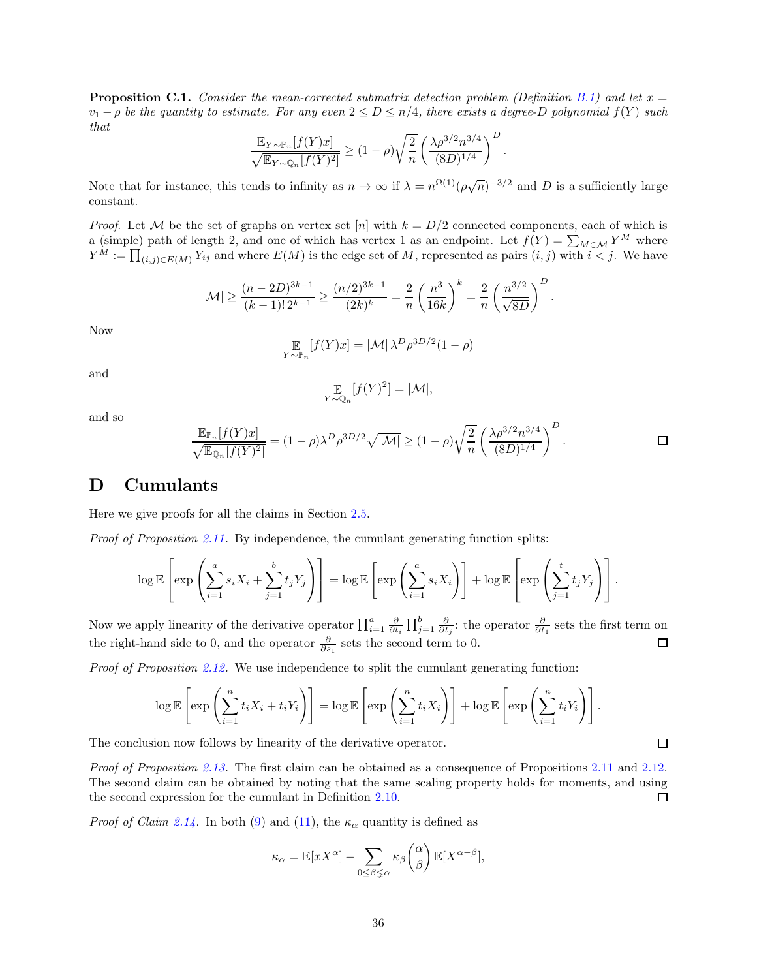<span id="page-35-1"></span>**Proposition C.1.** Consider the mean-corrected submatrix detection problem (Definition [B.1\)](#page-30-2) and let  $x =$  $v_1 - \rho$  be the quantity to estimate. For any even  $2 \le D \le n/4$ , there exists a degree-D polynomial  $f(Y)$  such that

$$
\frac{\mathbb{E}_{Y \sim \mathbb{P}_n}[f(Y)x]}{\sqrt{\mathbb{E}_{Y \sim \mathbb{Q}_n}[f(Y)^2]}} \ge (1-\rho)\sqrt{\frac{2}{n}} \left(\frac{\lambda \rho^{3/2} n^{3/4}}{(8D)^{1/4}}\right)^D.
$$

Note that for instance, this tends to infinity as  $n \to \infty$  if  $\lambda = n^{\Omega(1)} (\rho \sqrt{n})^{-3/2}$  and D is a sufficiently large constant.

*Proof.* Let M be the set of graphs on vertex set  $[n]$  with  $k = D/2$  connected components, each of which is a (simple) path of length 2, and one of which has vertex 1 as an endpoint. Let  $f(Y) = \sum_{M \in \mathcal{M}} Y^M$  where  $Y^M := \prod_{(i,j)\in E(M)} Y_{ij}$  and where  $E(M)$  is the edge set of M, represented as pairs  $(i, j)$  with  $i < j$ . We have

$$
|\mathcal{M}| \geq \frac{(n-2D)^{3k-1}}{(k-1)! \, 2^{k-1}} \geq \frac{(n/2)^{3k-1}}{(2k)^k} = \frac{2}{n} \left(\frac{n^3}{16k}\right)^k = \frac{2}{n} \left(\frac{n^{3/2}}{\sqrt{8D}}\right)^D.
$$

Now

$$
\mathop{\mathbb{E}}_{Y \sim \mathbb{P}_n} [f(Y)x] = |\mathcal{M}| \lambda^D \rho^{3D/2} (1 - \rho)
$$

and

$$
\mathop{\mathbb{E}}_{Y \sim \mathbb{Q}_n} [f(Y)^2] = |\mathcal{M}|,
$$

and so

$$
\frac{\mathbb{E}_{\mathbb{P}_n}[f(Y)x]}{\sqrt{\mathbb{E}_{\mathbb{Q}_n}[f(Y)^2]}} = (1-\rho)\lambda^D \rho^{3D/2} \sqrt{|\mathcal{M}|} \ge (1-\rho)\sqrt{\frac{2}{n}} \left(\frac{\lambda \rho^{3/2} n^{3/4}}{(8D)^{1/4}}\right)^D.
$$

# <span id="page-35-0"></span>D Cumulants

Here we give proofs for all the claims in Section [2.5.](#page-14-0)

*Proof of Proposition [2.11.](#page-14-2)* By independence, the cumulant generating function splits:

$$
\log \mathbb{E}\left[\exp\left(\sum_{i=1}^a s_i X_i + \sum_{j=1}^b t_j Y_j\right)\right] = \log \mathbb{E}\left[\exp\left(\sum_{i=1}^a s_i X_i\right)\right] + \log \mathbb{E}\left[\exp\left(\sum_{j=1}^t t_j Y_j\right)\right].
$$

Now we apply linearity of the derivative operator  $\prod_{i=1}^{a} \frac{\partial}{\partial t_i} \prod_{j=1}^{b} \frac{\partial}{\partial t_j}$ : the operator  $\frac{\partial}{\partial t_1}$  sets the first term on the right-hand side to 0, and the operator  $\frac{\partial}{\partial s_1}$  sets the second term to 0.  $\Box$ 

Proof of Proposition [2.12.](#page-14-4) We use independence to split the cumulant generating function:

$$
\log \mathbb{E}\left[\exp\left(\sum_{i=1}^n t_i X_i + t_i Y_i\right)\right] = \log \mathbb{E}\left[\exp\left(\sum_{i=1}^n t_i X_i\right)\right] + \log \mathbb{E}\left[\exp\left(\sum_{i=1}^n t_i Y_i\right)\right].
$$

The conclusion now follows by linearity of the derivative operator.

Proof of Proposition [2.13.](#page-14-3) The first claim can be obtained as a consequence of Propositions [2.11](#page-14-2) and [2.12.](#page-14-4) The second claim can be obtained by noting that the same scaling property holds for moments, and using the second expression for the cumulant in Definition [2.10.](#page-14-5) □

*Proof of Claim [2.14.](#page-14-1)* In both [\(9\)](#page-9-5) and [\(11\)](#page-12-4), the  $\kappa_{\alpha}$  quantity is defined as

$$
\kappa_{\alpha} = \mathbb{E}[xX^{\alpha}] - \sum_{0 \leq \beta \leq \alpha} \kappa_{\beta} {\alpha \choose \beta} \mathbb{E}[X^{\alpha-\beta}],
$$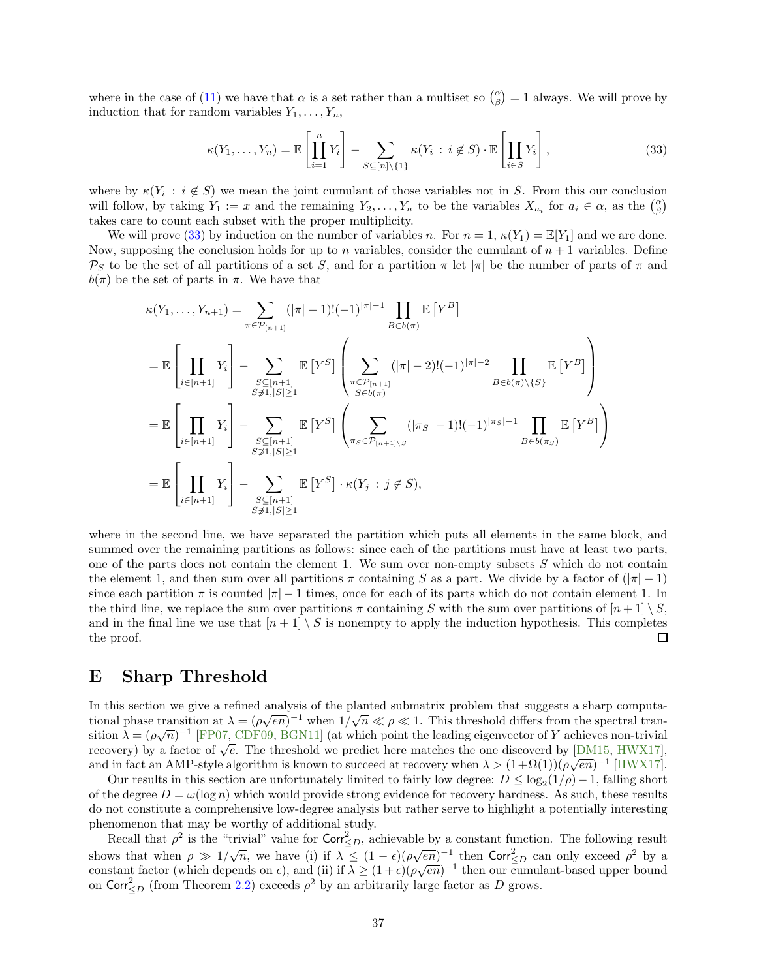where in the case of [\(11\)](#page-12-4) we have that  $\alpha$  is a set rather than a multiset so  $\binom{\alpha}{\beta} = 1$  always. We will prove by induction that for random variables  $Y_1, \ldots, Y_n$ ,

<span id="page-36-1"></span>
$$
\kappa(Y_1, \dots, Y_n) = \mathbb{E}\left[\prod_{i=1}^n Y_i\right] - \sum_{S \subseteq [n] \setminus \{1\}} \kappa(Y_i : i \notin S) \cdot \mathbb{E}\left[\prod_{i \in S} Y_i\right],\tag{33}
$$

where by  $\kappa(Y_i : i \notin S)$  we mean the joint cumulant of those variables not in S. From this our conclusion will follow, by taking  $Y_1 := x$  and the remaining  $Y_2, \ldots, Y_n$  to be the variables  $X_{a_i}$  for  $a_i \in \alpha$ , as the  $\binom{\alpha}{\beta}$ takes care to count each subset with the proper multiplicity.

We will prove [\(33\)](#page-36-1) by induction on the number of variables n. For  $n = 1$ ,  $\kappa(Y_1) = \mathbb{E}[Y_1]$  and we are done. Now, supposing the conclusion holds for up to n variables, consider the cumulant of  $n + 1$  variables. Define Ps to be the set of all partitions of a set S, and for a partition  $\pi$  let  $|\pi|$  be the number of parts of  $\pi$  and  $b(\pi)$  be the set of parts in  $\pi$ . We have that

$$
\kappa(Y_1, ..., Y_{n+1}) = \sum_{\pi \in \mathcal{P}_{[n+1]}} (|\pi| - 1)! (-1)^{|\pi|-1} \prod_{B \in b(\pi)} \mathbb{E}[Y^B]
$$
  
\n
$$
= \mathbb{E} \left[ \prod_{i \in [n+1]} Y_i \right] - \sum_{\substack{S \subseteq [n+1] \\ S \neq 1, |S| \ge 1}} \mathbb{E}[Y^S] \left( \sum_{\substack{\pi \in \mathcal{P}_{[n+1]} \\ S \in b(\pi)}} (|\pi| - 2)! (-1)^{|\pi|-2} \prod_{B \in b(\pi) \setminus \{S\}} \mathbb{E}[Y^B] \right)
$$
  
\n
$$
= \mathbb{E} \left[ \prod_{i \in [n+1]} Y_i \right] - \sum_{\substack{S \subseteq [n+1] \\ S \neq 1, |S| \ge 1}} \mathbb{E}[Y^S] \left( \sum_{\pi_S \in \mathcal{P}_{[n+1] \setminus S}} (|\pi_S| - 1)! (-1)^{|\pi_S|-1} \prod_{B \in b(\pi_S)} \mathbb{E}[Y^B] \right)
$$
  
\n
$$
= \mathbb{E} \left[ \prod_{i \in [n+1]} Y_i \right] - \sum_{\substack{S \subseteq [n+1] \\ S \neq 1, |S| \ge 1}} \mathbb{E}[Y^S] \cdot \kappa(Y_j : j \notin S),
$$

where in the second line, we have separated the partition which puts all elements in the same block, and summed over the remaining partitions as follows: since each of the partitions must have at least two parts, one of the parts does not contain the element 1. We sum over non-empty subsets  $S$  which do not contain the element 1, and then sum over all partitions  $\pi$  containing S as a part. We divide by a factor of  $(|\pi| - 1)$ since each partition  $\pi$  is counted  $|\pi| - 1$  times, once for each of its parts which do not contain element 1. In the third line, we replace the sum over partitions  $\pi$  containing S with the sum over partitions of  $[n+1] \setminus S$ , and in the final line we use that  $[n+1] \setminus S$  is nonempty to apply the induction hypothesis. This completes the proof. the proof.

# <span id="page-36-0"></span>E Sharp Threshold

In this section we give a refined analysis of the planted submatrix problem that suggests a sharp computational phase transition at  $\lambda = (\rho \sqrt{en})^{-1}$  when  $1/\sqrt{n} \ll \rho \ll 1$ . This threshold differs from the spectral transition  $\lambda = (\rho \sqrt{n})^{-1}$  [\[FP07,](#page-43-8) [CDF09,](#page-42-15) [BGN11\]](#page-42-9) (at which point the leading eigenvector of Y achieves non-trivial recovery) by a factor of  $\sqrt{e}$ . The threshold we predict here matches the one discoverd by [\[DM15,](#page-43-11) [HWX17\]](#page-44-5), and in fact an AMP-style algorithm is known to succeed at recovery when  $\lambda > (1 + \Omega(1))(\rho \sqrt{en})^{-1}$  [\[HWX17\]](#page-44-5).

Our results in this section are unfortunately limited to fairly low degree:  $D \leq \log_2(1/\rho) - 1$ , falling short of the degree  $D = \omega(\log n)$  which would provide strong evidence for recovery hardness. As such, these results do not constitute a comprehensive low-degree analysis but rather serve to highlight a potentially interesting phenomenon that may be worthy of additional study.

Recall that  $\rho^2$  is the "trivial" value for  $\text{Corr}_{\leq D}^2$ , achievable by a constant function. The following result shows that when  $\rho \gg 1/\sqrt{n}$ , we have (i) if  $\lambda \leq (1 - \epsilon)(\rho \sqrt{en})^{-1}$  then  $\text{Corr}_{\leq D}^2$  can only exceed  $\rho^2$  by a constant factor (which depends on  $\epsilon$ ), and (ii) if  $\lambda \geq (1+\epsilon)(\rho\sqrt{en})^{-1}$  then our cumulant-based upper bound on  $\text{Corr}^2_{\leq D}$  (from Theorem [2.2\)](#page-9-3) exceeds  $\rho^2$  by an arbitrarily large factor as D grows.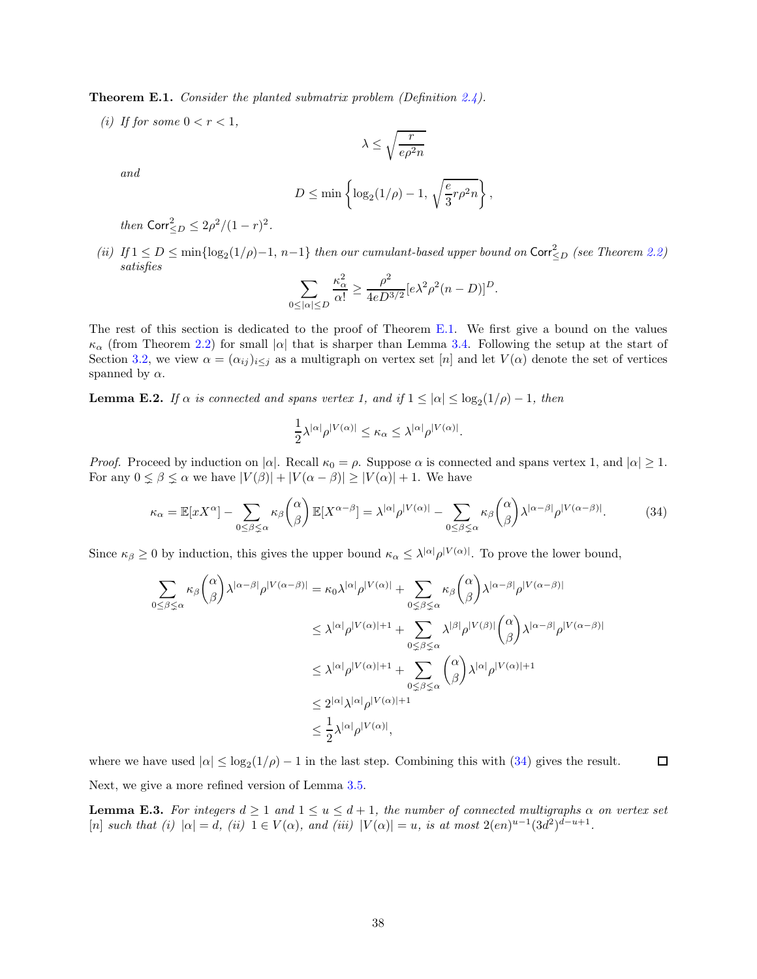<span id="page-37-0"></span>**Theorem E.1.** Consider the planted submatrix problem (Definition  $2.4$ ).

(i) If for some  $0 < r < 1$ ,

$$
\lambda \leq \sqrt{\frac{r}{e \rho^2 n}}
$$

and

$$
D \le \min\left\{\log_2(1/\rho) - 1, \sqrt{\frac{e}{3}r\rho^2 n}\right\},\,
$$

*then*  $\text{Corr}_{\leq D}^2 \leq 2\rho^2/(1-r)^2$ .

(ii) If  $1 \le D \le \min\{\log_2(1/\rho)-1, n-1\}$  then our cumulant-based upper bound on Corr $\le_D$  (see Theorem [2.2\)](#page-9-3) satisfies

$$
\sum_{0 \leq |\alpha| \leq D} \frac{\kappa_{\alpha}^2}{\alpha!} \geq \frac{\rho^2}{4e^{2\beta}} [e \lambda^2 \rho^2 (n - D)]^D.
$$

The rest of this section is dedicated to the proof of Theorem [E.1.](#page-37-0) We first give a bound on the values  $\kappa_{\alpha}$  (from Theorem [2.2\)](#page-9-3) for small  $|\alpha|$  that is sharper than Lemma [3.4.](#page-17-1) Following the setup at the start of Section [3.2,](#page-16-0) we view  $\alpha = (\alpha_{ij})_{i \leq j}$  as a multigraph on vertex set [n] and let  $V(\alpha)$  denote the set of vertices spanned by  $\alpha$ .

<span id="page-37-2"></span>**Lemma E.2.** If  $\alpha$  is connected and spans vertex 1, and if  $1 \leq |\alpha| \leq \log_2(1/\rho) - 1$ , then

$$
\frac{1}{2}\lambda^{|\alpha|}\rho^{|V(\alpha)|} \leq \kappa_{\alpha} \leq \lambda^{|\alpha|}\rho^{|V(\alpha)|}.
$$

*Proof.* Proceed by induction on  $|\alpha|$ . Recall  $\kappa_0 = \rho$ . Suppose  $\alpha$  is connected and spans vertex 1, and  $|\alpha| \geq 1$ . For any  $0 \le \beta \le \alpha$  we have  $|V(\beta)| + |V(\alpha - \beta)| \ge |V(\alpha)| + 1$ . We have

<span id="page-37-1"></span>
$$
\kappa_{\alpha} = \mathbb{E}[xX^{\alpha}] - \sum_{0 \le \beta \le \alpha} \kappa_{\beta} {\alpha \choose \beta} \mathbb{E}[X^{\alpha-\beta}] = \lambda^{|\alpha|} \rho^{|V(\alpha)|} - \sum_{0 \le \beta \le \alpha} \kappa_{\beta} {\alpha \choose \beta} \lambda^{|\alpha-\beta|} \rho^{|V(\alpha-\beta)|}.
$$
 (34)

Since  $\kappa_{\beta} \ge 0$  by induction, this gives the upper bound  $\kappa_{\alpha} \le \lambda^{|\alpha|} \rho^{|V(\alpha)|}$ . To prove the lower bound,

$$
\sum_{0 \leq \beta \leq \alpha} \kappa_{\beta} {\alpha \choose \beta} \lambda^{|\alpha-\beta|} \rho^{|V(\alpha-\beta)|} = \kappa_{0} \lambda^{|\alpha|} \rho^{|V(\alpha)|} + \sum_{0 \leq \beta \leq \alpha} \kappa_{\beta} {\alpha \choose \beta} \lambda^{|\alpha-\beta|} \rho^{|V(\alpha-\beta)|}
$$
  

$$
\leq \lambda^{|\alpha|} \rho^{|V(\alpha)|+1} + \sum_{0 \leq \beta \leq \alpha} \lambda^{|\beta|} \rho^{|V(\beta)|} {\alpha \choose \beta} \lambda^{|\alpha-\beta|} \rho^{|V(\alpha-\beta)|}
$$
  

$$
\leq \lambda^{|\alpha|} \rho^{|V(\alpha)|+1} + \sum_{0 \leq \beta \leq \alpha} {\alpha \choose \beta} \lambda^{|\alpha|} \rho^{|V(\alpha)|+1}
$$
  

$$
\leq \frac{2^{|\alpha|} \lambda^{|\alpha|} \rho^{|V(\alpha)|+1}}{\alpha^{|\alpha|} \beta^{|\alpha|} \beta^{|\alpha|}},
$$

 $\Box$ where we have used  $|\alpha| \leq \log_2(1/\rho) - 1$  in the last step. Combining this with [\(34\)](#page-37-1) gives the result.

Next, we give a more refined version of Lemma [3.5.](#page-18-1)

<span id="page-37-3"></span>**Lemma E.3.** For integers  $d \geq 1$  and  $1 \leq u \leq d+1$ , the number of connected multigraphs  $\alpha$  on vertex set  $[n] \text{ such that } (i) \ |\alpha| = d, \ (ii) \ 1 \in V(\alpha), \text{ and } (iii) \ |V(\alpha)| = u, \text{ is at most } 2(en)^{u-1}(3d^2)^{d-u+1}.$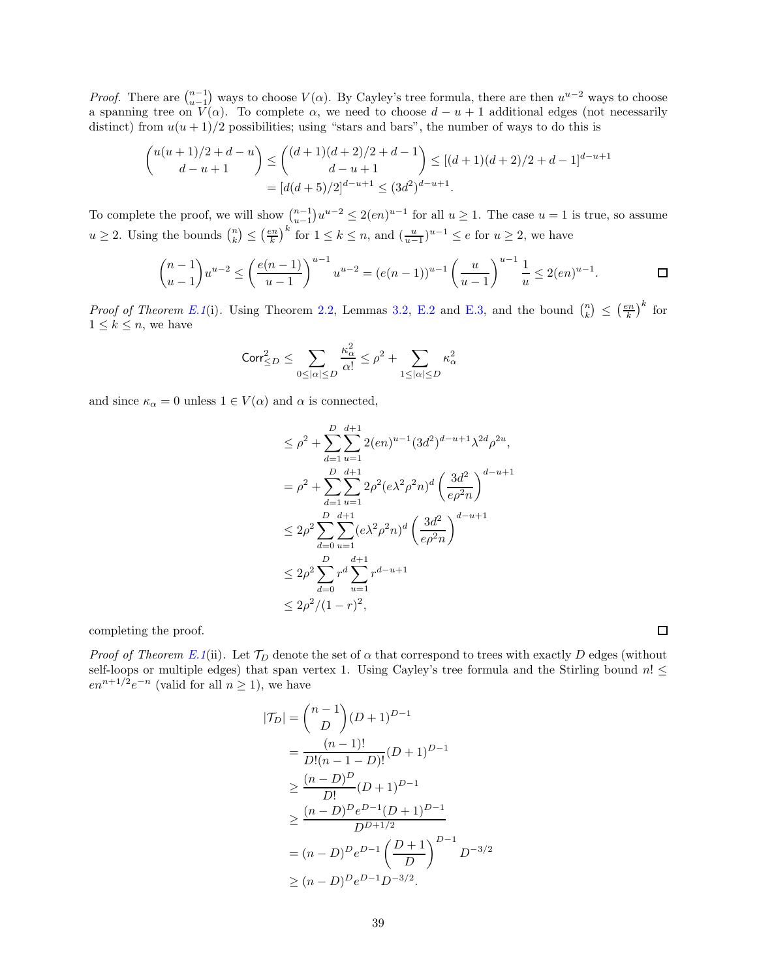*Proof.* There are  $\binom{n-1}{u-1}$  ways to choose  $V(\alpha)$ . By Cayley's tree formula, there are then  $u^{u-2}$  ways to choose a spanning tree on  $V(\alpha)$ . To complete  $\alpha$ , we need to choose  $d - u + 1$  additional edges (not necessarily distinct) from  $u(u + 1)/2$  possibilities; using "stars and bars", the number of ways to do this is

$$
\binom{u(u+1)/2+d-u}{d-u+1} \le \binom{(d+1)(d+2)/2+d-1}{d-u+1} \le [(d+1)(d+2)/2+d-1]^{d-u+1}
$$

$$
= [d(d+5)/2]^{d-u+1} \le (3d^2)^{d-u+1}.
$$

To complete the proof, we will show  $\binom{n-1}{u-1}u^{u-2} \leq 2(en)^{u-1}$  for all  $u \geq 1$ . The case  $u = 1$  is true, so assume  $u \geq 2$ . Using the bounds  $\binom{n}{k} \leq \left(\frac{en}{k}\right)^k$  for  $1 \leq k \leq n$ , and  $\left(\frac{u}{u-1}\right)^{u-1} \leq e$  for  $u \geq 2$ , we have

$$
\binom{n-1}{u-1}u^{u-2} \le \left(\frac{e(n-1)}{u-1}\right)^{u-1}u^{u-2} = (e(n-1))^{u-1}\left(\frac{u}{u-1}\right)^{u-1}\frac{1}{u} \le 2(en)^{u-1}.
$$

*Proof of Theorem [E.1](#page-37-0)*(i). Using Theorem [2.2,](#page-9-3) Lemmas [3.2,](#page-17-0) [E.2](#page-37-2) and [E.3,](#page-37-3) and the bound  $\binom{n}{k} \leq \left(\frac{en}{k}\right)^k$  for  $1 \leq k \leq n$ , we have

$$
\mathrm{Corr}_{\leq D}^2 \leq \sum_{0 \leq |\alpha| \leq D} \frac{\kappa_\alpha^2}{\alpha!} \leq \rho^2 + \sum_{1 \leq |\alpha| \leq D} \kappa_\alpha^2
$$

and since  $\kappa_{\alpha} = 0$  unless  $1 \in V(\alpha)$  and  $\alpha$  is connected,

$$
\leq \rho^2 + \sum_{d=1}^{D} \sum_{u=1}^{d+1} 2(en)^{u-1} (3d^2)^{d-u+1} \lambda^{2d} \rho^{2u},
$$
  
\n
$$
= \rho^2 + \sum_{d=1}^{D} \sum_{u=1}^{d+1} 2\rho^2 (e\lambda^2 \rho^2 n)^d \left(\frac{3d^2}{e\rho^2 n}\right)^{d-u+1}
$$
  
\n
$$
\leq 2\rho^2 \sum_{d=0}^{D} \sum_{u=1}^{d+1} (e\lambda^2 \rho^2 n)^d \left(\frac{3d^2}{e\rho^2 n}\right)^{d-u+1}
$$
  
\n
$$
\leq 2\rho^2 \sum_{d=0}^{D} r^d \sum_{u=1}^{d+1} r^{d-u+1}
$$
  
\n
$$
\leq 2\rho^2 / (1-r)^2,
$$

completing the proof.

Proof of Theorem [E.1](#page-37-0)(ii). Let  $\mathcal{T}_D$  denote the set of  $\alpha$  that correspond to trees with exactly D edges (without self-loops or multiple edges) that span vertex 1. Using Cayley's tree formula and the Stirling bound  $n! \leq$  $en^{n+1/2}e^{-n}$  (valid for all  $n \ge 1$ ), we have

$$
|\mathcal{T}_D| = {n-1 \choose D} (D+1)^{D-1}
$$
  
= 
$$
\frac{(n-1)!}{D!(n-1-D)!} (D+1)^{D-1}
$$
  

$$
\geq \frac{(n-D)^D}{D!} (D+1)^{D-1}
$$
  

$$
\geq \frac{(n-D)^D e^{D-1} (D+1)^{D-1}}{D^{D+1/2}}
$$
  
= 
$$
(n-D)^D e^{D-1} \left(\frac{D+1}{D}\right)^{D-1} D^{-3/2}
$$
  

$$
\geq (n-D)^D e^{D-1} D^{-3/2}.
$$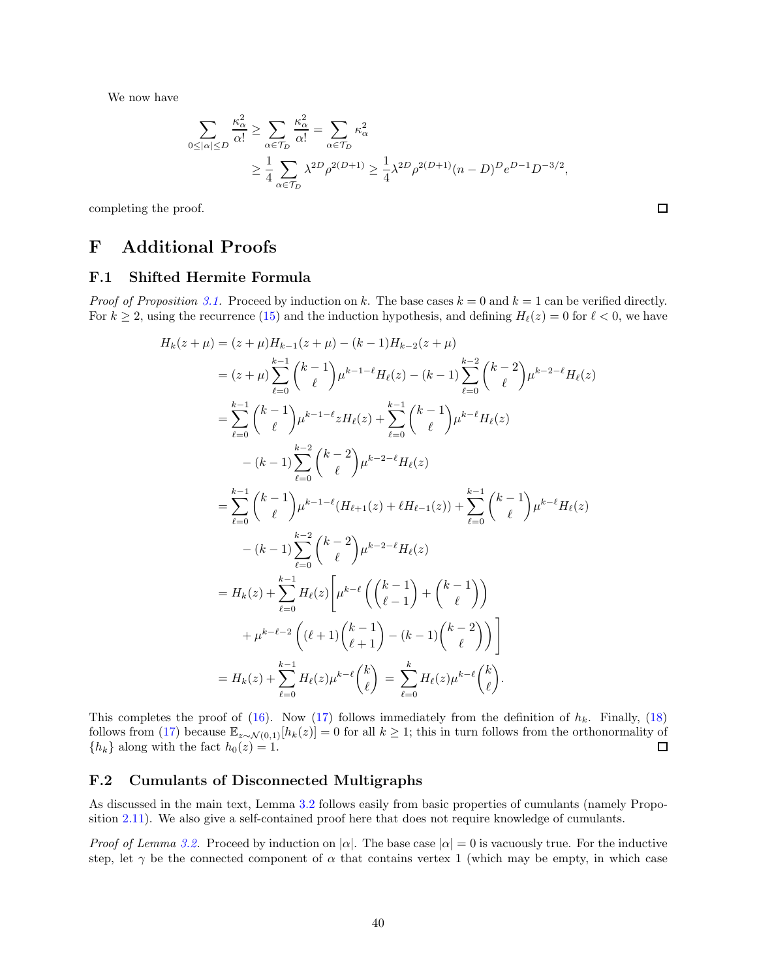We now have

$$
\sum_{0 \leq |\alpha| \leq D} \frac{\kappa_{\alpha}^2}{\alpha!} \geq \sum_{\alpha \in \mathcal{T}_D} \frac{\kappa_{\alpha}^2}{\alpha!} = \sum_{\alpha \in \mathcal{T}_D} \kappa_{\alpha}^2
$$
  
 
$$
\geq \frac{1}{4} \sum_{\alpha \in \mathcal{T}_D} \lambda^{2D} \rho^{2(D+1)} \geq \frac{1}{4} \lambda^{2D} \rho^{2(D+1)} (n-D)^D e^{D-1} D^{-3/2},
$$

 $\Box$ 

<span id="page-39-0"></span>completing the proof.

# <span id="page-39-1"></span>F Additional Proofs

### F.1 Shifted Hermite Formula

*Proof of Proposition [3.1.](#page-15-3)* Proceed by induction on k. The base cases  $k = 0$  and  $k = 1$  can be verified directly. For  $k \ge 2$ , using the recurrence [\(15\)](#page-15-4) and the induction hypothesis, and defining  $H_{\ell}(z) = 0$  for  $\ell < 0$ , we have

$$
H_k(z+\mu) = (z+\mu)H_{k-1}(z+\mu) - (k-1)H_{k-2}(z+\mu)
$$
  
\n
$$
= (z+\mu)\sum_{\ell=0}^{k-1} {k-1 \choose \ell} \mu^{k-1-\ell} H_\ell(z) - (k-1)\sum_{\ell=0}^{k-2} {k-2 \choose \ell} \mu^{k-2-\ell} H_\ell(z)
$$
  
\n
$$
= \sum_{\ell=0}^{k-1} {k-1 \choose \ell} \mu^{k-1-\ell} z H_\ell(z) + \sum_{\ell=0}^{k-1} {k-1 \choose \ell} \mu^{k-\ell} H_\ell(z)
$$
  
\n
$$
- (k-1)\sum_{\ell=0}^{k-2} {k-2 \choose \ell} \mu^{k-2-\ell} H_\ell(z)
$$
  
\n
$$
= \sum_{\ell=0}^{k-1} {k-1 \choose \ell} \mu^{k-1-\ell} (H_{\ell+1}(z) + \ell H_{\ell-1}(z)) + \sum_{\ell=0}^{k-1} {k-1 \choose \ell} \mu^{k-\ell} H_\ell(z)
$$
  
\n
$$
- (k-1)\sum_{\ell=0}^{k-2} {k-2 \choose \ell} \mu^{k-2-\ell} H_\ell(z)
$$
  
\n
$$
= H_k(z) + \sum_{\ell=0}^{k-1} H_\ell(z) \left[ \mu^{k-\ell} \left( {k-1 \choose \ell-1} + {k-1 \choose \ell} \right) + \mu^{k-\ell-2} \left( (\ell+1) {k-1 \choose \ell+1} - (k-1) {k-2 \choose \ell} \right) \right]
$$
  
\n
$$
= H_k(z) + \sum_{\ell=0}^{k-1} H_\ell(z) \mu^{k-\ell} {k \choose \ell} = \sum_{\ell=0}^{k} H_\ell(z) \mu^{k-\ell} {k \choose \ell}.
$$

This completes the proof of [\(16\)](#page-15-5). Now [\(17\)](#page-15-6) follows immediately from the definition of  $h_k$ . Finally, [\(18\)](#page-15-2) follows from [\(17\)](#page-15-6) because  $\mathbb{E}_{z \sim \mathcal{N}(0,1)}[h_k(z)] = 0$  for all  $k \ge 1$ ; this in turn follows from the orthonormality of  $\{h_k\}$  along with the fact  $h_0(z) = 1$ .  ${h_k}$  along with the fact  $h_0(z) = 1$ .

### <span id="page-39-2"></span>F.2 Cumulants of Disconnected Multigraphs

As discussed in the main text, Lemma [3.2](#page-17-0) follows easily from basic properties of cumulants (namely Proposition [2.11\)](#page-14-2). We also give a self-contained proof here that does not require knowledge of cumulants.

*Proof of Lemma [3.2.](#page-17-0)* Proceed by induction on  $|\alpha|$ . The base case  $|\alpha| = 0$  is vacuously true. For the inductive step, let  $\gamma$  be the connected component of  $\alpha$  that contains vertex 1 (which may be empty, in which case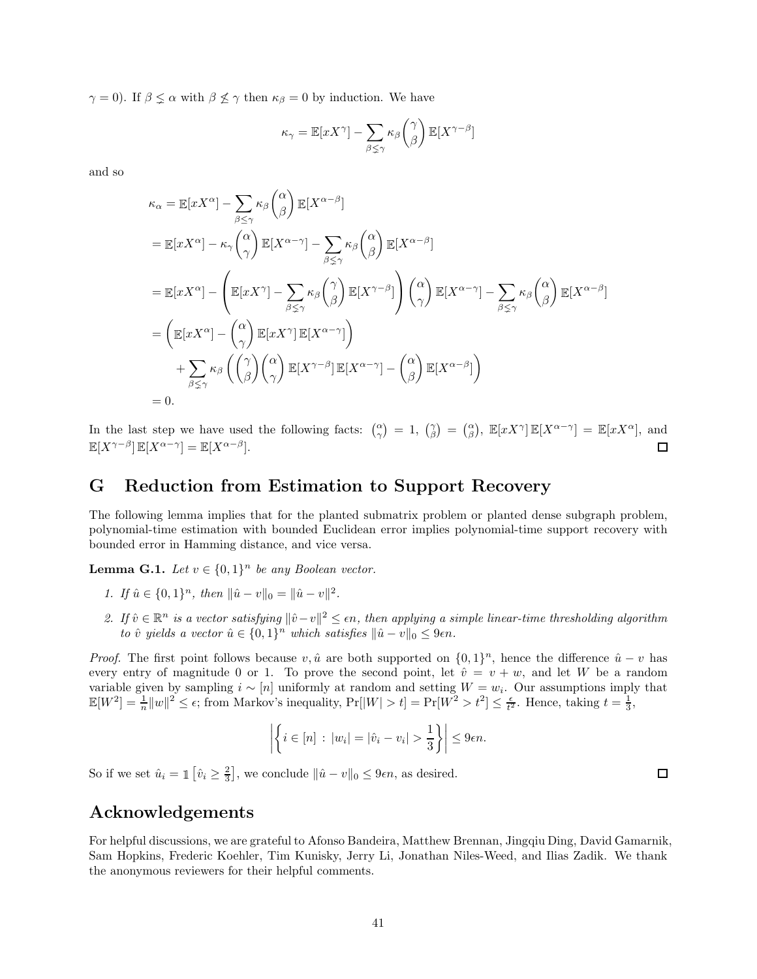$\gamma = 0$ ). If  $\beta \leq \alpha$  with  $\beta \leq \gamma$  then  $\kappa_{\beta} = 0$  by induction. We have

$$
\kappa_{\gamma} = \mathbb{E}[xX^{\gamma}] - \sum_{\beta \leq \gamma} \kappa_{\beta} \binom{\gamma}{\beta} \mathbb{E}[X^{\gamma - \beta}]
$$

and so

$$
\kappa_{\alpha} = \mathbb{E}[xX^{\alpha}] - \sum_{\beta \leq \gamma} \kappa_{\beta} {\alpha \choose \beta} \mathbb{E}[X^{\alpha-\beta}]
$$
  
\n
$$
= \mathbb{E}[xX^{\alpha}] - \kappa_{\gamma} {\alpha \choose \gamma} \mathbb{E}[X^{\alpha-\gamma}] - \sum_{\beta \leq \gamma} \kappa_{\beta} {\alpha \choose \beta} \mathbb{E}[X^{\alpha-\beta}]
$$
  
\n
$$
= \mathbb{E}[xX^{\alpha}] - \left( \mathbb{E}[xX^{\gamma}] - \sum_{\beta \leq \gamma} \kappa_{\beta} {\gamma \choose \beta} \mathbb{E}[X^{\gamma-\beta}] \right) {\alpha \choose \gamma} \mathbb{E}[X^{\alpha-\gamma}] - \sum_{\beta \leq \gamma} \kappa_{\beta} {\alpha \choose \beta} \mathbb{E}[X^{\alpha-\beta}]
$$
  
\n
$$
= \left( \mathbb{E}[xX^{\alpha}] - {\alpha \choose \gamma} \mathbb{E}[xX^{\gamma}] \mathbb{E}[X^{\alpha-\gamma}] \right)
$$
  
\n
$$
+ \sum_{\beta \leq \gamma} \kappa_{\beta} \left( {\gamma \choose \beta} {\alpha \choose \gamma} \mathbb{E}[X^{\gamma-\beta}] \mathbb{E}[X^{\alpha-\gamma}] - {\alpha \choose \beta} \mathbb{E}[X^{\alpha-\beta}] \right)
$$
  
\n
$$
= 0.
$$

In the last step we have used the following facts:  $\begin{pmatrix} \alpha \\ \gamma \end{pmatrix} = 1$ ,  $\begin{pmatrix} \gamma \\ \beta \end{pmatrix} = \begin{pmatrix} \alpha \\ \beta \end{pmatrix}$ ,  $\mathbb{E}[xX^{\gamma}] \mathbb{E}[X^{\alpha-\gamma}] = \mathbb{E}[xX^{\alpha}]$ , and  $\mathbb{E}[X^{\gamma-\beta}] \mathbb{E}[X^{\alpha-\gamma}] = \mathbb{E}[X^{\alpha-\beta}].$  $\Box$ 

## <span id="page-40-0"></span>G Reduction from Estimation to Support Recovery

The following lemma implies that for the planted submatrix problem or planted dense subgraph problem, polynomial-time estimation with bounded Euclidean error implies polynomial-time support recovery with bounded error in Hamming distance, and vice versa.

**Lemma G.1.** Let  $v \in \{0,1\}^n$  be any Boolean vector.

- 1. If  $\hat{u} \in \{0, 1\}^n$ , then  $\|\hat{u} v\|_0 = \|\hat{u} v\|^2$ .
- 2. If  $\hat{v} \in \mathbb{R}^n$  is a vector satisfying  $\|\hat{v}-v\|^2 \leq \epsilon n$ , then applying a simple linear-time thresholding algorithm to  $\hat{v}$  yields a vector  $\hat{u} \in \{0,1\}^n$  which satisfies  $\|\hat{u} - v\|_0 \leq 9\epsilon n$ .

*Proof.* The first point follows because  $v, \hat{u}$  are both supported on  $\{0, 1\}^n$ , hence the difference  $\hat{u} - v$  has every entry of magnitude 0 or 1. To prove the second point, let  $\hat{v} = v + w$ , and let W be a random variable given by sampling  $i \sim [n]$  uniformly at random and setting  $W = w_i$ . Our assumptions imply that  $\mathbb{E}[W^2] = \frac{1}{n} ||w||^2 \leq \epsilon$ ; from Markov's inequality,  $\Pr[|W| > t] = \Pr[W^2 > t^2] \leq \frac{\epsilon}{t^2}$ . Hence, taking  $t = \frac{1}{3}$ ,

$$
\left| \left\{ i \in [n] : |w_i| = |\hat{v}_i - v_i| > \frac{1}{3} \right\} \right| \leq 9\epsilon n.
$$

So if we set  $\hat{u}_i = \mathbb{1} \left[ \hat{v}_i \ge \frac{2}{3} \right]$ , we conclude  $\|\hat{u} - v\|_0 \le 9\epsilon n$ , as desired.

# Acknowledgements

For helpful discussions, we are grateful to Afonso Bandeira, Matthew Brennan, Jingqiu Ding, David Gamarnik, Sam Hopkins, Frederic Koehler, Tim Kunisky, Jerry Li, Jonathan Niles-Weed, and Ilias Zadik. We thank the anonymous reviewers for their helpful comments.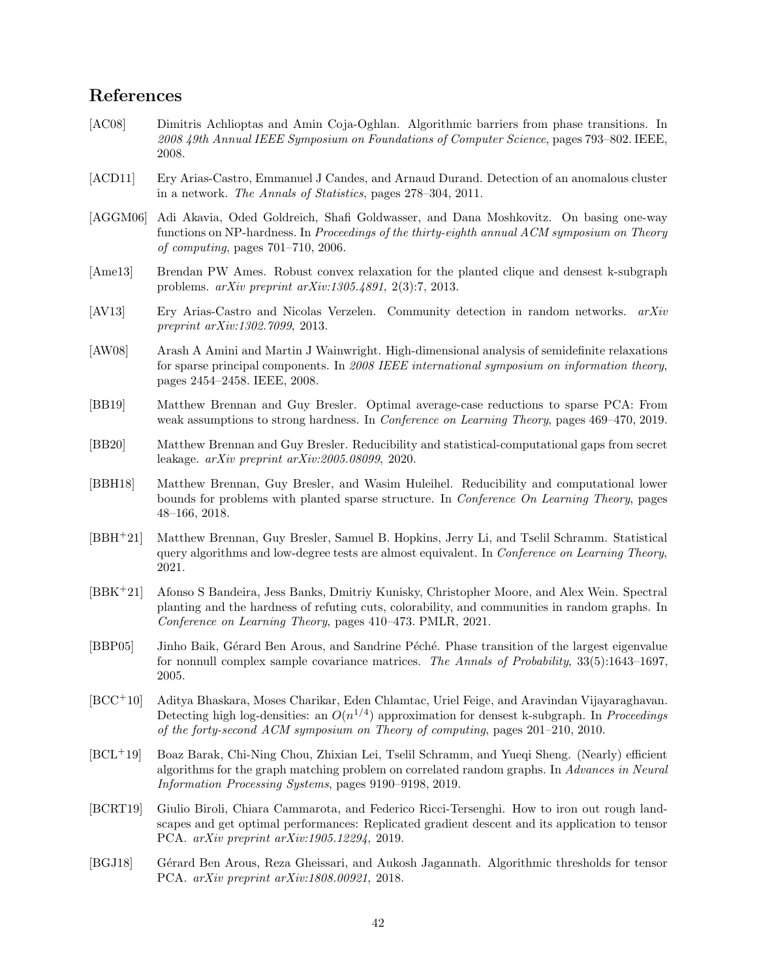# References

- <span id="page-41-7"></span>[AC08] Dimitris Achlioptas and Amin Coja-Oghlan. Algorithmic barriers from phase transitions. In 2008 49th Annual IEEE Symposium on Foundations of Computer Science, pages 793–802. IEEE, 2008.
- <span id="page-41-11"></span>[ACD11] Ery Arias-Castro, Emmanuel J Candes, and Arnaud Durand. Detection of an anomalous cluster in a network. The Annals of Statistics, pages 278–304, 2011.
- <span id="page-41-0"></span>[AGGM06] Adi Akavia, Oded Goldreich, Shafi Goldwasser, and Dana Moshkovitz. On basing one-way functions on NP-hardness. In *Proceedings of the thirty-eighth annual ACM symposium on Theory* of computing, pages 701–710, 2006.
- <span id="page-41-14"></span>[Ame13] Brendan PW Ames. Robust convex relaxation for the planted clique and densest k-subgraph problems. arXiv preprint arXiv:1305.4891, 2(3):7, 2013.
- <span id="page-41-13"></span>[AV13] Ery Arias-Castro and Nicolas Verzelen. Community detection in random networks. arXiv preprint arXiv:1302.7099, 2013.
- <span id="page-41-15"></span>[AW08] Arash A Amini and Martin J Wainwright. High-dimensional analysis of semidefinite relaxations for sparse principal components. In 2008 IEEE international symposium on information theory, pages 2454–2458. IEEE, 2008.
- <span id="page-41-9"></span>[BB19] Matthew Brennan and Guy Bresler. Optimal average-case reductions to sparse PCA: From weak assumptions to strong hardness. In Conference on Learning Theory, pages 469–470, 2019.
- <span id="page-41-10"></span>[BB20] Matthew Brennan and Guy Bresler. Reducibility and statistical-computational gaps from secret leakage. arXiv preprint arXiv:2005.08099, 2020.
- <span id="page-41-1"></span>[BBH18] Matthew Brennan, Guy Bresler, and Wasim Huleihel. Reducibility and computational lower bounds for problems with planted sparse structure. In Conference On Learning Theory, pages 48–166, 2018.
- <span id="page-41-6"></span>[BBH<sup>+</sup>21] Matthew Brennan, Guy Bresler, Samuel B. Hopkins, Jerry Li, and Tselil Schramm. Statistical query algorithms and low-degree tests are almost equivalent. In Conference on Learning Theory, 2021.
- <span id="page-41-5"></span>[BBK<sup>+</sup>21] Afonso S Bandeira, Jess Banks, Dmitriy Kunisky, Christopher Moore, and Alex Wein. Spectral planting and the hardness of refuting cuts, colorability, and communities in random graphs. In Conference on Learning Theory, pages 410–473. PMLR, 2021.
- <span id="page-41-3"></span>[BBP05] Jinho Baik, Gérard Ben Arous, and Sandrine Péché. Phase transition of the largest eigenvalue for nonnull complex sample covariance matrices. The Annals of Probability, 33(5):1643–1697, 2005.
- <span id="page-41-12"></span>[BCC+10] Aditya Bhaskara, Moses Charikar, Eden Chlamtac, Uriel Feige, and Aravindan Vijayaraghavan. Detecting high log-densities: an  $O(n^{1/4})$  approximation for densest k-subgraph. In *Proceedings* of the forty-second ACM symposium on Theory of computing, pages 201–210, 2010.
- <span id="page-41-4"></span>[BCL+19] Boaz Barak, Chi-Ning Chou, Zhixian Lei, Tselil Schramm, and Yueqi Sheng. (Nearly) efficient algorithms for the graph matching problem on correlated random graphs. In Advances in Neural Information Processing Systems, pages 9190–9198, 2019.
- <span id="page-41-8"></span>[BCRT19] Giulio Biroli, Chiara Cammarota, and Federico Ricci-Tersenghi. How to iron out rough landscapes and get optimal performances: Replicated gradient descent and its application to tensor PCA. arXiv preprint arXiv:1905.12294, 2019.
- <span id="page-41-2"></span>[BGJ18] Gérard Ben Arous, Reza Gheissari, and Aukosh Jagannath. Algorithmic thresholds for tensor PCA. arXiv preprint arXiv:1808.00921, 2018.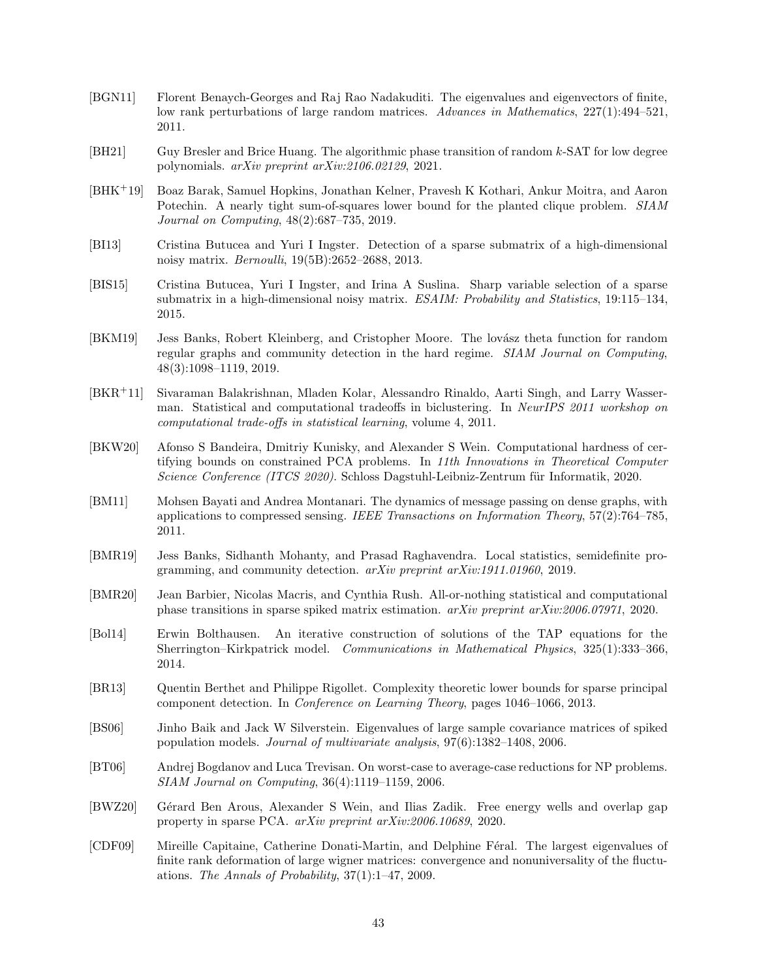- <span id="page-42-9"></span>[BGN11] Florent Benaych-Georges and Raj Rao Nadakuditi. The eigenvalues and eigenvectors of finite, low rank perturbations of large random matrices. Advances in Mathematics, 227(1):494–521, 2011.
- <span id="page-42-3"></span>[BH21] Guy Bresler and Brice Huang. The algorithmic phase transition of random k-SAT for low degree polynomials. arXiv preprint arXiv:2106.02129, 2021.
- <span id="page-42-2"></span>[BHK+19] Boaz Barak, Samuel Hopkins, Jonathan Kelner, Pravesh K Kothari, Ankur Moitra, and Aaron Potechin. A nearly tight sum-of-squares lower bound for the planted clique problem. SIAM Journal on Computing, 48(2):687–735, 2019.
- <span id="page-42-4"></span>[BI13] Cristina Butucea and Yuri I Ingster. Detection of a sparse submatrix of a high-dimensional noisy matrix. Bernoulli, 19(5B):2652–2688, 2013.
- <span id="page-42-5"></span>[BIS15] Cristina Butucea, Yuri I Ingster, and Irina A Suslina. Sharp variable selection of a sparse submatrix in a high-dimensional noisy matrix. ESAIM: Probability and Statistics, 19:115–134, 2015.
- <span id="page-42-13"></span>[BKM19] Jess Banks, Robert Kleinberg, and Cristopher Moore. The lovász theta function for random regular graphs and community detection in the hard regime. SIAM Journal on Computing, 48(3):1098–1119, 2019.
- <span id="page-42-8"></span>[BKR<sup>+</sup>11] Sivaraman Balakrishnan, Mladen Kolar, Alessandro Rinaldo, Aarti Singh, and Larry Wasserman. Statistical and computational tradeoffs in biclustering. In NeurIPS 2011 workshop on computational trade-offs in statistical learning, volume 4, 2011.
- <span id="page-42-12"></span>[BKW20] Afonso S Bandeira, Dmitriy Kunisky, and Alexander S Wein. Computational hardness of certifying bounds on constrained PCA problems. In 11th Innovations in Theoretical Computer Science Conference (ITCS 2020). Schloss Dagstuhl-Leibniz-Zentrum für Informatik, 2020.
- <span id="page-42-11"></span>[BM11] Mohsen Bayati and Andrea Montanari. The dynamics of message passing on dense graphs, with applications to compressed sensing. IEEE Transactions on Information Theory, 57(2):764–785, 2011.
- <span id="page-42-14"></span>[BMR19] Jess Banks, Sidhanth Mohanty, and Prasad Raghavendra. Local statistics, semidefinite programming, and community detection. arXiv preprint arXiv:1911.01960, 2019.
- <span id="page-42-6"></span>[BMR20] Jean Barbier, Nicolas Macris, and Cynthia Rush. All-or-nothing statistical and computational phase transitions in sparse spiked matrix estimation. arXiv preprint arXiv:2006.07971, 2020.
- <span id="page-42-10"></span>[Bol14] Erwin Bolthausen. An iterative construction of solutions of the TAP equations for the Sherrington–Kirkpatrick model. Communications in Mathematical Physics, 325(1):333–366, 2014.
- <span id="page-42-1"></span>[BR13] Quentin Berthet and Philippe Rigollet. Complexity theoretic lower bounds for sparse principal component detection. In Conference on Learning Theory, pages 1046–1066, 2013.
- <span id="page-42-16"></span>[BS06] Jinho Baik and Jack W Silverstein. Eigenvalues of large sample covariance matrices of spiked population models. Journal of multivariate analysis, 97(6):1382–1408, 2006.
- <span id="page-42-0"></span>[BT06] Andrej Bogdanov and Luca Trevisan. On worst-case to average-case reductions for NP problems. SIAM Journal on Computing, 36(4):1119–1159, 2006.
- <span id="page-42-7"></span>[BWZ20] Gérard Ben Arous, Alexander S Wein, and Ilias Zadik. Free energy wells and overlap gap property in sparse PCA. arXiv preprint arXiv:2006.10689, 2020.
- <span id="page-42-15"></span>[CDF09] Mireille Capitaine, Catherine Donati-Martin, and Delphine Féral. The largest eigenvalues of finite rank deformation of large wigner matrices: convergence and nonuniversality of the fluctuations. The Annals of Probability, 37(1):1–47, 2009.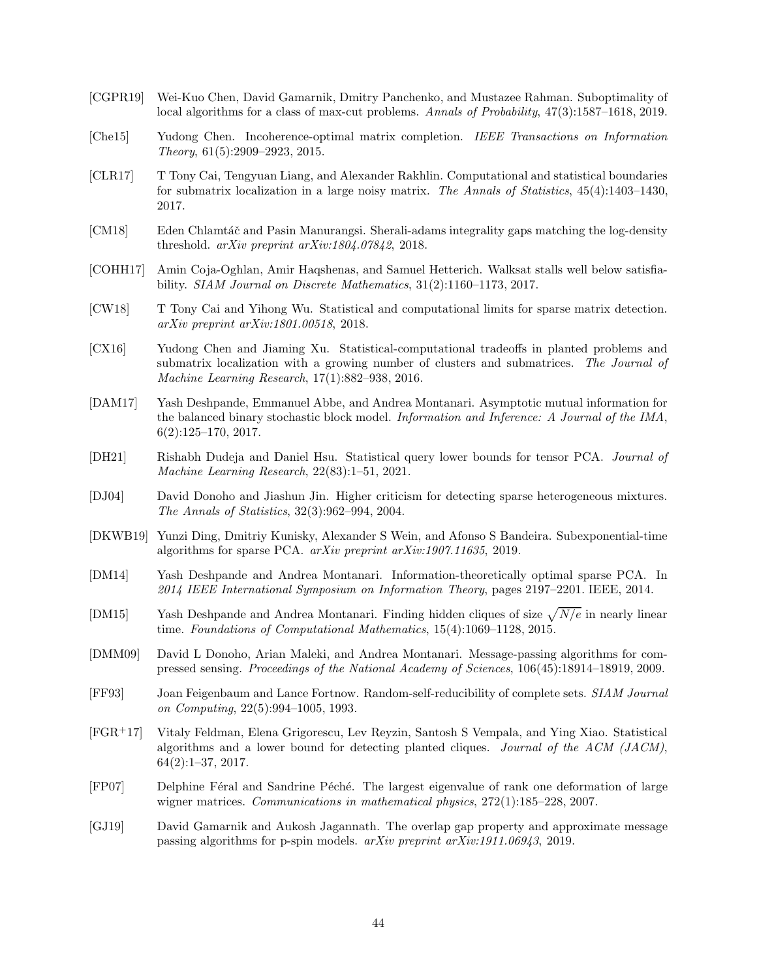- <span id="page-43-13"></span>[CGPR19] Wei-Kuo Chen, David Gamarnik, Dmitry Panchenko, and Mustazee Rahman. Suboptimality of local algorithms for a class of max-cut problems. Annals of Probability, 47(3):1587–1618, 2019.
- <span id="page-43-15"></span>[Che15] Yudong Chen. Incoherence-optimal matrix completion. IEEE Transactions on Information Theory, 61(5):2909–2923, 2015.
- <span id="page-43-6"></span>[CLR17] T Tony Cai, Tengyuan Liang, and Alexander Rakhlin. Computational and statistical boundaries for submatrix localization in a large noisy matrix. The Annals of Statistics, 45(4):1403–1430, 2017.
- <span id="page-43-17"></span>[CM18] Eden Chlamtáč and Pasin Manurangsi. Sherali-adams integrality gaps matching the log-density threshold. arXiv preprint arXiv:1804.07842, 2018.
- <span id="page-43-12"></span>[COHH17] Amin Coja-Oghlan, Amir Haqshenas, and Samuel Hetterich. Walksat stalls well below satisfiability. SIAM Journal on Discrete Mathematics, 31(2):1160–1173, 2017.
- <span id="page-43-16"></span>[CW18] T Tony Cai and Yihong Wu. Statistical and computational limits for sparse matrix detection. arXiv preprint arXiv:1801.00518, 2018.
- <span id="page-43-5"></span>[CX16] Yudong Chen and Jiaming Xu. Statistical-computational tradeoffs in planted problems and submatrix localization with a growing number of clusters and submatrices. The Journal of Machine Learning Research, 17(1):882–938, 2016.
- <span id="page-43-10"></span>[DAM17] Yash Deshpande, Emmanuel Abbe, and Andrea Montanari. Asymptotic mutual information for the balanced binary stochastic block model. Information and Inference: A Journal of the IMA,  $6(2):125-170, 2017.$
- <span id="page-43-9"></span>[DH21] Rishabh Dudeja and Daniel Hsu. Statistical query lower bounds for tensor PCA. Journal of Machine Learning Research, 22(83):1–51, 2021.
- <span id="page-43-4"></span>[DJ04] David Donoho and Jiashun Jin. Higher criticism for detecting sparse heterogeneous mixtures. The Annals of Statistics, 32(3):962–994, 2004.
- <span id="page-43-3"></span>[DKWB19] Yunzi Ding, Dmitriy Kunisky, Alexander S Wein, and Afonso S Bandeira. Subexponential-time algorithms for sparse PCA. arXiv preprint arXiv:1907.11635, 2019.
- <span id="page-43-7"></span>[DM14] Yash Deshpande and Andrea Montanari. Information-theoretically optimal sparse PCA. In 2014 IEEE International Symposium on Information Theory, pages 2197–2201. IEEE, 2014.
- <span id="page-43-11"></span>[DM15] Yash Deshpande and Andrea Montanari. Finding hidden cliques of size  $\sqrt{N/e}$  in nearly linear time. Foundations of Computational Mathematics, 15(4):1069–1128, 2015.
- <span id="page-43-2"></span>[DMM09] David L Donoho, Arian Maleki, and Andrea Montanari. Message-passing algorithms for compressed sensing. Proceedings of the National Academy of Sciences, 106(45):18914–18919, 2009.
- <span id="page-43-0"></span>[FF93] Joan Feigenbaum and Lance Fortnow. Random-self-reducibility of complete sets. SIAM Journal on Computing, 22(5):994–1005, 1993.
- <span id="page-43-1"></span>[FGR+17] Vitaly Feldman, Elena Grigorescu, Lev Reyzin, Santosh S Vempala, and Ying Xiao. Statistical algorithms and a lower bound for detecting planted cliques. Journal of the ACM (JACM), 64(2):1–37, 2017.
- <span id="page-43-8"></span>[FP07] Delphine Féral and Sandrine Péché. The largest eigenvalue of rank one deformation of large wigner matrices. Communications in mathematical physics,  $272(1):185-228$ ,  $2007$ .
- <span id="page-43-14"></span>[GJ19] David Gamarnik and Aukosh Jagannath. The overlap gap property and approximate message passing algorithms for p-spin models. arXiv preprint arXiv:1911.06943, 2019.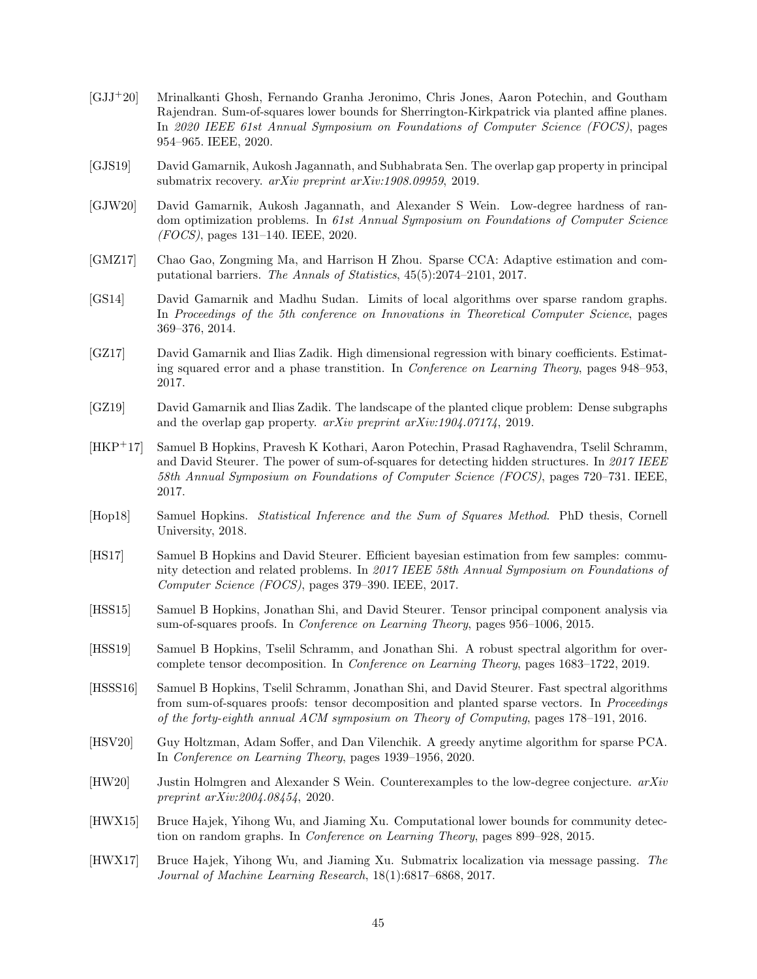- <span id="page-44-11"></span>[GJJ+20] Mrinalkanti Ghosh, Fernando Granha Jeronimo, Chris Jones, Aaron Potechin, and Goutham Rajendran. Sum-of-squares lower bounds for Sherrington-Kirkpatrick via planted affine planes. In 2020 IEEE 61st Annual Symposium on Foundations of Computer Science (FOCS), pages 954–965. IEEE, 2020.
- <span id="page-44-6"></span>[GJS19] David Gamarnik, Aukosh Jagannath, and Subhabrata Sen. The overlap gap property in principal submatrix recovery. arXiv preprint arXiv:1908.09959, 2019.
- <span id="page-44-4"></span>[GJW20] David Gamarnik, Aukosh Jagannath, and Alexander S Wein. Low-degree hardness of random optimization problems. In 61st Annual Symposium on Foundations of Computer Science (FOCS), pages 131–140. IEEE, 2020.
- <span id="page-44-15"></span>[GMZ17] Chao Gao, Zongming Ma, and Harrison H Zhou. Sparse CCA: Adaptive estimation and computational barriers. The Annals of Statistics, 45(5):2074–2101, 2017.
- <span id="page-44-12"></span>[GS14] David Gamarnik and Madhu Sudan. Limits of local algorithms over sparse random graphs. In Proceedings of the 5th conference on Innovations in Theoretical Computer Science, pages 369–376, 2014.
- <span id="page-44-0"></span>[GZ17] David Gamarnik and Ilias Zadik. High dimensional regression with binary coefficients. Estimating squared error and a phase transtition. In Conference on Learning Theory, pages 948–953, 2017.
- <span id="page-44-13"></span>[GZ19] David Gamarnik and Ilias Zadik. The landscape of the planted clique problem: Dense subgraphs and the overlap gap property. arXiv preprint arXiv:1904.07174, 2019.
- <span id="page-44-2"></span>[HKP<sup>+</sup>17] Samuel B Hopkins, Pravesh K Kothari, Aaron Potechin, Prasad Raghavendra, Tselil Schramm, and David Steurer. The power of sum-of-squares for detecting hidden structures. In 2017 IEEE 58th Annual Symposium on Foundations of Computer Science (FOCS), pages 720–731. IEEE, 2017.
- <span id="page-44-3"></span>[Hop18] Samuel Hopkins. Statistical Inference and the Sum of Squares Method. PhD thesis, Cornell University, 2018.
- <span id="page-44-1"></span>[HS17] Samuel B Hopkins and David Steurer. Efficient bayesian estimation from few samples: community detection and related problems. In 2017 IEEE 58th Annual Symposium on Foundations of Computer Science (FOCS), pages 379–390. IEEE, 2017.
- <span id="page-44-7"></span>[HSS15] Samuel B Hopkins, Jonathan Shi, and David Steurer. Tensor principal component analysis via sum-of-squares proofs. In Conference on Learning Theory, pages 956–1006, 2015.
- <span id="page-44-9"></span>[HSS19] Samuel B Hopkins, Tselil Schramm, and Jonathan Shi. A robust spectral algorithm for overcomplete tensor decomposition. In Conference on Learning Theory, pages 1683–1722, 2019.
- <span id="page-44-8"></span>[HSSS16] Samuel B Hopkins, Tselil Schramm, Jonathan Shi, and David Steurer. Fast spectral algorithms from sum-of-squares proofs: tensor decomposition and planted sparse vectors. In Proceedings of the forty-eighth annual ACM symposium on Theory of Computing, pages 178–191, 2016.
- <span id="page-44-16"></span>[HSV20] Guy Holtzman, Adam Soffer, and Dan Vilenchik. A greedy anytime algorithm for sparse PCA. In Conference on Learning Theory, pages 1939–1956, 2020.
- <span id="page-44-10"></span>[HW20] Justin Holmgren and Alexander S Wein. Counterexamples to the low-degree conjecture.  $arXiv$ preprint arXiv:2004.08454, 2020.
- <span id="page-44-14"></span>[HWX15] Bruce Hajek, Yihong Wu, and Jiaming Xu. Computational lower bounds for community detection on random graphs. In Conference on Learning Theory, pages 899–928, 2015.
- <span id="page-44-5"></span>[HWX17] Bruce Hajek, Yihong Wu, and Jiaming Xu. Submatrix localization via message passing. The Journal of Machine Learning Research, 18(1):6817–6868, 2017.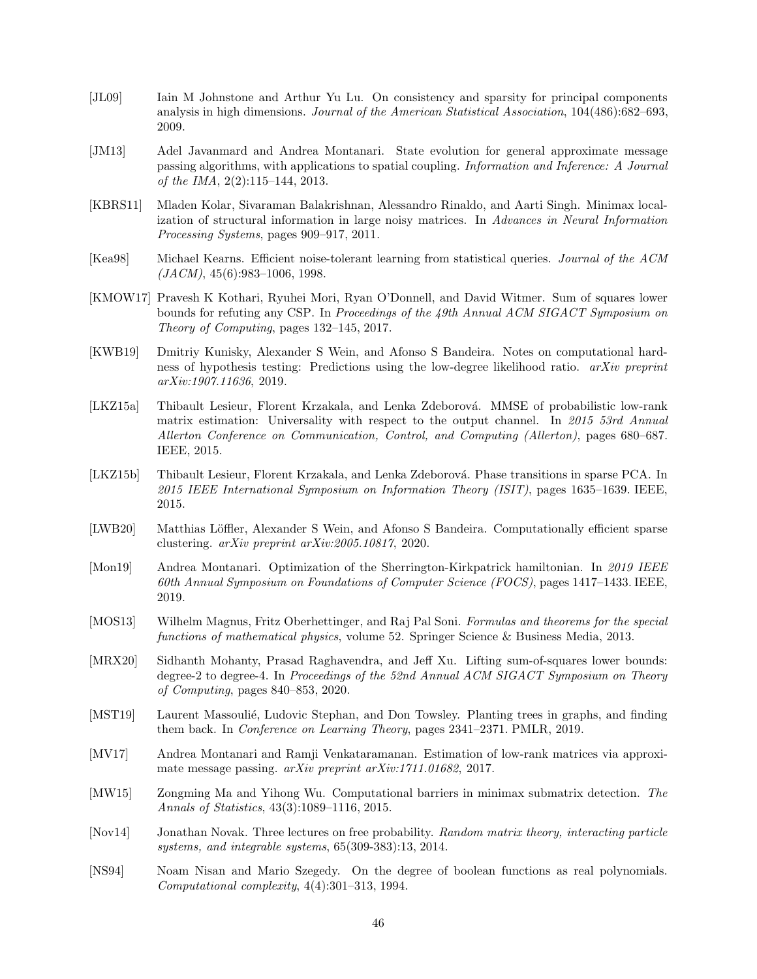- <span id="page-45-16"></span>[JL09] Iain M Johnstone and Arthur Yu Lu. On consistency and sparsity for principal components analysis in high dimensions. Journal of the American Statistical Association, 104(486):682–693, 2009.
- <span id="page-45-5"></span>[JM13] Adel Javanmard and Andrea Montanari. State evolution for general approximate message passing algorithms, with applications to spatial coupling. Information and Inference: A Journal of the IMA, 2(2):115–144, 2013.
- <span id="page-45-4"></span>[KBRS11] Mladen Kolar, Sivaraman Balakrishnan, Alessandro Rinaldo, and Aarti Singh. Minimax localization of structural information in large noisy matrices. In Advances in Neural Information Processing Systems, pages 909–917, 2011.
- <span id="page-45-1"></span>[Kea98] Michael Kearns. Efficient noise-tolerant learning from statistical queries. Journal of the ACM  $(JACM)$ , 45(6):983–1006, 1998.
- <span id="page-45-8"></span>[KMOW17] Pravesh K Kothari, Ryuhei Mori, Ryan O'Donnell, and David Witmer. Sum of squares lower bounds for refuting any CSP. In Proceedings of the 49th Annual ACM SIGACT Symposium on Theory of Computing, pages 132–145, 2017.
- <span id="page-45-2"></span>[KWB19] Dmitriy Kunisky, Alexander S Wein, and Afonso S Bandeira. Notes on computational hardness of hypothesis testing: Predictions using the low-degree likelihood ratio. arXiv preprint arXiv:1907.11636, 2019.
- <span id="page-45-12"></span>[LKZ15a] Thibault Lesieur, Florent Krzakala, and Lenka Zdeborová. MMSE of probabilistic low-rank matrix estimation: Universality with respect to the output channel. In 2015 53rd Annual Allerton Conference on Communication, Control, and Computing (Allerton), pages 680–687. IEEE, 2015.
- <span id="page-45-11"></span>[LKZ15b] Thibault Lesieur, Florent Krzakala, and Lenka Zdeborová. Phase transitions in sparse PCA. In 2015 IEEE International Symposium on Information Theory (ISIT), pages 1635–1639. IEEE, 2015.
- <span id="page-45-13"></span>[LWB20] Matthias Löffler, Alexander S Wein, and Afonso S Bandeira. Computationally efficient sparse clustering. arXiv preprint arXiv:2005.10817, 2020.
- <span id="page-45-10"></span>[Mon19] Andrea Montanari. Optimization of the Sherrington-Kirkpatrick hamiltonian. In 2019 IEEE 60th Annual Symposium on Foundations of Computer Science (FOCS), pages 1417–1433. IEEE, 2019.
- <span id="page-45-15"></span>[MOS13] Wilhelm Magnus, Fritz Oberhettinger, and Raj Pal Soni. Formulas and theorems for the special functions of mathematical physics, volume 52. Springer Science & Business Media, 2013.
- <span id="page-45-9"></span>[MRX20] Sidhanth Mohanty, Prasad Raghavendra, and Jeff Xu. Lifting sum-of-squares lower bounds: degree-2 to degree-4. In Proceedings of the 52nd Annual ACM SIGACT Symposium on Theory of Computing, pages 840–853, 2020.
- <span id="page-45-3"></span>[MST19] Laurent Massoulié, Ludovic Stephan, and Don Towsley. Planting trees in graphs, and finding them back. In Conference on Learning Theory, pages 2341–2371. PMLR, 2019.
- <span id="page-45-6"></span>[MV17] Andrea Montanari and Ramji Venkataramanan. Estimation of low-rank matrices via approximate message passing. arXiv preprint arXiv:1711.01682, 2017.
- <span id="page-45-0"></span>[MW15] Zongming Ma and Yihong Wu. Computational barriers in minimax submatrix detection. The Annals of Statistics, 43(3):1089–1116, 2015.
- <span id="page-45-14"></span>[Nov14] Jonathan Novak. Three lectures on free probability. Random matrix theory, interacting particle systems, and integrable systems, 65(309-383):13, 2014.
- <span id="page-45-7"></span>[NS94] Noam Nisan and Mario Szegedy. On the degree of boolean functions as real polynomials. Computational complexity, 4(4):301–313, 1994.